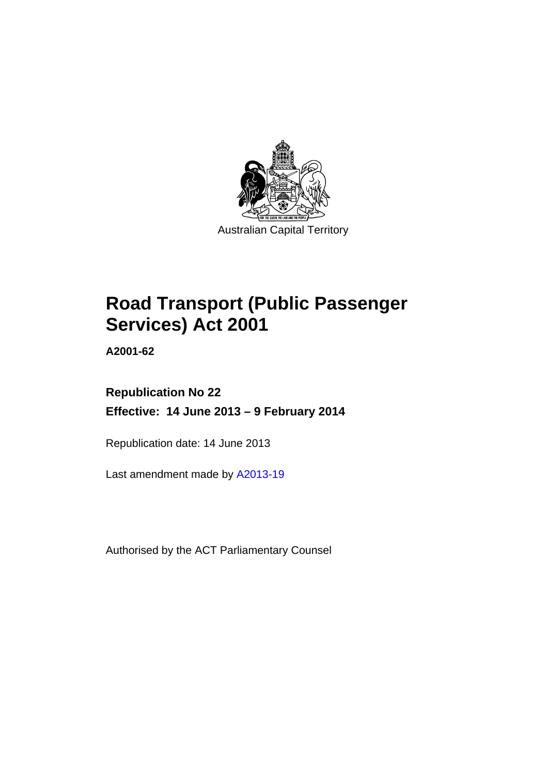

# **Road Transport (Public Passenger Services) Act 2001**

**A2001-62** 

# **Republication No 22 Effective: 14 June 2013 – 9 February 2014**

Republication date: 14 June 2013

Last amendment made by [A2013-19](http://www.legislation.act.gov.au/a/2013-19)

Authorised by the ACT Parliamentary Counsel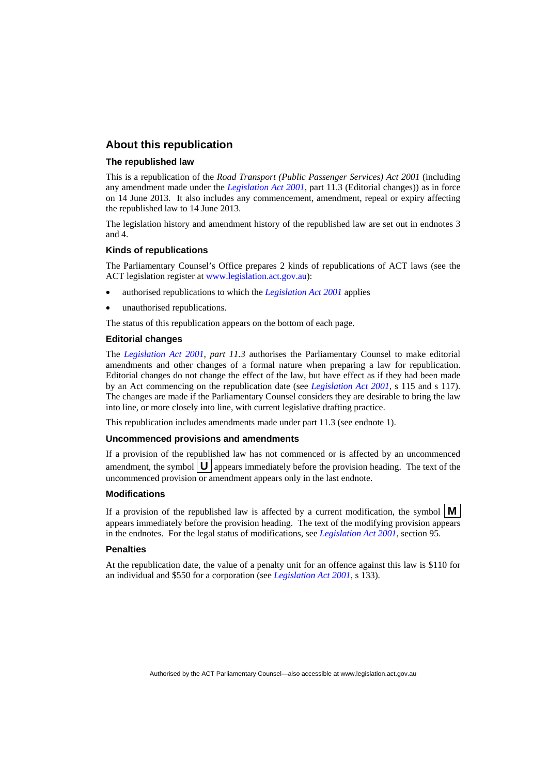#### **About this republication**

#### **The republished law**

This is a republication of the *Road Transport (Public Passenger Services) Act 2001* (including any amendment made under the *[Legislation Act 2001](http://www.legislation.act.gov.au/a/2001-14)*, part 11.3 (Editorial changes)) as in force on 14 June 2013*.* It also includes any commencement, amendment, repeal or expiry affecting the republished law to 14 June 2013.

The legislation history and amendment history of the republished law are set out in endnotes 3 and 4.

#### **Kinds of republications**

The Parliamentary Counsel's Office prepares 2 kinds of republications of ACT laws (see the ACT legislation register at [www.legislation.act.gov.au](http://www.legislation.act.gov.au/)):

- authorised republications to which the *[Legislation Act 2001](http://www.legislation.act.gov.au/a/2001-14)* applies
- unauthorised republications.

The status of this republication appears on the bottom of each page.

#### **Editorial changes**

The *[Legislation Act 2001,](http://www.legislation.act.gov.au/a/2001-14) part 11.3* authorises the Parliamentary Counsel to make editorial amendments and other changes of a formal nature when preparing a law for republication. Editorial changes do not change the effect of the law, but have effect as if they had been made by an Act commencing on the republication date (see *[Legislation Act 2001](http://www.legislation.act.gov.au/a/2001-14)*, s 115 and s 117). The changes are made if the Parliamentary Counsel considers they are desirable to bring the law into line, or more closely into line, with current legislative drafting practice.

This republication includes amendments made under part 11.3 (see endnote 1).

#### **Uncommenced provisions and amendments**

If a provision of the republished law has not commenced or is affected by an uncommenced amendment, the symbol  $\mathbf{U}$  appears immediately before the provision heading. The text of the uncommenced provision or amendment appears only in the last endnote.

#### **Modifications**

If a provision of the republished law is affected by a current modification, the symbol  $\mathbf{M}$ appears immediately before the provision heading. The text of the modifying provision appears in the endnotes. For the legal status of modifications, see *[Legislation Act 2001](http://www.legislation.act.gov.au/a/2001-14)*, section 95.

#### **Penalties**

At the republication date, the value of a penalty unit for an offence against this law is \$110 for an individual and \$550 for a corporation (see *[Legislation Act 2001](http://www.legislation.act.gov.au/a/2001-14)*, s 133).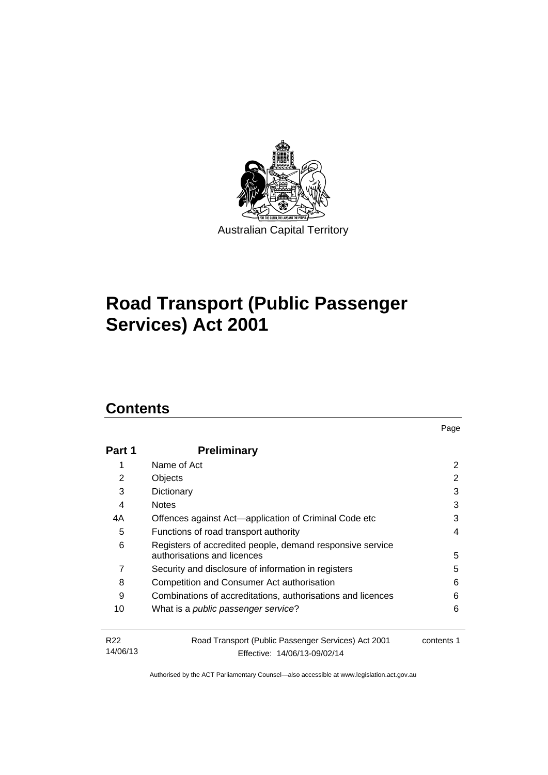

# **Road Transport (Public Passenger Services) Act 2001**

# **Contents**

| Part 1                      | <b>Preliminary</b>                                                                       |            |
|-----------------------------|------------------------------------------------------------------------------------------|------------|
| 1                           | Name of Act                                                                              | 2          |
| 2                           | Objects                                                                                  | 2          |
| 3                           | Dictionary                                                                               | 3          |
| 4                           | <b>Notes</b>                                                                             | 3          |
| 4A                          | Offences against Act-application of Criminal Code etc                                    | 3          |
| 5                           | Functions of road transport authority                                                    | 4          |
| 6                           | Registers of accredited people, demand responsive service<br>authorisations and licences | 5          |
| 7                           | Security and disclosure of information in registers                                      | 5          |
| 8                           | Competition and Consumer Act authorisation                                               | 6          |
| 9                           | Combinations of accreditations, authorisations and licences                              | 6          |
| 10                          | What is a public passenger service?                                                      | 6          |
| R <sub>22</sub><br>14/06/13 | Road Transport (Public Passenger Services) Act 2001<br>Effective: 14/06/13-09/02/14      | contents 1 |

Page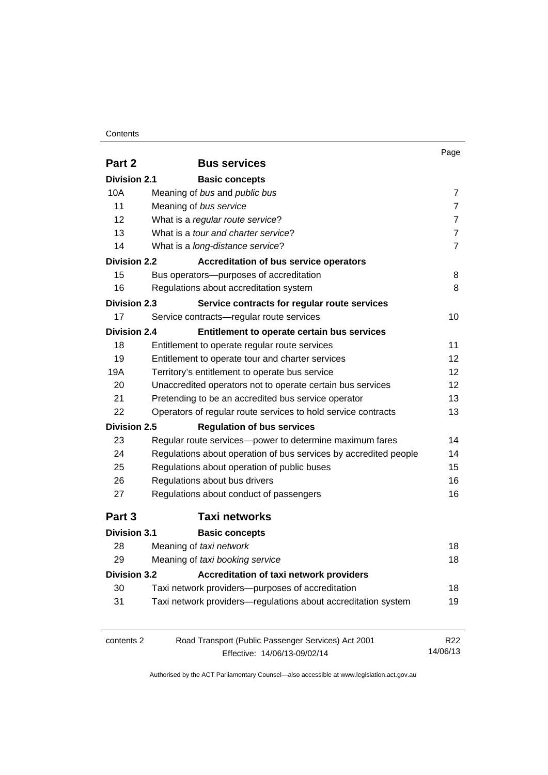#### **Contents**

|                     |                                                                  | Page            |
|---------------------|------------------------------------------------------------------|-----------------|
| Part 2              | <b>Bus services</b>                                              |                 |
| <b>Division 2.1</b> | <b>Basic concepts</b>                                            |                 |
| 10A                 | Meaning of bus and public bus                                    | $\overline{7}$  |
| 11                  | Meaning of bus service                                           | $\overline{7}$  |
| 12                  | What is a regular route service?                                 | 7               |
| 13                  | What is a tour and charter service?                              | 7               |
| 14                  | What is a long-distance service?                                 | $\overline{7}$  |
| <b>Division 2.2</b> | <b>Accreditation of bus service operators</b>                    |                 |
| 15                  | Bus operators-purposes of accreditation                          | 8               |
| 16                  | Regulations about accreditation system                           | 8               |
| <b>Division 2.3</b> | Service contracts for regular route services                     |                 |
| 17                  | Service contracts-regular route services                         | 10              |
| <b>Division 2.4</b> | Entitlement to operate certain bus services                      |                 |
| 18                  | Entitlement to operate regular route services                    | 11              |
| 19                  | Entitlement to operate tour and charter services                 | 12              |
| 19A                 | Territory's entitlement to operate bus service                   | 12              |
| 20                  | Unaccredited operators not to operate certain bus services       | 12              |
| 21                  | Pretending to be an accredited bus service operator              | 13              |
| 22                  | Operators of regular route services to hold service contracts    | 13              |
| <b>Division 2.5</b> | <b>Regulation of bus services</b>                                |                 |
| 23                  | Regular route services-power to determine maximum fares          | 14              |
| 24                  | Regulations about operation of bus services by accredited people | 14              |
| 25                  | Regulations about operation of public buses                      | 15              |
| 26                  | Regulations about bus drivers                                    | 16              |
| 27                  | Regulations about conduct of passengers                          | 16              |
| Part 3              | <b>Taxi networks</b>                                             |                 |
| <b>Division 3.1</b> | <b>Basic concepts</b>                                            |                 |
| 28                  | Meaning of taxi network                                          | 18              |
| 29                  | Meaning of taxi booking service                                  | 18              |
| <b>Division 3.2</b> | Accreditation of taxi network providers                          |                 |
| 30                  | Taxi network providers-purposes of accreditation                 | 18              |
| 31                  | Taxi network providers-regulations about accreditation system    | 19              |
| contents 2          | Road Transport (Public Passenger Services) Act 2001              | R <sub>22</sub> |
|                     | Effective: 14/06/13-09/02/14                                     | 14/06/13        |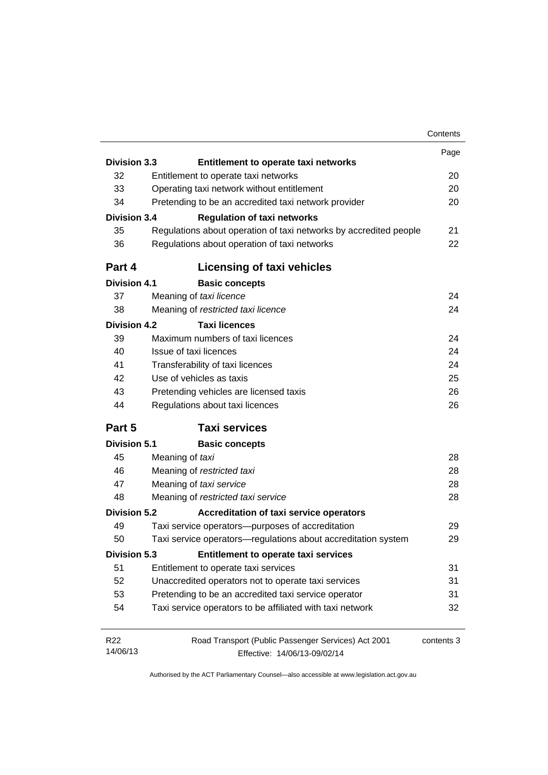|                     |                                                                   | Contents   |
|---------------------|-------------------------------------------------------------------|------------|
|                     |                                                                   | Page       |
| <b>Division 3.3</b> | Entitlement to operate taxi networks                              |            |
| 32                  | Entitlement to operate taxi networks                              | 20         |
| 33                  | Operating taxi network without entitlement                        | 20         |
| 34                  | Pretending to be an accredited taxi network provider              | 20         |
| <b>Division 3.4</b> | <b>Regulation of taxi networks</b>                                |            |
| 35                  | Regulations about operation of taxi networks by accredited people | 21         |
| 36                  | Regulations about operation of taxi networks                      | 22         |
| Part 4              | <b>Licensing of taxi vehicles</b>                                 |            |
| <b>Division 4.1</b> | <b>Basic concepts</b>                                             |            |
| 37                  | Meaning of taxi licence                                           | 24         |
| 38                  | Meaning of restricted taxi licence                                | 24         |
| <b>Division 4.2</b> | <b>Taxi licences</b>                                              |            |
| 39                  | Maximum numbers of taxi licences                                  | 24         |
| 40                  | Issue of taxi licences                                            | 24         |
| 41                  | Transferability of taxi licences                                  | 24         |
| 42                  | Use of vehicles as taxis                                          | 25         |
| 43                  | Pretending vehicles are licensed taxis                            | 26         |
| 44                  | Regulations about taxi licences                                   | 26         |
| Part 5              | <b>Taxi services</b>                                              |            |
| <b>Division 5.1</b> | <b>Basic concepts</b>                                             |            |
| 45                  | Meaning of taxi                                                   | 28         |
| 46                  | Meaning of restricted taxi                                        | 28         |
| 47                  | Meaning of taxi service                                           | 28         |
| 48                  | Meaning of restricted taxi service                                | 28         |
| <b>Division 5.2</b> | <b>Accreditation of taxi service operators</b>                    |            |
| 49                  | Taxi service operators-purposes of accreditation                  | 29         |
| 50                  | Taxi service operators—regulations about accreditation system     | 29         |
| Division 5.3        | Entitlement to operate taxi services                              |            |
| 51                  | Entitlement to operate taxi services                              | 31         |
| 52                  | Unaccredited operators not to operate taxi services               | 31         |
| 53                  | Pretending to be an accredited taxi service operator              | 31         |
| 54                  | Taxi service operators to be affiliated with taxi network         | 32         |
| R <sub>22</sub>     | Road Transport (Public Passenger Services) Act 2001               | contents 3 |
| 14/06/13            | Effective: 14/06/13-09/02/14                                      |            |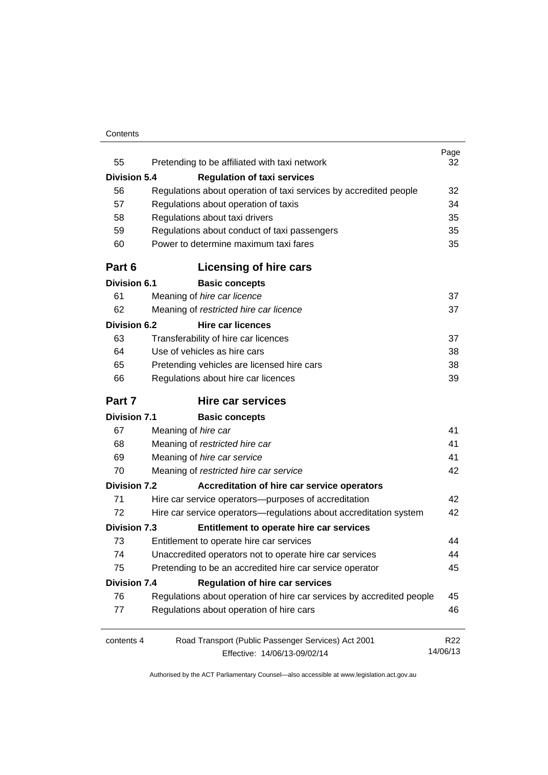#### **Contents**

| 55                  | Pretending to be affiliated with taxi network                         | Page<br>32      |
|---------------------|-----------------------------------------------------------------------|-----------------|
| <b>Division 5.4</b> | <b>Regulation of taxi services</b>                                    |                 |
| 56                  | Regulations about operation of taxi services by accredited people     | 32              |
| 57                  | Regulations about operation of taxis                                  | 34              |
| 58                  | Regulations about taxi drivers                                        | 35              |
| 59                  | Regulations about conduct of taxi passengers                          | 35              |
| 60                  | Power to determine maximum taxi fares                                 | 35              |
| Part 6              | Licensing of hire cars                                                |                 |
| <b>Division 6.1</b> | <b>Basic concepts</b>                                                 |                 |
| 61                  | Meaning of hire car licence                                           | 37              |
| 62                  | Meaning of restricted hire car licence                                | 37              |
| <b>Division 6.2</b> | <b>Hire car licences</b>                                              |                 |
| 63                  | Transferability of hire car licences                                  | 37              |
| 64                  | Use of vehicles as hire cars                                          | 38              |
| 65                  | Pretending vehicles are licensed hire cars                            | 38              |
| 66                  | Regulations about hire car licences                                   | 39              |
| Part 7              | Hire car services                                                     |                 |
| <b>Division 7.1</b> | <b>Basic concepts</b>                                                 |                 |
| 67                  | Meaning of hire car                                                   | 41              |
| 68                  | Meaning of restricted hire car                                        | 41              |
| 69                  | Meaning of hire car service                                           | 41              |
| 70                  | Meaning of restricted hire car service                                | 42              |
| <b>Division 7.2</b> | Accreditation of hire car service operators                           |                 |
| 71                  | Hire car service operators-purposes of accreditation                  | 42              |
| 72                  | Hire car service operators—regulations about accreditation system     | 42              |
| <b>Division 7.3</b> | Entitlement to operate hire car services                              |                 |
| 73                  | Entitlement to operate hire car services                              | 44              |
| 74                  | Unaccredited operators not to operate hire car services               | 44              |
| 75                  | Pretending to be an accredited hire car service operator              | 45              |
| <b>Division 7.4</b> | <b>Regulation of hire car services</b>                                |                 |
| 76                  | Regulations about operation of hire car services by accredited people | 45              |
| 77                  | Regulations about operation of hire cars                              | 46              |
| contents 4          | Road Transport (Public Passenger Services) Act 2001                   | R <sub>22</sub> |
|                     | Effective: 14/06/13-09/02/14                                          | 14/06/13        |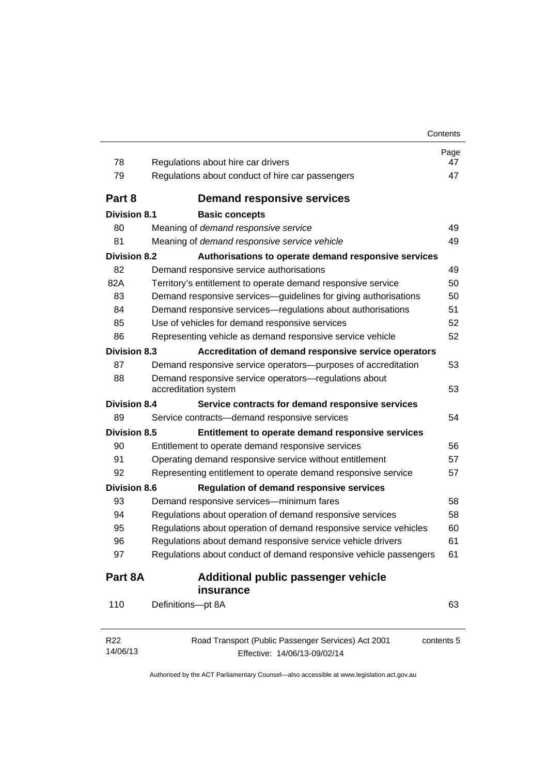| 78                  | Regulations about hire car drivers                                                  | Page<br>47 |
|---------------------|-------------------------------------------------------------------------------------|------------|
| 79                  | Regulations about conduct of hire car passengers                                    | 47         |
| Part 8              | <b>Demand responsive services</b>                                                   |            |
| <b>Division 8.1</b> | <b>Basic concepts</b>                                                               |            |
| 80                  | Meaning of demand responsive service                                                | 49         |
| 81                  | Meaning of demand responsive service vehicle                                        | 49         |
| <b>Division 8.2</b> | Authorisations to operate demand responsive services                                |            |
| 82                  | Demand responsive service authorisations                                            | 49         |
| 82A                 | Territory's entitlement to operate demand responsive service                        | 50         |
| 83                  | Demand responsive services-guidelines for giving authorisations                     | 50         |
| 84                  | Demand responsive services-regulations about authorisations                         | 51         |
| 85                  | Use of vehicles for demand responsive services                                      | 52         |
| 86                  | Representing vehicle as demand responsive service vehicle                           | 52         |
| <b>Division 8.3</b> | Accreditation of demand responsive service operators                                |            |
| 87                  | Demand responsive service operators-purposes of accreditation                       | 53         |
| 88                  | Demand responsive service operators-regulations about<br>accreditation system       | 53         |
| <b>Division 8.4</b> | Service contracts for demand responsive services                                    |            |
| 89                  | Service contracts-demand responsive services                                        | 54         |
| <b>Division 8.5</b> | Entitlement to operate demand responsive services                                   |            |
| 90                  | Entitlement to operate demand responsive services                                   | 56         |
| 91                  | Operating demand responsive service without entitlement                             | 57         |
| 92                  | Representing entitlement to operate demand responsive service                       | 57         |
| <b>Division 8.6</b> | <b>Regulation of demand responsive services</b>                                     |            |
| 93                  | Demand responsive services-minimum fares                                            | 58         |
| 94                  | Regulations about operation of demand responsive services                           | 58         |
| 95                  | Regulations about operation of demand responsive service vehicles                   | 60         |
| 96                  | Regulations about demand responsive service vehicle drivers                         | 61         |
| 97                  | Regulations about conduct of demand responsive vehicle passengers                   | 61         |
| Part 8A             | Additional public passenger vehicle<br>insurance                                    |            |
| 110                 | Definitions-pt 8A                                                                   | 63         |
| R22<br>14/06/13     | Road Transport (Public Passenger Services) Act 2001<br>Effective: 14/06/13-09/02/14 | contents 5 |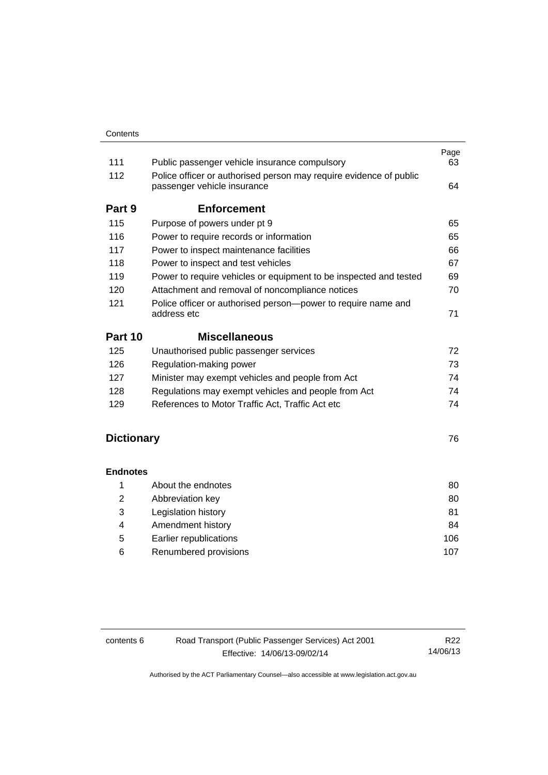| 111     | Public passenger vehicle insurance compulsory                                                     | Page<br>63 |
|---------|---------------------------------------------------------------------------------------------------|------------|
| 112     | Police officer or authorised person may require evidence of public<br>passenger vehicle insurance | 64         |
| Part 9  | <b>Enforcement</b>                                                                                |            |
| 115     | Purpose of powers under pt 9                                                                      | 65         |
| 116     | Power to require records or information                                                           | 65         |
| 117     | Power to inspect maintenance facilities                                                           | 66         |
| 118     | Power to inspect and test vehicles                                                                | 67         |
| 119     | Power to require vehicles or equipment to be inspected and tested                                 | 69         |
| 120     | Attachment and removal of noncompliance notices                                                   | 70         |
| 121     | Police officer or authorised person-power to require name and<br>address etc                      | 71         |
| Part 10 | <b>Miscellaneous</b>                                                                              |            |
| 125     | Unauthorised public passenger services                                                            | 72         |
| 126     | Regulation-making power                                                                           | 73         |
| 127     | Minister may exempt vehicles and people from Act                                                  | 74         |
| 128     | Regulations may exempt vehicles and people from Act                                               | 74         |
| 129     | References to Motor Traffic Act, Traffic Act etc.                                                 | 74         |
|         |                                                                                                   |            |

# **[Dictionary](#page-83-0)** [76](#page-83-0)

#### **[Endnotes](#page-87-0)**

|   | About the endnotes     | 80  |
|---|------------------------|-----|
| 2 | Abbreviation key       | 80  |
| 3 | Legislation history    | 81  |
| 4 | Amendment history      | 84  |
| 5 | Earlier republications | 106 |
| 6 | Renumbered provisions  | 107 |

| contents 6 | Road Transport (Public Passenger Services) Act 2001 | R22      |
|------------|-----------------------------------------------------|----------|
|            | Effective: 14/06/13-09/02/14                        | 14/06/13 |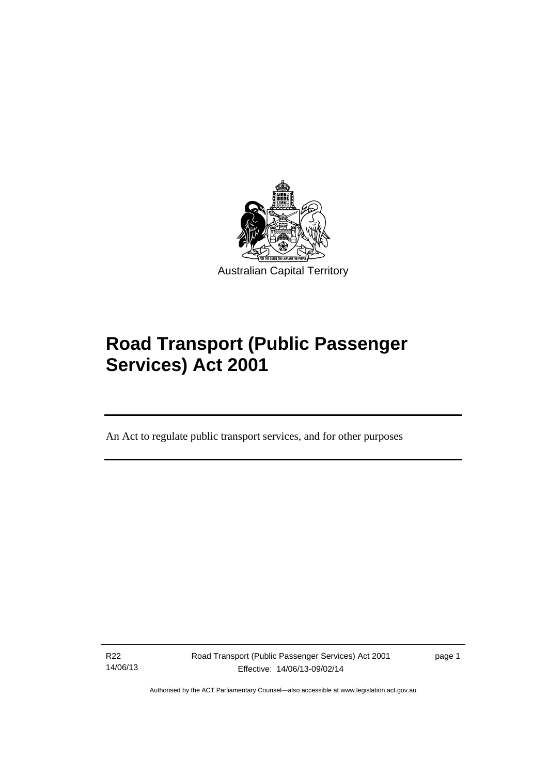

# **Road Transport (Public Passenger Services) Act 2001**

An Act to regulate public transport services, and for other purposes

R22 14/06/13

Ī

Road Transport (Public Passenger Services) Act 2001 Effective: 14/06/13-09/02/14

page 1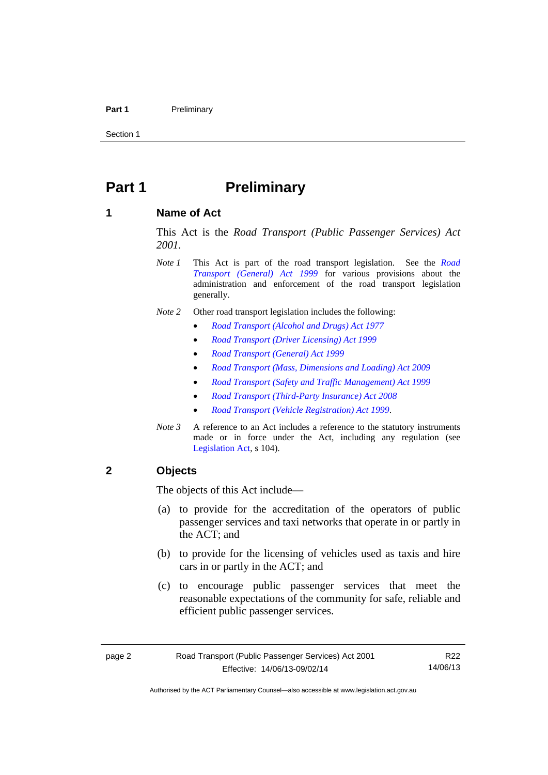#### Part 1 **Preliminary**

Section 1

# <span id="page-9-0"></span>**Part 1** Preliminary

#### <span id="page-9-1"></span>**1 Name of Act**

This Act is the *Road Transport (Public Passenger Services) Act 2001.* 

- *Note 1* This Act is part of the road transport legislation. See the *[Road](http://www.legislation.act.gov.au/a/1999-77)  [Transport \(General\) Act 1999](http://www.legislation.act.gov.au/a/1999-77)* for various provisions about the administration and enforcement of the road transport legislation generally.
- *Note 2* Other road transport legislation includes the following:
	- *[Road Transport \(Alcohol and Drugs\) Act 1977](http://www.legislation.act.gov.au/a/1977-17)*
	- *[Road Transport \(Driver Licensing\) Act 1999](http://www.legislation.act.gov.au/a/1999-78)*
	- *[Road Transport \(General\) Act 1999](http://www.legislation.act.gov.au/a/1999-77)*
	- *[Road Transport \(Mass, Dimensions and Loading\) Act 2009](http://www.legislation.act.gov.au/a/2009-22)*
	- *[Road Transport \(Safety and Traffic Management\) Act 1999](http://www.legislation.act.gov.au/a/1999-80)*
	- *[Road Transport \(Third-Party Insurance\) Act 2008](http://www.legislation.act.gov.au/a/2008-1)*
	- *[Road Transport \(Vehicle Registration\) Act 1999](http://www.legislation.act.gov.au/a/1999-81)*.
- *Note 3* A reference to an Act includes a reference to the statutory instruments made or in force under the Act, including any regulation (see [Legislation Act,](http://www.legislation.act.gov.au/a/2001-14) s 104).

#### <span id="page-9-2"></span>**2 Objects**

The objects of this Act include—

- (a) to provide for the accreditation of the operators of public passenger services and taxi networks that operate in or partly in the ACT; and
- (b) to provide for the licensing of vehicles used as taxis and hire cars in or partly in the ACT; and
- (c) to encourage public passenger services that meet the reasonable expectations of the community for safe, reliable and efficient public passenger services.

R22 14/06/13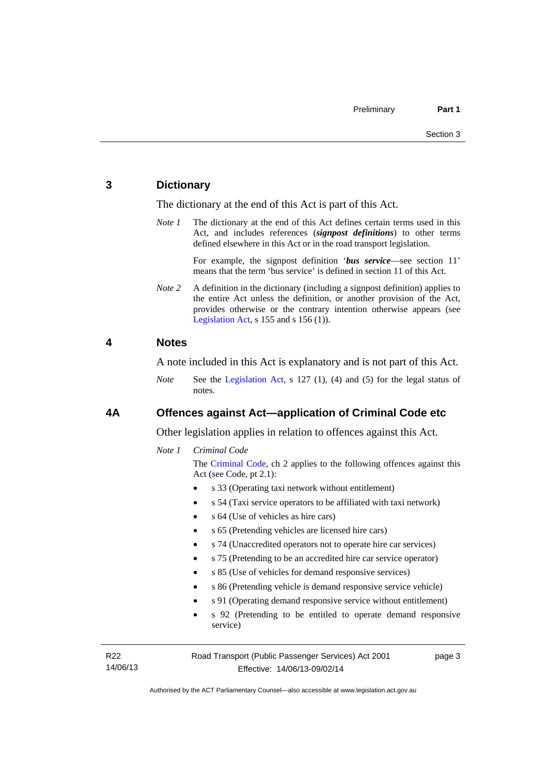#### <span id="page-10-0"></span>**3 Dictionary**

The dictionary at the end of this Act is part of this Act.

*Note 1* The dictionary at the end of this Act defines certain terms used in this Act, and includes references (*signpost definitions*) to other terms defined elsewhere in this Act or in the road transport legislation.

> For example, the signpost definition '*bus service*—see section 11' means that the term 'bus service' is defined in section 11 of this Act.

*Note* 2 A definition in the dictionary (including a signpost definition) applies to the entire Act unless the definition, or another provision of the Act, provides otherwise or the contrary intention otherwise appears (see [Legislation Act,](http://www.legislation.act.gov.au/a/2001-14) s  $155$  and s  $156$  (1)).

#### <span id="page-10-1"></span>**4 Notes**

A note included in this Act is explanatory and is not part of this Act.

*Note* See the [Legislation Act](http://www.legislation.act.gov.au/a/2001-14), s 127 (1), (4) and (5) for the legal status of notes.

#### <span id="page-10-2"></span>**4A Offences against Act—application of Criminal Code etc**

Other legislation applies in relation to offences against this Act.

#### *Note 1 Criminal Code*

The [Criminal Code](http://www.legislation.act.gov.au/a/2002-51), ch 2 applies to the following offences against this Act (see Code, pt 2.1):

- s 33 (Operating taxi network without entitlement)
- s 54 (Taxi service operators to be affiliated with taxi network)
- s 64 (Use of vehicles as hire cars)
- s 65 (Pretending vehicles are licensed hire cars)
- s 74 (Unaccredited operators not to operate hire car services)
- s 75 (Pretending to be an accredited hire car service operator)
- s 85 (Use of vehicles for demand responsive services)
- s 86 (Pretending vehicle is demand responsive service vehicle)
- s 91 (Operating demand responsive service without entitlement)
- s 92 (Pretending to be entitled to operate demand responsive service)

R22 14/06/13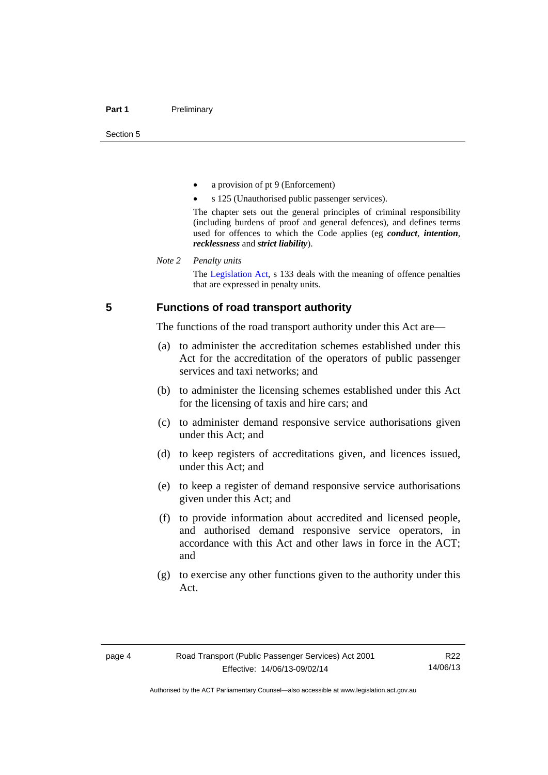- a provision of pt 9 (Enforcement)
- s 125 (Unauthorised public passenger services).

The chapter sets out the general principles of criminal responsibility (including burdens of proof and general defences), and defines terms used for offences to which the Code applies (eg *conduct*, *intention*, *recklessness* and *strict liability*).

#### *Note 2 Penalty units*

The [Legislation Act](http://www.legislation.act.gov.au/a/2001-14), s 133 deals with the meaning of offence penalties that are expressed in penalty units.

#### <span id="page-11-0"></span>**5 Functions of road transport authority**

The functions of the road transport authority under this Act are—

- (a) to administer the accreditation schemes established under this Act for the accreditation of the operators of public passenger services and taxi networks; and
- (b) to administer the licensing schemes established under this Act for the licensing of taxis and hire cars; and
- (c) to administer demand responsive service authorisations given under this Act; and
- (d) to keep registers of accreditations given, and licences issued, under this Act; and
- (e) to keep a register of demand responsive service authorisations given under this Act; and
- (f) to provide information about accredited and licensed people, and authorised demand responsive service operators, in accordance with this Act and other laws in force in the ACT; and
- (g) to exercise any other functions given to the authority under this Act.

R22 14/06/13

Authorised by the ACT Parliamentary Counsel—also accessible at www.legislation.act.gov.au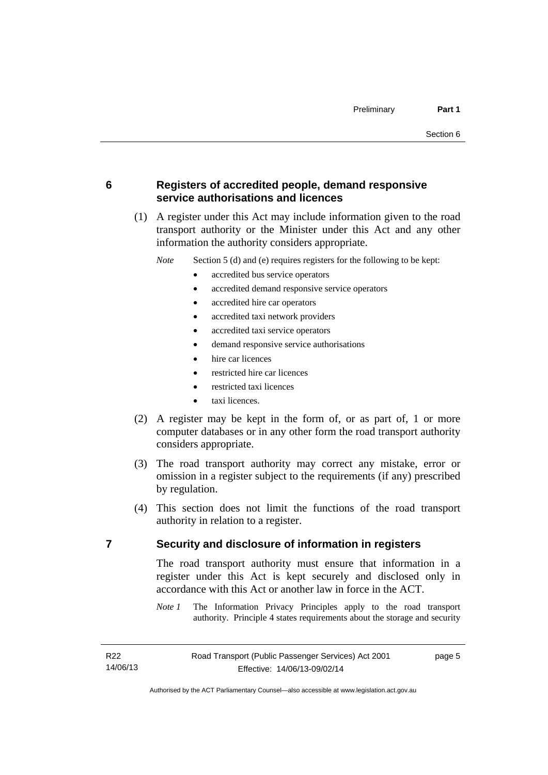### <span id="page-12-0"></span>**6 Registers of accredited people, demand responsive service authorisations and licences**

 (1) A register under this Act may include information given to the road transport authority or the Minister under this Act and any other information the authority considers appropriate.

*Note* Section 5 (d) and (e) requires registers for the following to be kept:

- accredited bus service operators
- accredited demand responsive service operators
- accredited hire car operators
- accredited taxi network providers
- accredited taxi service operators
- demand responsive service authorisations
- hire car licences
- restricted hire car licences
- restricted taxi licences
- taxi licences.
- (2) A register may be kept in the form of, or as part of, 1 or more computer databases or in any other form the road transport authority considers appropriate.
- (3) The road transport authority may correct any mistake, error or omission in a register subject to the requirements (if any) prescribed by regulation.
- (4) This section does not limit the functions of the road transport authority in relation to a register.

#### <span id="page-12-1"></span>**7 Security and disclosure of information in registers**

The road transport authority must ensure that information in a register under this Act is kept securely and disclosed only in accordance with this Act or another law in force in the ACT.

*Note 1* The Information Privacy Principles apply to the road transport authority. Principle 4 states requirements about the storage and security

page 5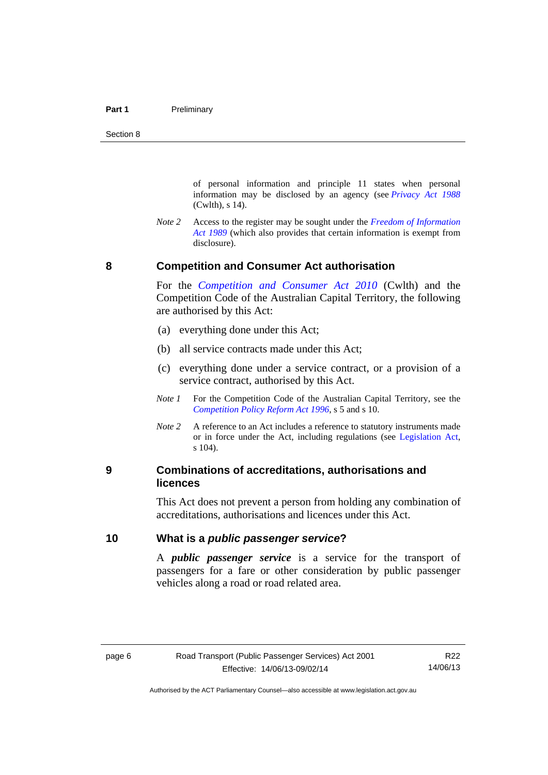of personal information and principle 11 states when personal information may be disclosed by an agency (see *[Privacy Act 1988](http://www.comlaw.gov.au/Current/C2004A03712)* (Cwlth), s 14).

*Note 2* Access to the register may be sought under the *[Freedom of Information](http://www.legislation.act.gov.au/a/alt_a1989-46co)  [Act 1989](http://www.legislation.act.gov.au/a/alt_a1989-46co)* (which also provides that certain information is exempt from disclosure).

#### **8 Competition and Consumer Act authorisation**

For the *[Competition and Consumer Act 2010](http://www.comlaw.gov.au/Details/C2013C00004)* (Cwlth) and the Competition Code of the Australian Capital Territory, the following are authorised by this Act:

- (a) everything done under this Act;
- (b) all service contracts made under this Act;
- (c) everything done under a service contract, or a provision of a service contract, authorised by this Act.
- *Note 1* For the Competition Code of the Australian Capital Territory, see the *[Competition Policy Reform Act 1996](http://www.legislation.act.gov.au/a/1996-21)*, s 5 and s 10.
- *Note 2* A reference to an Act includes a reference to statutory instruments made or in force under the Act, including regulations (see [Legislation Act,](http://www.legislation.act.gov.au/a/2001-14) s 104).

#### <span id="page-13-1"></span>**9 Combinations of accreditations, authorisations and licences**

This Act does not prevent a person from holding any combination of accreditations, authorisations and licences under this Act.

#### <span id="page-13-2"></span>**10 What is a** *public passenger service***?**

A *public passenger service* is a service for the transport of passengers for a fare or other consideration by public passenger vehicles along a road or road related area.

<span id="page-13-0"></span>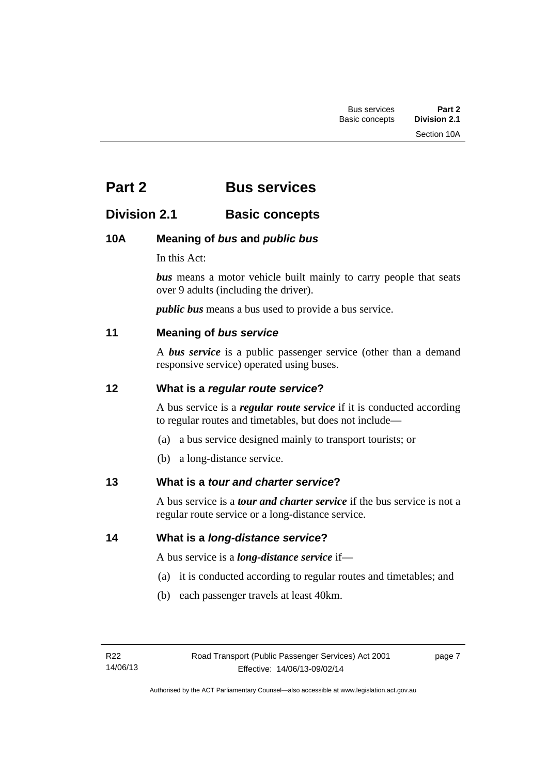# <span id="page-14-0"></span>**Part 2 Bus services**

## <span id="page-14-1"></span>**Division 2.1 Basic concepts**

## <span id="page-14-2"></span>**10A Meaning of** *bus* **and** *public bus*

In this Act:

*bus* means a motor vehicle built mainly to carry people that seats over 9 adults (including the driver).

*public bus* means a bus used to provide a bus service.

## <span id="page-14-3"></span>**11 Meaning of** *bus service*

A *bus service* is a public passenger service (other than a demand responsive service) operated using buses.

## <span id="page-14-4"></span>**12 What is a** *regular route service***?**

A bus service is a *regular route service* if it is conducted according to regular routes and timetables, but does not include—

- (a) a bus service designed mainly to transport tourists; or
- (b) a long-distance service.

## <span id="page-14-5"></span>**13 What is a** *tour and charter service***?**

A bus service is a *tour and charter service* if the bus service is not a regular route service or a long-distance service.

<span id="page-14-6"></span>**14 What is a** *long-distance service***?**

A bus service is a *long-distance service* if—

- (a) it is conducted according to regular routes and timetables; and
- (b) each passenger travels at least 40km.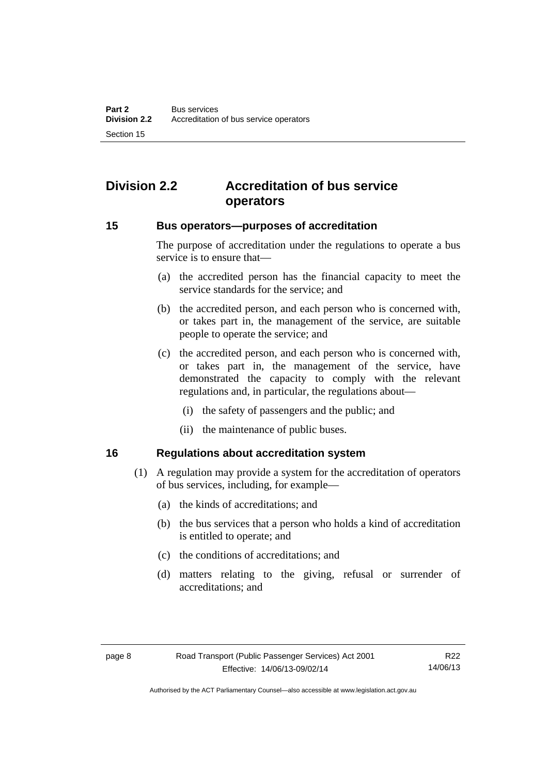# <span id="page-15-0"></span>**Division 2.2 Accreditation of bus service operators**

#### <span id="page-15-1"></span>**15 Bus operators—purposes of accreditation**

The purpose of accreditation under the regulations to operate a bus service is to ensure that—

- (a) the accredited person has the financial capacity to meet the service standards for the service; and
- (b) the accredited person, and each person who is concerned with, or takes part in, the management of the service, are suitable people to operate the service; and
- (c) the accredited person, and each person who is concerned with, or takes part in, the management of the service, have demonstrated the capacity to comply with the relevant regulations and, in particular, the regulations about—
	- (i) the safety of passengers and the public; and
	- (ii) the maintenance of public buses.

#### <span id="page-15-2"></span>**16 Regulations about accreditation system**

- (1) A regulation may provide a system for the accreditation of operators of bus services, including, for example—
	- (a) the kinds of accreditations; and
	- (b) the bus services that a person who holds a kind of accreditation is entitled to operate; and
	- (c) the conditions of accreditations; and
	- (d) matters relating to the giving, refusal or surrender of accreditations; and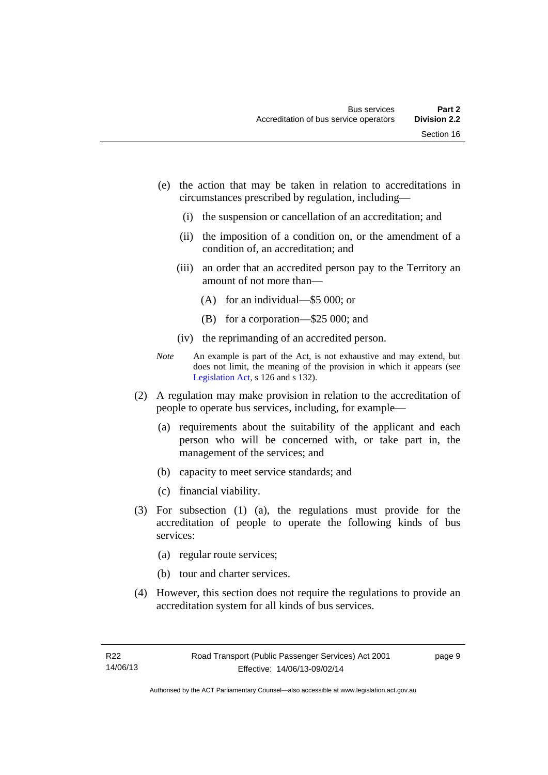- (e) the action that may be taken in relation to accreditations in circumstances prescribed by regulation, including—
	- (i) the suspension or cancellation of an accreditation; and
	- (ii) the imposition of a condition on, or the amendment of a condition of, an accreditation; and
	- (iii) an order that an accredited person pay to the Territory an amount of not more than—
		- (A) for an individual—\$5 000; or
		- (B) for a corporation—\$25 000; and
	- (iv) the reprimanding of an accredited person.
- *Note* An example is part of the Act, is not exhaustive and may extend, but does not limit, the meaning of the provision in which it appears (see [Legislation Act,](http://www.legislation.act.gov.au/a/2001-14) s 126 and s 132).
- (2) A regulation may make provision in relation to the accreditation of people to operate bus services, including, for example—
	- (a) requirements about the suitability of the applicant and each person who will be concerned with, or take part in, the management of the services; and
	- (b) capacity to meet service standards; and
	- (c) financial viability.
- (3) For subsection (1) (a), the regulations must provide for the accreditation of people to operate the following kinds of bus services:
	- (a) regular route services;
	- (b) tour and charter services.
- (4) However, this section does not require the regulations to provide an accreditation system for all kinds of bus services.

page 9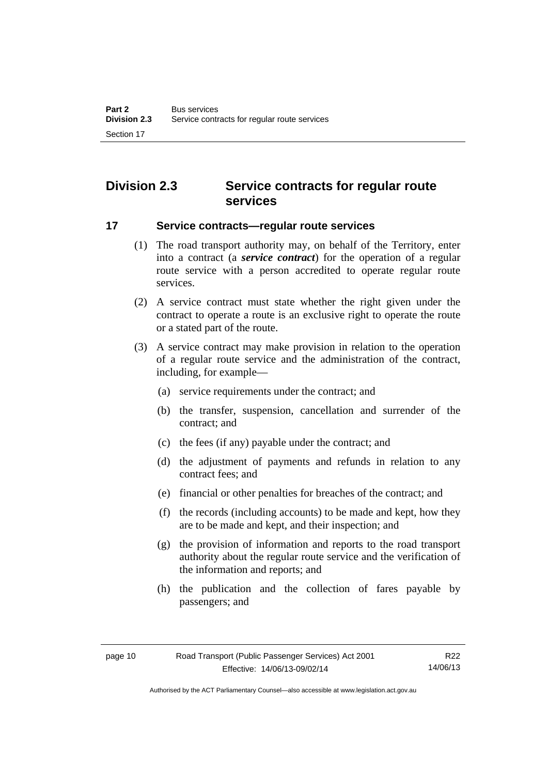# <span id="page-17-0"></span>**Division 2.3 Service contracts for regular route services**

#### <span id="page-17-1"></span>**17 Service contracts—regular route services**

- (1) The road transport authority may, on behalf of the Territory, enter into a contract (a *service contract*) for the operation of a regular route service with a person accredited to operate regular route services.
- (2) A service contract must state whether the right given under the contract to operate a route is an exclusive right to operate the route or a stated part of the route.
- (3) A service contract may make provision in relation to the operation of a regular route service and the administration of the contract, including, for example—
	- (a) service requirements under the contract; and
	- (b) the transfer, suspension, cancellation and surrender of the contract; and
	- (c) the fees (if any) payable under the contract; and
	- (d) the adjustment of payments and refunds in relation to any contract fees; and
	- (e) financial or other penalties for breaches of the contract; and
	- (f) the records (including accounts) to be made and kept, how they are to be made and kept, and their inspection; and
	- (g) the provision of information and reports to the road transport authority about the regular route service and the verification of the information and reports; and
	- (h) the publication and the collection of fares payable by passengers; and

Authorised by the ACT Parliamentary Counsel—also accessible at www.legislation.act.gov.au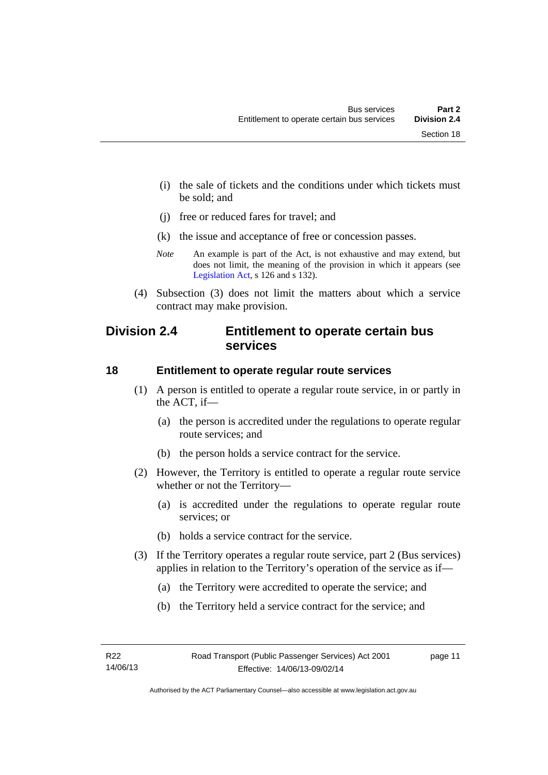(i) the sale of tickets and the conditions under which tickets must be sold; and

- (j) free or reduced fares for travel; and
- (k) the issue and acceptance of free or concession passes.
- *Note* An example is part of the Act, is not exhaustive and may extend, but does not limit, the meaning of the provision in which it appears (see [Legislation Act,](http://www.legislation.act.gov.au/a/2001-14) s 126 and s 132).
- (4) Subsection (3) does not limit the matters about which a service contract may make provision.

## <span id="page-18-0"></span>**Division 2.4 Entitlement to operate certain bus services**

#### <span id="page-18-1"></span>**18 Entitlement to operate regular route services**

- (1) A person is entitled to operate a regular route service, in or partly in the ACT, if—
	- (a) the person is accredited under the regulations to operate regular route services; and
	- (b) the person holds a service contract for the service.
- (2) However, the Territory is entitled to operate a regular route service whether or not the Territory—
	- (a) is accredited under the regulations to operate regular route services; or
	- (b) holds a service contract for the service.
- (3) If the Territory operates a regular route service, part 2 (Bus services) applies in relation to the Territory's operation of the service as if—
	- (a) the Territory were accredited to operate the service; and
	- (b) the Territory held a service contract for the service; and

page 11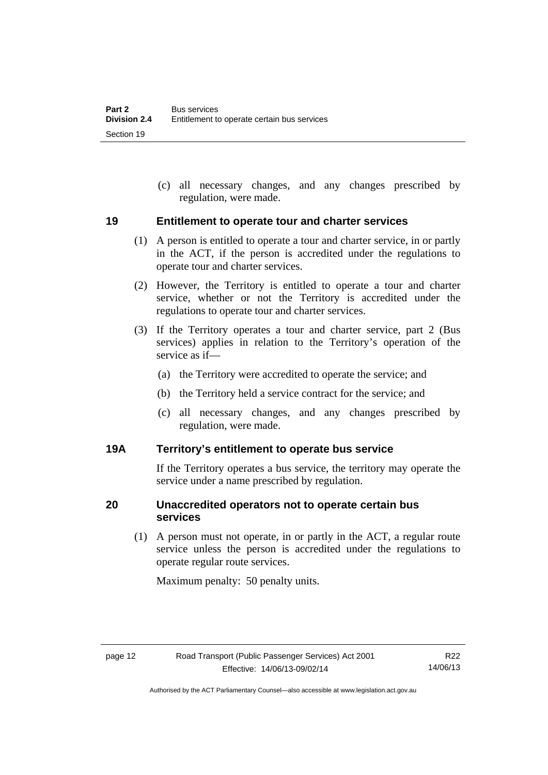(c) all necessary changes, and any changes prescribed by regulation, were made.

#### <span id="page-19-0"></span>**19 Entitlement to operate tour and charter services**

- (1) A person is entitled to operate a tour and charter service, in or partly in the ACT, if the person is accredited under the regulations to operate tour and charter services.
- (2) However, the Territory is entitled to operate a tour and charter service, whether or not the Territory is accredited under the regulations to operate tour and charter services.
- (3) If the Territory operates a tour and charter service, part 2 (Bus services) applies in relation to the Territory's operation of the service as if—
	- (a) the Territory were accredited to operate the service; and
	- (b) the Territory held a service contract for the service; and
	- (c) all necessary changes, and any changes prescribed by regulation, were made.

#### <span id="page-19-1"></span>**19A Territory's entitlement to operate bus service**

If the Territory operates a bus service, the territory may operate the service under a name prescribed by regulation.

#### <span id="page-19-2"></span>**20 Unaccredited operators not to operate certain bus services**

(1) A person must not operate, in or partly in the ACT, a regular route service unless the person is accredited under the regulations to operate regular route services.

Maximum penalty: 50 penalty units.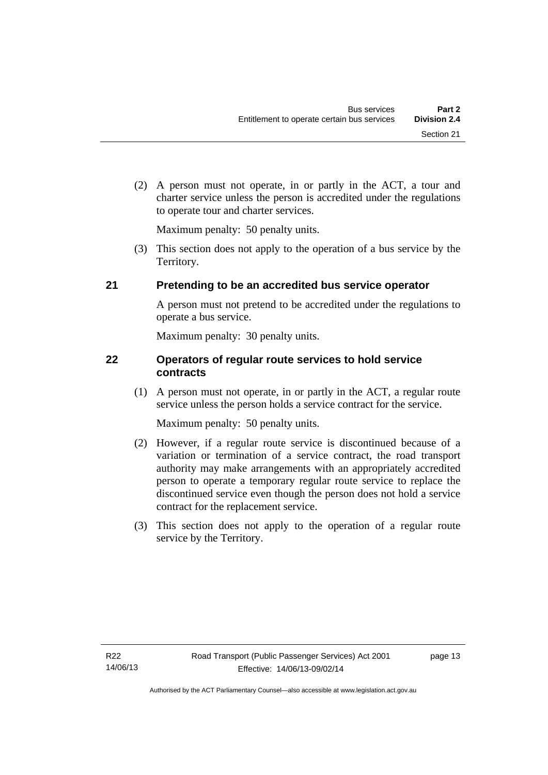(2) A person must not operate, in or partly in the ACT, a tour and charter service unless the person is accredited under the regulations to operate tour and charter services.

Maximum penalty: 50 penalty units.

 (3) This section does not apply to the operation of a bus service by the Territory.

## <span id="page-20-0"></span>**21 Pretending to be an accredited bus service operator**

A person must not pretend to be accredited under the regulations to operate a bus service.

Maximum penalty: 30 penalty units.

#### <span id="page-20-1"></span>**22 Operators of regular route services to hold service contracts**

(1) A person must not operate, in or partly in the ACT, a regular route service unless the person holds a service contract for the service.

Maximum penalty: 50 penalty units.

- (2) However, if a regular route service is discontinued because of a variation or termination of a service contract, the road transport authority may make arrangements with an appropriately accredited person to operate a temporary regular route service to replace the discontinued service even though the person does not hold a service contract for the replacement service.
- (3) This section does not apply to the operation of a regular route service by the Territory.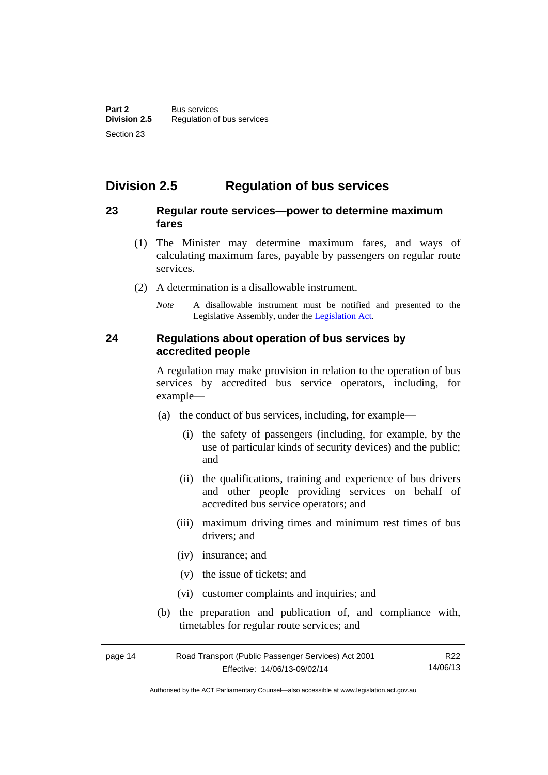# <span id="page-21-0"></span>**Division 2.5 Regulation of bus services**

#### <span id="page-21-1"></span>**23 Regular route services—power to determine maximum fares**

- (1) The Minister may determine maximum fares, and ways of calculating maximum fares, payable by passengers on regular route services.
- (2) A determination is a disallowable instrument.
	- *Note* A disallowable instrument must be notified and presented to the Legislative Assembly, under the [Legislation Act.](http://www.legislation.act.gov.au/a/2001-14)

#### <span id="page-21-2"></span>**24 Regulations about operation of bus services by accredited people**

A regulation may make provision in relation to the operation of bus services by accredited bus service operators, including, for example—

- (a) the conduct of bus services, including, for example—
	- (i) the safety of passengers (including, for example, by the use of particular kinds of security devices) and the public; and
	- (ii) the qualifications, training and experience of bus drivers and other people providing services on behalf of accredited bus service operators; and
	- (iii) maximum driving times and minimum rest times of bus drivers; and
	- (iv) insurance; and
	- (v) the issue of tickets; and
	- (vi) customer complaints and inquiries; and
- (b) the preparation and publication of, and compliance with, timetables for regular route services; and

| page 14 | Road Transport (Public Passenger Services) Act 2001 | R22      |
|---------|-----------------------------------------------------|----------|
|         | Effective: 14/06/13-09/02/14                        | 14/06/13 |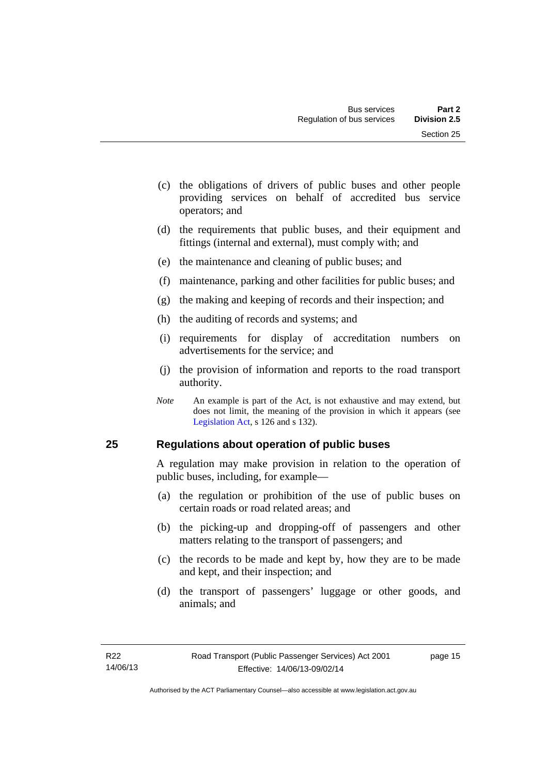- (c) the obligations of drivers of public buses and other people providing services on behalf of accredited bus service operators; and
- (d) the requirements that public buses, and their equipment and fittings (internal and external), must comply with; and
- (e) the maintenance and cleaning of public buses; and
- (f) maintenance, parking and other facilities for public buses; and
- (g) the making and keeping of records and their inspection; and
- (h) the auditing of records and systems; and
- (i) requirements for display of accreditation numbers on advertisements for the service; and
- (j) the provision of information and reports to the road transport authority.
- *Note* An example is part of the Act, is not exhaustive and may extend, but does not limit, the meaning of the provision in which it appears (see [Legislation Act,](http://www.legislation.act.gov.au/a/2001-14) s 126 and s 132).

#### <span id="page-22-0"></span>**25 Regulations about operation of public buses**

A regulation may make provision in relation to the operation of public buses, including, for example—

- (a) the regulation or prohibition of the use of public buses on certain roads or road related areas; and
- (b) the picking-up and dropping-off of passengers and other matters relating to the transport of passengers; and
- (c) the records to be made and kept by, how they are to be made and kept, and their inspection; and
- (d) the transport of passengers' luggage or other goods, and animals; and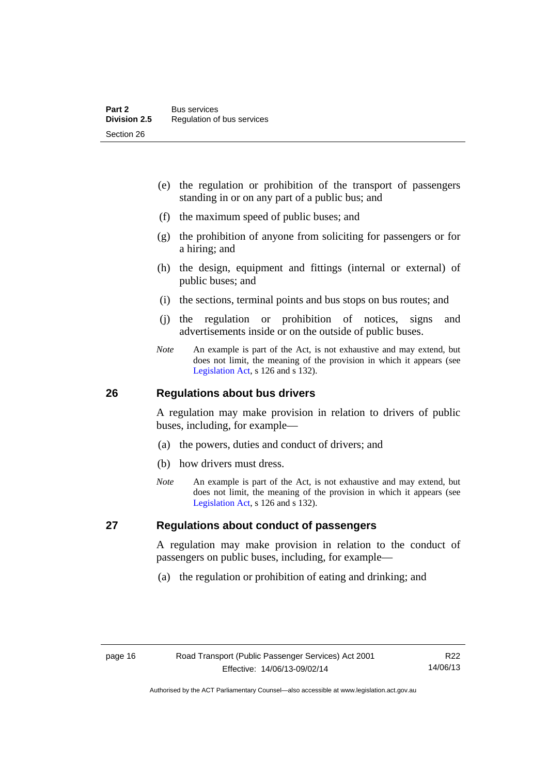- (e) the regulation or prohibition of the transport of passengers standing in or on any part of a public bus; and
- (f) the maximum speed of public buses; and
- (g) the prohibition of anyone from soliciting for passengers or for a hiring; and
- (h) the design, equipment and fittings (internal or external) of public buses; and
- (i) the sections, terminal points and bus stops on bus routes; and
- (j) the regulation or prohibition of notices, signs and advertisements inside or on the outside of public buses.
- *Note* An example is part of the Act, is not exhaustive and may extend, but does not limit, the meaning of the provision in which it appears (see [Legislation Act,](http://www.legislation.act.gov.au/a/2001-14) s 126 and s 132).

#### <span id="page-23-0"></span>**26 Regulations about bus drivers**

A regulation may make provision in relation to drivers of public buses, including, for example—

- (a) the powers, duties and conduct of drivers; and
- (b) how drivers must dress.
- *Note* An example is part of the Act, is not exhaustive and may extend, but does not limit, the meaning of the provision in which it appears (see [Legislation Act,](http://www.legislation.act.gov.au/a/2001-14) s 126 and s 132).

#### <span id="page-23-1"></span>**27 Regulations about conduct of passengers**

A regulation may make provision in relation to the conduct of passengers on public buses, including, for example—

(a) the regulation or prohibition of eating and drinking; and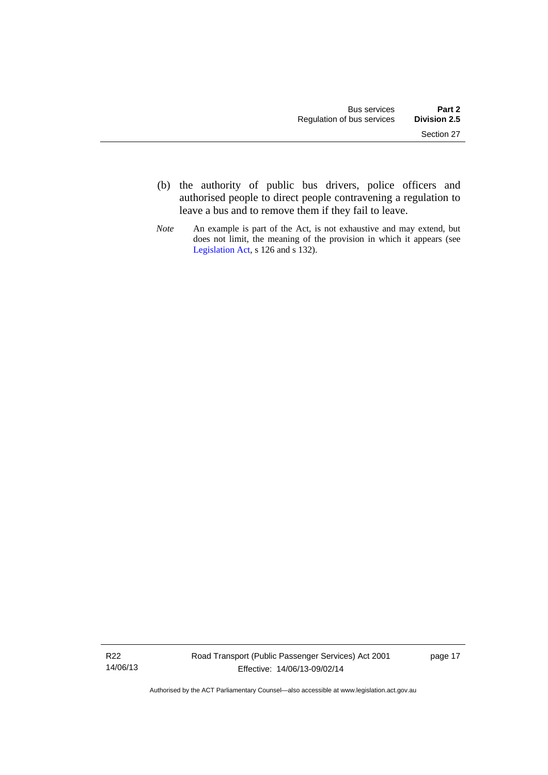- (b) the authority of public bus drivers, police officers and authorised people to direct people contravening a regulation to leave a bus and to remove them if they fail to leave.
- *Note* An example is part of the Act, is not exhaustive and may extend, but does not limit, the meaning of the provision in which it appears (see [Legislation Act,](http://www.legislation.act.gov.au/a/2001-14) s 126 and s 132).

R22 14/06/13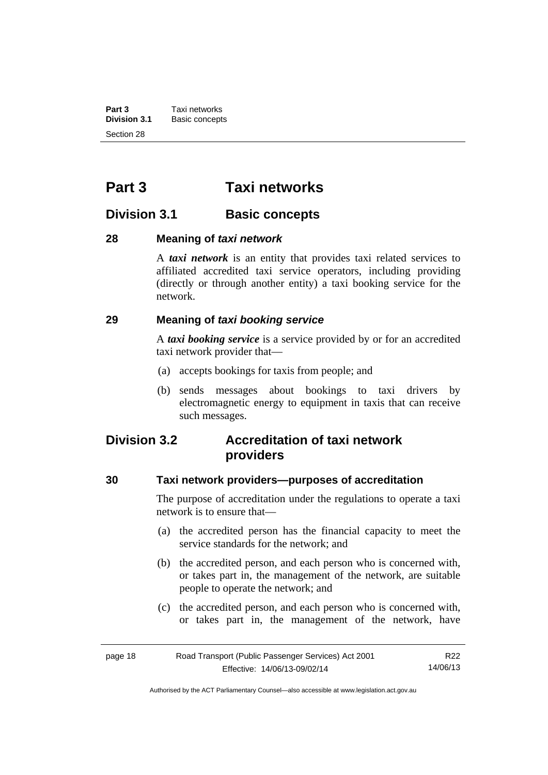**Part 3 Taxi networks**<br>**Division 3.1 Basic concept Division 3.1** Basic concepts Section 28

# <span id="page-25-0"></span>**Part 3 Taxi networks**

## <span id="page-25-1"></span>**Division 3.1 Basic concepts**

#### <span id="page-25-2"></span>**28 Meaning of** *taxi network*

A *taxi network* is an entity that provides taxi related services to affiliated accredited taxi service operators, including providing (directly or through another entity) a taxi booking service for the network.

#### <span id="page-25-3"></span>**29 Meaning of** *taxi booking service*

A *taxi booking service* is a service provided by or for an accredited taxi network provider that—

- (a) accepts bookings for taxis from people; and
- (b) sends messages about bookings to taxi drivers by electromagnetic energy to equipment in taxis that can receive such messages.

# <span id="page-25-4"></span>**Division 3.2 Accreditation of taxi network providers**

#### <span id="page-25-5"></span>**30 Taxi network providers—purposes of accreditation**

The purpose of accreditation under the regulations to operate a taxi network is to ensure that—

- (a) the accredited person has the financial capacity to meet the service standards for the network; and
- (b) the accredited person, and each person who is concerned with, or takes part in, the management of the network, are suitable people to operate the network; and
- (c) the accredited person, and each person who is concerned with, or takes part in, the management of the network, have

| page 18 | Road Transport (Public Passenger Services) Act 2001 | R22      |
|---------|-----------------------------------------------------|----------|
|         | Effective: 14/06/13-09/02/14                        | 14/06/13 |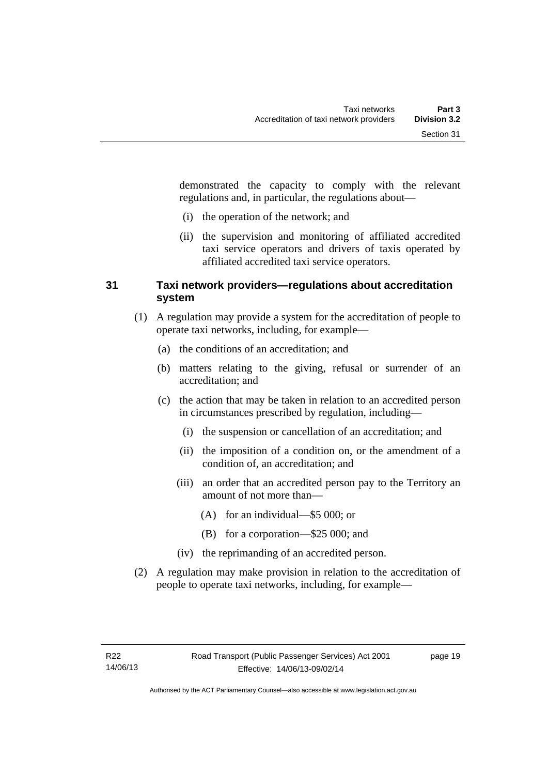demonstrated the capacity to comply with the relevant regulations and, in particular, the regulations about—

- (i) the operation of the network; and
- (ii) the supervision and monitoring of affiliated accredited taxi service operators and drivers of taxis operated by affiliated accredited taxi service operators.

### <span id="page-26-0"></span>**31 Taxi network providers—regulations about accreditation system**

- (1) A regulation may provide a system for the accreditation of people to operate taxi networks, including, for example—
	- (a) the conditions of an accreditation; and
	- (b) matters relating to the giving, refusal or surrender of an accreditation; and
	- (c) the action that may be taken in relation to an accredited person in circumstances prescribed by regulation, including—
		- (i) the suspension or cancellation of an accreditation; and
		- (ii) the imposition of a condition on, or the amendment of a condition of, an accreditation; and
		- (iii) an order that an accredited person pay to the Territory an amount of not more than—
			- (A) for an individual—\$5 000; or
			- (B) for a corporation—\$25 000; and
		- (iv) the reprimanding of an accredited person.
- (2) A regulation may make provision in relation to the accreditation of people to operate taxi networks, including, for example—

page 19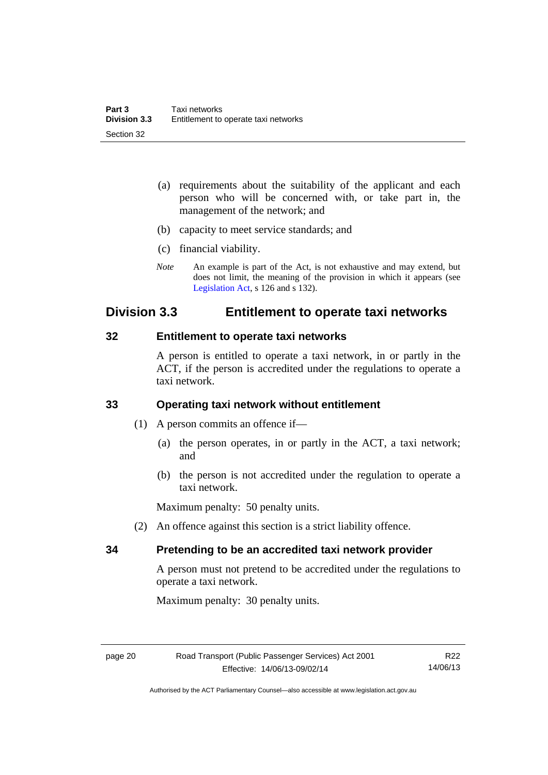- (a) requirements about the suitability of the applicant and each person who will be concerned with, or take part in, the management of the network; and
- (b) capacity to meet service standards; and
- (c) financial viability.
- *Note* An example is part of the Act, is not exhaustive and may extend, but does not limit, the meaning of the provision in which it appears (see [Legislation Act,](http://www.legislation.act.gov.au/a/2001-14) s 126 and s 132).

## <span id="page-27-0"></span>**Division 3.3 Entitlement to operate taxi networks**

#### <span id="page-27-1"></span>**32 Entitlement to operate taxi networks**

A person is entitled to operate a taxi network, in or partly in the ACT, if the person is accredited under the regulations to operate a taxi network.

## <span id="page-27-2"></span>**33 Operating taxi network without entitlement**

- (1) A person commits an offence if—
	- (a) the person operates, in or partly in the ACT, a taxi network; and
	- (b) the person is not accredited under the regulation to operate a taxi network.

Maximum penalty: 50 penalty units.

(2) An offence against this section is a strict liability offence.

## <span id="page-27-3"></span>**34 Pretending to be an accredited taxi network provider**

A person must not pretend to be accredited under the regulations to operate a taxi network.

Maximum penalty: 30 penalty units.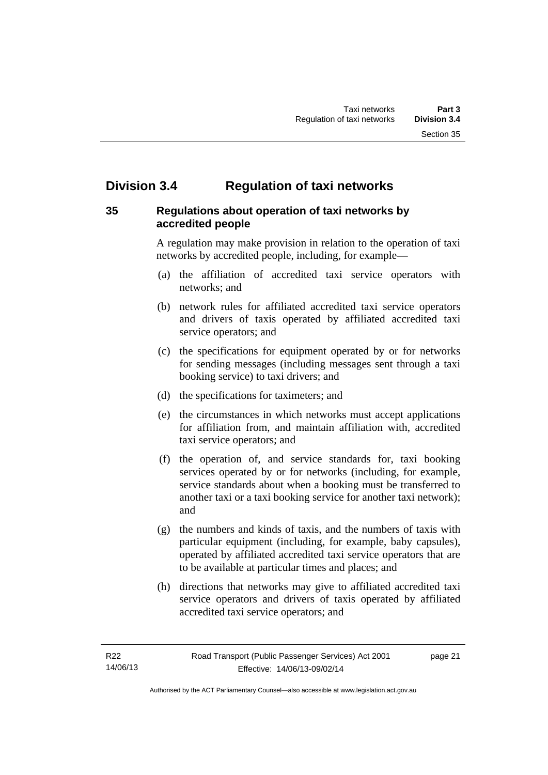# <span id="page-28-0"></span>**Division 3.4 Regulation of taxi networks**

## <span id="page-28-1"></span>**35 Regulations about operation of taxi networks by accredited people**

A regulation may make provision in relation to the operation of taxi networks by accredited people, including, for example—

- (a) the affiliation of accredited taxi service operators with networks; and
- (b) network rules for affiliated accredited taxi service operators and drivers of taxis operated by affiliated accredited taxi service operators; and
- (c) the specifications for equipment operated by or for networks for sending messages (including messages sent through a taxi booking service) to taxi drivers; and
- (d) the specifications for taximeters; and
- (e) the circumstances in which networks must accept applications for affiliation from, and maintain affiliation with, accredited taxi service operators; and
- (f) the operation of, and service standards for, taxi booking services operated by or for networks (including, for example, service standards about when a booking must be transferred to another taxi or a taxi booking service for another taxi network); and
- (g) the numbers and kinds of taxis, and the numbers of taxis with particular equipment (including, for example, baby capsules), operated by affiliated accredited taxi service operators that are to be available at particular times and places; and
- (h) directions that networks may give to affiliated accredited taxi service operators and drivers of taxis operated by affiliated accredited taxi service operators; and

page 21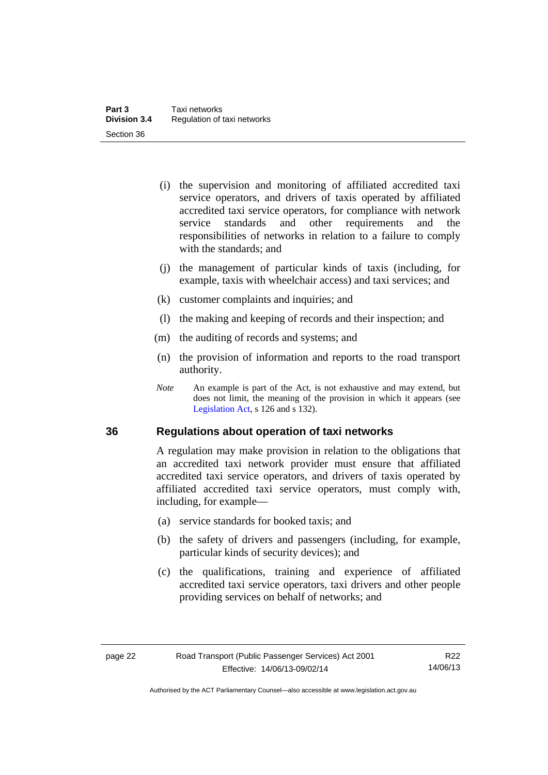- (i) the supervision and monitoring of affiliated accredited taxi service operators, and drivers of taxis operated by affiliated accredited taxi service operators, for compliance with network service standards and other requirements and the responsibilities of networks in relation to a failure to comply with the standards; and
- (j) the management of particular kinds of taxis (including, for example, taxis with wheelchair access) and taxi services; and
- (k) customer complaints and inquiries; and
- (l) the making and keeping of records and their inspection; and
- (m) the auditing of records and systems; and
- (n) the provision of information and reports to the road transport authority.
- *Note* An example is part of the Act, is not exhaustive and may extend, but does not limit, the meaning of the provision in which it appears (see [Legislation Act,](http://www.legislation.act.gov.au/a/2001-14) s 126 and s 132).

#### <span id="page-29-0"></span>**36 Regulations about operation of taxi networks**

A regulation may make provision in relation to the obligations that an accredited taxi network provider must ensure that affiliated accredited taxi service operators, and drivers of taxis operated by affiliated accredited taxi service operators, must comply with, including, for example—

- (a) service standards for booked taxis; and
- (b) the safety of drivers and passengers (including, for example, particular kinds of security devices); and
- (c) the qualifications, training and experience of affiliated accredited taxi service operators, taxi drivers and other people providing services on behalf of networks; and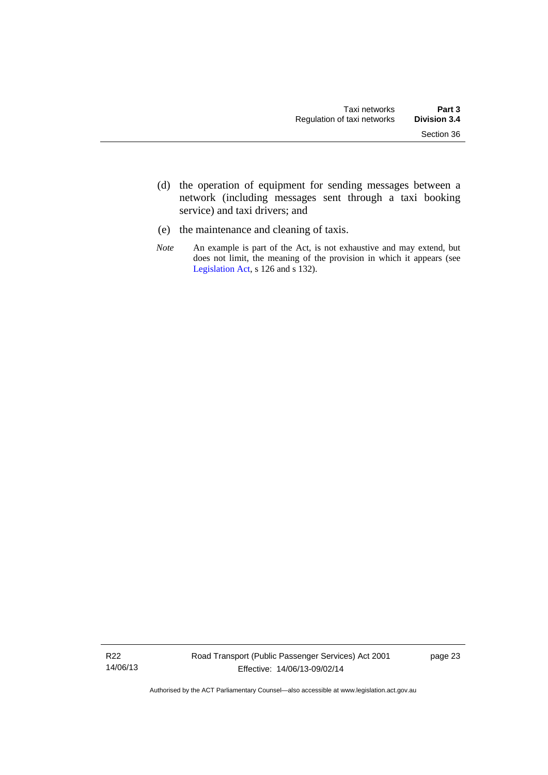- (d) the operation of equipment for sending messages between a network (including messages sent through a taxi booking service) and taxi drivers; and
- (e) the maintenance and cleaning of taxis.
- *Note* An example is part of the Act, is not exhaustive and may extend, but does not limit, the meaning of the provision in which it appears (see [Legislation Act,](http://www.legislation.act.gov.au/a/2001-14) s 126 and s 132).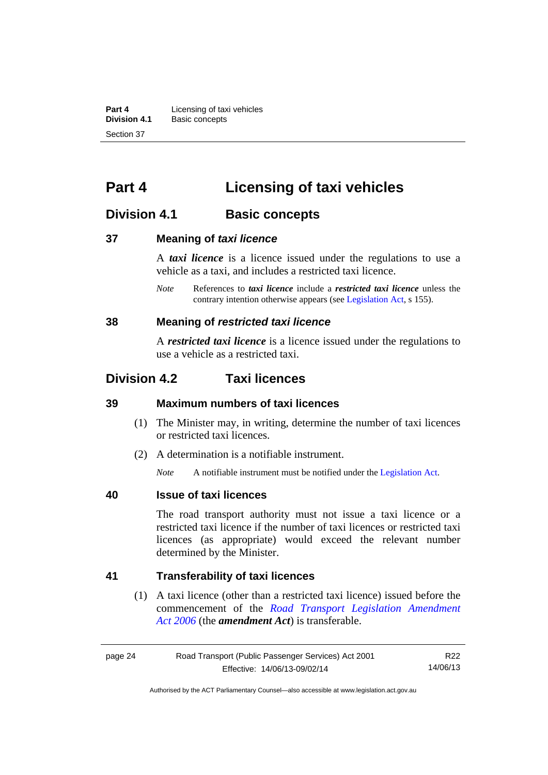**Part 4 Licensing of taxi vehicles**<br>**Division 4.1 Basic concepts Division 4.1** Basic concepts Section 37

# <span id="page-31-0"></span>**Part 4 Licensing of taxi vehicles**

## <span id="page-31-1"></span>**Division 4.1 Basic concepts**

#### <span id="page-31-2"></span>**37 Meaning of** *taxi licence*

A *taxi licence* is a licence issued under the regulations to use a vehicle as a taxi, and includes a restricted taxi licence.

*Note* References to *taxi licence* include a *restricted taxi licence* unless the contrary intention otherwise appears (see [Legislation Act,](http://www.legislation.act.gov.au/a/2001-14) s 155).

#### <span id="page-31-3"></span>**38 Meaning of** *restricted taxi licence*

A *restricted taxi licence* is a licence issued under the regulations to use a vehicle as a restricted taxi.

## <span id="page-31-4"></span>**Division 4.2 Taxi licences**

### <span id="page-31-5"></span>**39 Maximum numbers of taxi licences**

- (1) The Minister may, in writing, determine the number of taxi licences or restricted taxi licences.
- (2) A determination is a notifiable instrument.

*Note* A notifiable instrument must be notified under the [Legislation Act](http://www.legislation.act.gov.au/a/2001-14).

#### <span id="page-31-6"></span>**40 Issue of taxi licences**

The road transport authority must not issue a taxi licence or a restricted taxi licence if the number of taxi licences or restricted taxi licences (as appropriate) would exceed the relevant number determined by the Minister.

#### <span id="page-31-7"></span>**41 Transferability of taxi licences**

(1) A taxi licence (other than a restricted taxi licence) issued before the commencement of the *[Road Transport Legislation Amendment](http://www.legislation.act.gov.au/a/2006-26)  [Act 2006](http://www.legislation.act.gov.au/a/2006-26)* (the *amendment Act*) is transferable.

| page 24 | Road Transport (Public Passenger Services) Act 2001 | R22      |
|---------|-----------------------------------------------------|----------|
|         | Effective: 14/06/13-09/02/14                        | 14/06/13 |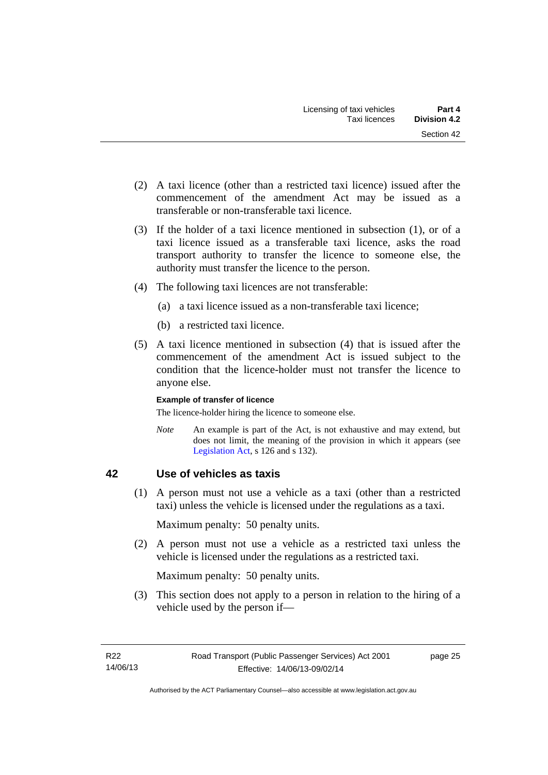- (2) A taxi licence (other than a restricted taxi licence) issued after the commencement of the amendment Act may be issued as a transferable or non-transferable taxi licence.
- (3) If the holder of a taxi licence mentioned in subsection (1), or of a taxi licence issued as a transferable taxi licence, asks the road transport authority to transfer the licence to someone else, the authority must transfer the licence to the person.
- (4) The following taxi licences are not transferable:
	- (a) a taxi licence issued as a non-transferable taxi licence;
	- (b) a restricted taxi licence.
- (5) A taxi licence mentioned in subsection (4) that is issued after the commencement of the amendment Act is issued subject to the condition that the licence-holder must not transfer the licence to anyone else.

#### **Example of transfer of licence**

The licence-holder hiring the licence to someone else.

*Note* An example is part of the Act, is not exhaustive and may extend, but does not limit, the meaning of the provision in which it appears (see [Legislation Act,](http://www.legislation.act.gov.au/a/2001-14) s 126 and s 132).

## <span id="page-32-0"></span>**42 Use of vehicles as taxis**

 (1) A person must not use a vehicle as a taxi (other than a restricted taxi) unless the vehicle is licensed under the regulations as a taxi.

Maximum penalty: 50 penalty units.

 (2) A person must not use a vehicle as a restricted taxi unless the vehicle is licensed under the regulations as a restricted taxi.

Maximum penalty: 50 penalty units.

 (3) This section does not apply to a person in relation to the hiring of a vehicle used by the person if—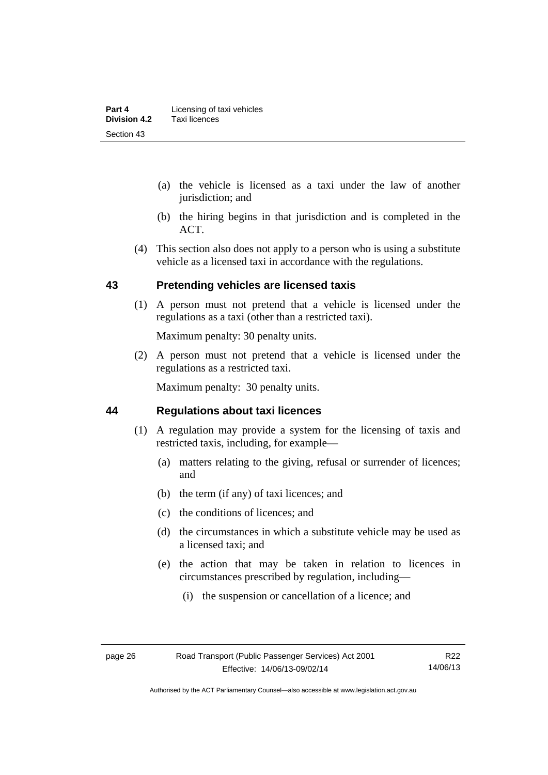- (a) the vehicle is licensed as a taxi under the law of another jurisdiction; and
- (b) the hiring begins in that jurisdiction and is completed in the ACT.
- (4) This section also does not apply to a person who is using a substitute vehicle as a licensed taxi in accordance with the regulations.

#### <span id="page-33-0"></span>**43 Pretending vehicles are licensed taxis**

(1) A person must not pretend that a vehicle is licensed under the regulations as a taxi (other than a restricted taxi).

Maximum penalty: 30 penalty units.

 (2) A person must not pretend that a vehicle is licensed under the regulations as a restricted taxi.

Maximum penalty: 30 penalty units.

#### <span id="page-33-1"></span>**44 Regulations about taxi licences**

- (1) A regulation may provide a system for the licensing of taxis and restricted taxis, including, for example—
	- (a) matters relating to the giving, refusal or surrender of licences; and
	- (b) the term (if any) of taxi licences; and
	- (c) the conditions of licences; and
	- (d) the circumstances in which a substitute vehicle may be used as a licensed taxi; and
	- (e) the action that may be taken in relation to licences in circumstances prescribed by regulation, including—
		- (i) the suspension or cancellation of a licence; and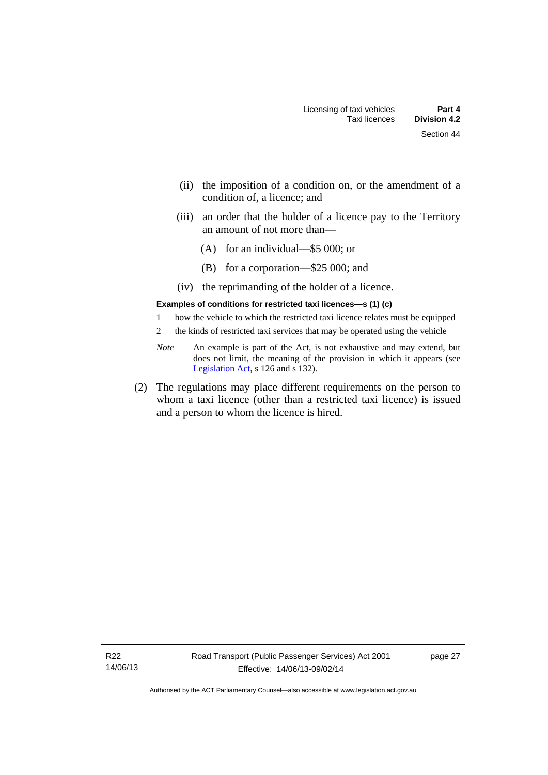- (ii) the imposition of a condition on, or the amendment of a condition of, a licence; and
- (iii) an order that the holder of a licence pay to the Territory an amount of not more than—
	- (A) for an individual—\$5 000; or
	- (B) for a corporation—\$25 000; and
- (iv) the reprimanding of the holder of a licence.

#### **Examples of conditions for restricted taxi licences—s (1) (c)**

- 1 how the vehicle to which the restricted taxi licence relates must be equipped
- 2 the kinds of restricted taxi services that may be operated using the vehicle
- *Note* An example is part of the Act, is not exhaustive and may extend, but does not limit, the meaning of the provision in which it appears (see [Legislation Act,](http://www.legislation.act.gov.au/a/2001-14) s 126 and s 132).
- (2) The regulations may place different requirements on the person to whom a taxi licence (other than a restricted taxi licence) is issued and a person to whom the licence is hired.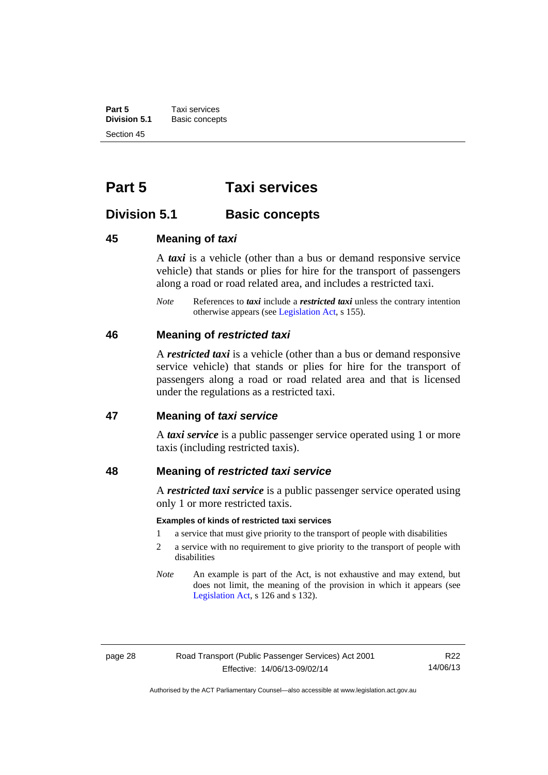**Part 5 Taxi services**<br>**Division 5.1 Basic concept Division 5.1** Basic concepts Section 45

# <span id="page-35-0"></span>**Part 5 Taxi services**

## <span id="page-35-1"></span>**Division 5.1 Basic concepts**

#### <span id="page-35-2"></span>**45 Meaning of** *taxi*

A *taxi* is a vehicle (other than a bus or demand responsive service vehicle) that stands or plies for hire for the transport of passengers along a road or road related area, and includes a restricted taxi.

*Note* References to *taxi* include a *restricted taxi* unless the contrary intention otherwise appears (see [Legislation Act,](http://www.legislation.act.gov.au/a/2001-14) s 155).

#### <span id="page-35-3"></span>**46 Meaning of** *restricted taxi*

A *restricted taxi* is a vehicle (other than a bus or demand responsive service vehicle) that stands or plies for hire for the transport of passengers along a road or road related area and that is licensed under the regulations as a restricted taxi.

#### <span id="page-35-4"></span>**47 Meaning of** *taxi service*

A *taxi service* is a public passenger service operated using 1 or more taxis (including restricted taxis).

#### <span id="page-35-5"></span>**48 Meaning of** *restricted taxi service*

A *restricted taxi service* is a public passenger service operated using only 1 or more restricted taxis.

#### **Examples of kinds of restricted taxi services**

- 1 a service that must give priority to the transport of people with disabilities
- 2 a service with no requirement to give priority to the transport of people with disabilities
- *Note* An example is part of the Act, is not exhaustive and may extend, but does not limit, the meaning of the provision in which it appears (see [Legislation Act,](http://www.legislation.act.gov.au/a/2001-14) s 126 and s 132).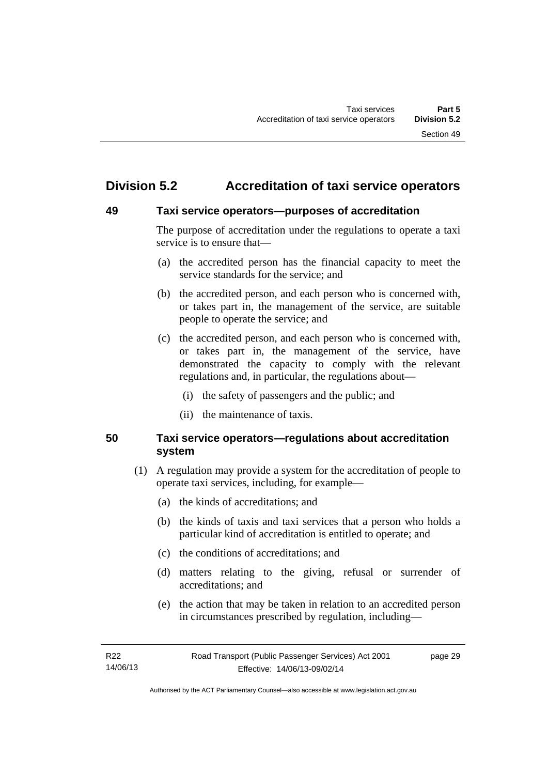# **Division 5.2 Accreditation of taxi service operators**

### **49 Taxi service operators—purposes of accreditation**

The purpose of accreditation under the regulations to operate a taxi service is to ensure that—

- (a) the accredited person has the financial capacity to meet the service standards for the service; and
- (b) the accredited person, and each person who is concerned with, or takes part in, the management of the service, are suitable people to operate the service; and
- (c) the accredited person, and each person who is concerned with, or takes part in, the management of the service, have demonstrated the capacity to comply with the relevant regulations and, in particular, the regulations about—
	- (i) the safety of passengers and the public; and
	- (ii) the maintenance of taxis.

# **50 Taxi service operators—regulations about accreditation system**

- (1) A regulation may provide a system for the accreditation of people to operate taxi services, including, for example—
	- (a) the kinds of accreditations; and
	- (b) the kinds of taxis and taxi services that a person who holds a particular kind of accreditation is entitled to operate; and
	- (c) the conditions of accreditations; and
	- (d) matters relating to the giving, refusal or surrender of accreditations; and
	- (e) the action that may be taken in relation to an accredited person in circumstances prescribed by regulation, including—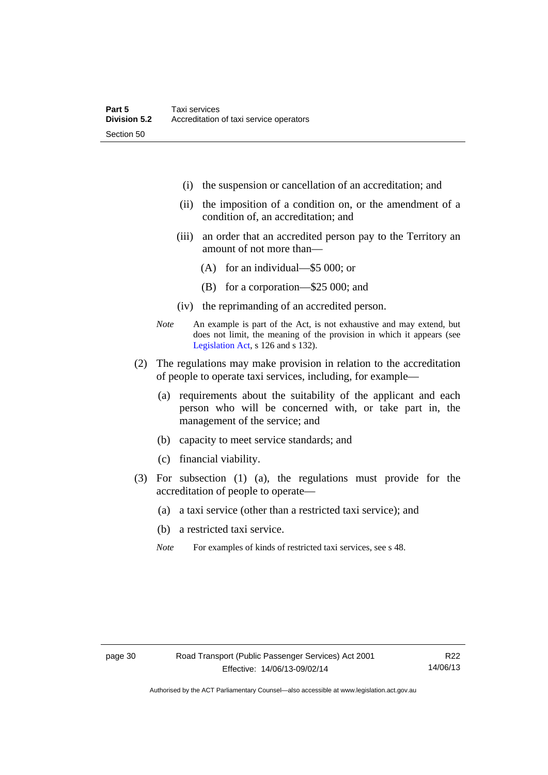- (i) the suspension or cancellation of an accreditation; and
- (ii) the imposition of a condition on, or the amendment of a condition of, an accreditation; and
- (iii) an order that an accredited person pay to the Territory an amount of not more than—
	- (A) for an individual—\$5 000; or
	- (B) for a corporation—\$25 000; and
- (iv) the reprimanding of an accredited person.
- *Note* An example is part of the Act, is not exhaustive and may extend, but does not limit, the meaning of the provision in which it appears (see [Legislation Act,](http://www.legislation.act.gov.au/a/2001-14) s 126 and s 132).
- (2) The regulations may make provision in relation to the accreditation of people to operate taxi services, including, for example—
	- (a) requirements about the suitability of the applicant and each person who will be concerned with, or take part in, the management of the service; and
	- (b) capacity to meet service standards; and
	- (c) financial viability.
- (3) For subsection (1) (a), the regulations must provide for the accreditation of people to operate—
	- (a) a taxi service (other than a restricted taxi service); and
	- (b) a restricted taxi service.
	- *Note* For examples of kinds of restricted taxi services, see s 48.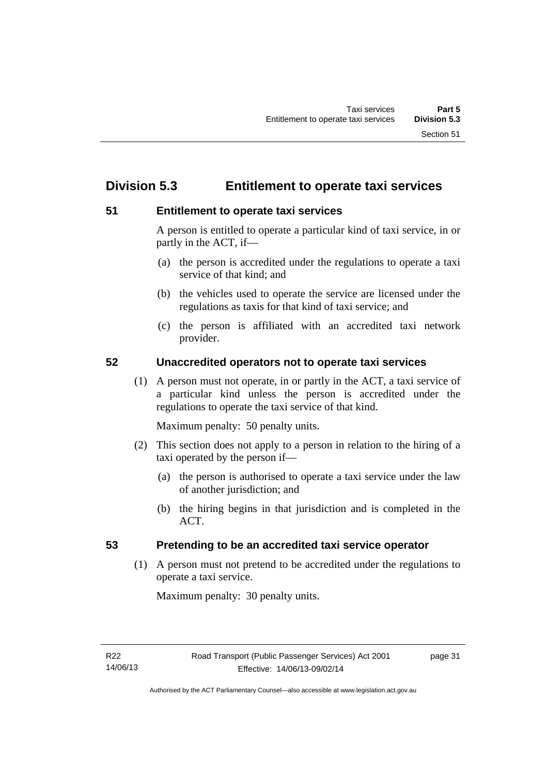# **Division 5.3 Entitlement to operate taxi services**

# **51 Entitlement to operate taxi services**

A person is entitled to operate a particular kind of taxi service, in or partly in the ACT, if—

- (a) the person is accredited under the regulations to operate a taxi service of that kind; and
- (b) the vehicles used to operate the service are licensed under the regulations as taxis for that kind of taxi service; and
- (c) the person is affiliated with an accredited taxi network provider.

# **52 Unaccredited operators not to operate taxi services**

(1) A person must not operate, in or partly in the ACT, a taxi service of a particular kind unless the person is accredited under the regulations to operate the taxi service of that kind.

Maximum penalty: 50 penalty units.

- (2) This section does not apply to a person in relation to the hiring of a taxi operated by the person if—
	- (a) the person is authorised to operate a taxi service under the law of another jurisdiction; and
	- (b) the hiring begins in that jurisdiction and is completed in the ACT.

# **53 Pretending to be an accredited taxi service operator**

(1) A person must not pretend to be accredited under the regulations to operate a taxi service.

Maximum penalty: 30 penalty units.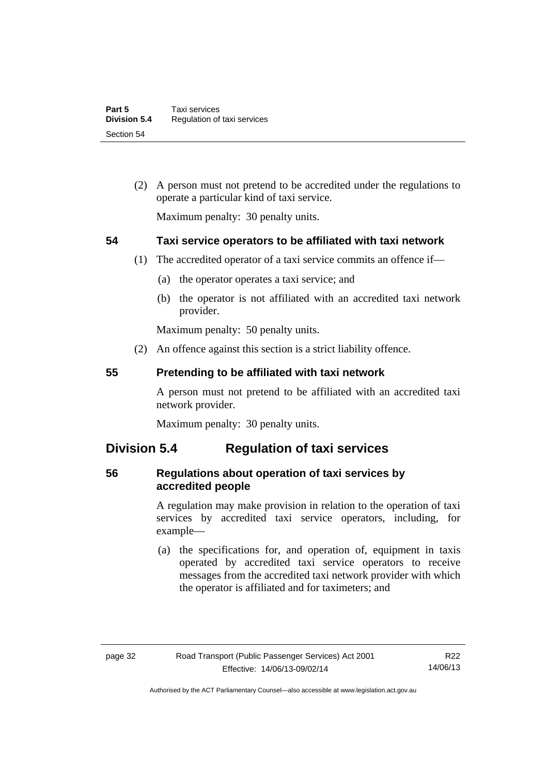(2) A person must not pretend to be accredited under the regulations to operate a particular kind of taxi service.

Maximum penalty: 30 penalty units.

# **54 Taxi service operators to be affiliated with taxi network**

- (1) The accredited operator of a taxi service commits an offence if—
	- (a) the operator operates a taxi service; and
	- (b) the operator is not affiliated with an accredited taxi network provider.

Maximum penalty: 50 penalty units.

(2) An offence against this section is a strict liability offence.

### **55 Pretending to be affiliated with taxi network**

A person must not pretend to be affiliated with an accredited taxi network provider.

Maximum penalty: 30 penalty units.

# **Division 5.4 Regulation of taxi services**

# **56 Regulations about operation of taxi services by accredited people**

A regulation may make provision in relation to the operation of taxi services by accredited taxi service operators, including, for example—

 (a) the specifications for, and operation of, equipment in taxis operated by accredited taxi service operators to receive messages from the accredited taxi network provider with which the operator is affiliated and for taximeters; and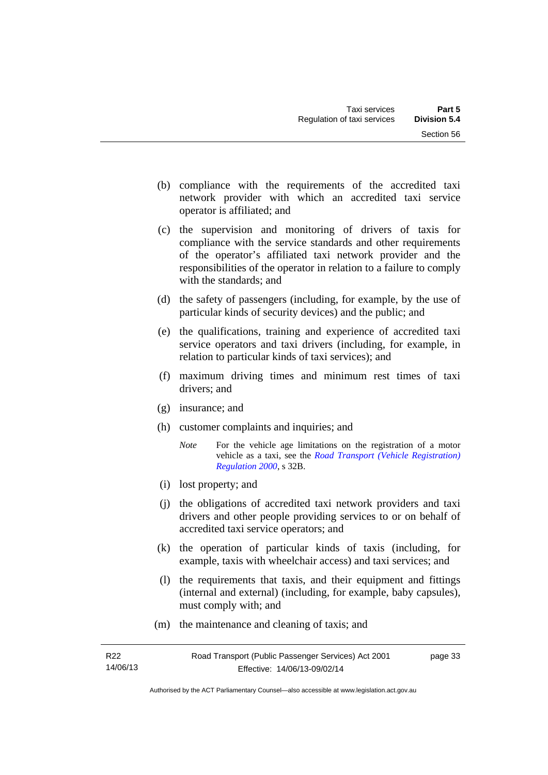- (b) compliance with the requirements of the accredited taxi network provider with which an accredited taxi service operator is affiliated; and
- (c) the supervision and monitoring of drivers of taxis for compliance with the service standards and other requirements of the operator's affiliated taxi network provider and the responsibilities of the operator in relation to a failure to comply with the standards; and
- (d) the safety of passengers (including, for example, by the use of particular kinds of security devices) and the public; and
- (e) the qualifications, training and experience of accredited taxi service operators and taxi drivers (including, for example, in relation to particular kinds of taxi services); and
- (f) maximum driving times and minimum rest times of taxi drivers; and
- (g) insurance; and
- (h) customer complaints and inquiries; and
	- *Note* For the vehicle age limitations on the registration of a motor vehicle as a taxi, see the *[Road Transport \(Vehicle Registration\)](http://www.legislation.act.gov.au/sl/2000-12)  [Regulation 2000](http://www.legislation.act.gov.au/sl/2000-12)*, s 32B.
- (i) lost property; and
- (j) the obligations of accredited taxi network providers and taxi drivers and other people providing services to or on behalf of accredited taxi service operators; and
- (k) the operation of particular kinds of taxis (including, for example, taxis with wheelchair access) and taxi services; and
- (l) the requirements that taxis, and their equipment and fittings (internal and external) (including, for example, baby capsules), must comply with; and
- (m) the maintenance and cleaning of taxis; and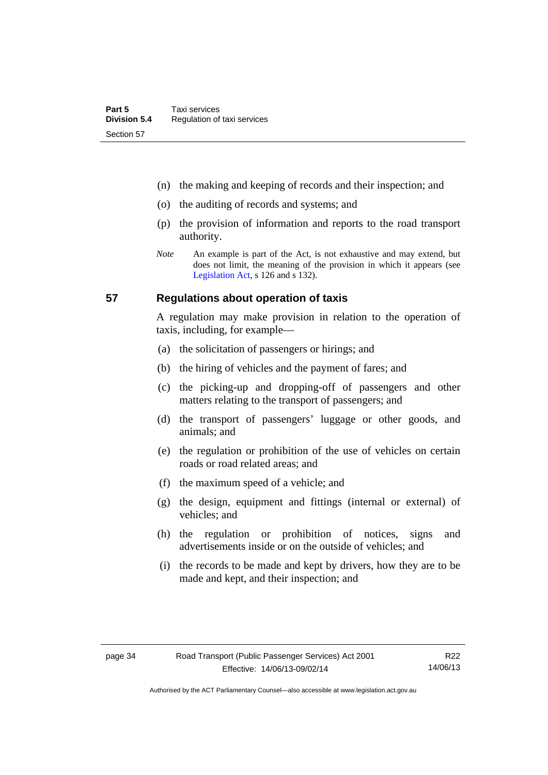- (n) the making and keeping of records and their inspection; and
- (o) the auditing of records and systems; and
- (p) the provision of information and reports to the road transport authority.
- *Note* An example is part of the Act, is not exhaustive and may extend, but does not limit, the meaning of the provision in which it appears (see [Legislation Act,](http://www.legislation.act.gov.au/a/2001-14) s 126 and s 132).

### **57 Regulations about operation of taxis**

A regulation may make provision in relation to the operation of taxis, including, for example—

- (a) the solicitation of passengers or hirings; and
- (b) the hiring of vehicles and the payment of fares; and
- (c) the picking-up and dropping-off of passengers and other matters relating to the transport of passengers; and
- (d) the transport of passengers' luggage or other goods, and animals; and
- (e) the regulation or prohibition of the use of vehicles on certain roads or road related areas; and
- (f) the maximum speed of a vehicle; and
- (g) the design, equipment and fittings (internal or external) of vehicles; and
- (h) the regulation or prohibition of notices, signs and advertisements inside or on the outside of vehicles; and
- (i) the records to be made and kept by drivers, how they are to be made and kept, and their inspection; and

Authorised by the ACT Parliamentary Counsel—also accessible at www.legislation.act.gov.au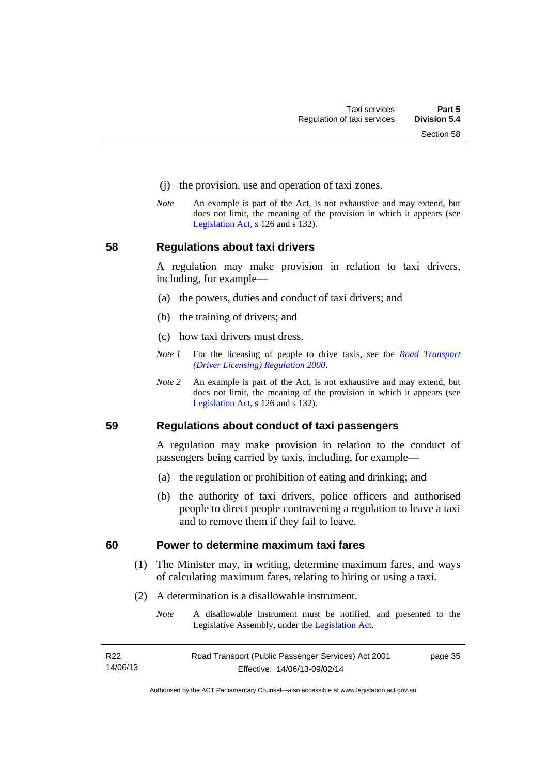- (j) the provision, use and operation of taxi zones.
- *Note* An example is part of the Act, is not exhaustive and may extend, but does not limit, the meaning of the provision in which it appears (see [Legislation Act,](http://www.legislation.act.gov.au/a/2001-14) s 126 and s 132).

#### **58 Regulations about taxi drivers**

A regulation may make provision in relation to taxi drivers, including, for example—

- (a) the powers, duties and conduct of taxi drivers; and
- (b) the training of drivers; and
- (c) how taxi drivers must dress.
- *Note 1* For the licensing of people to drive taxis, see the *[Road Transport](http://www.legislation.act.gov.au/sl/2000-14)  [\(Driver Licensing\) Regulation 2000](http://www.legislation.act.gov.au/sl/2000-14)*.
- *Note 2* An example is part of the Act, is not exhaustive and may extend, but does not limit, the meaning of the provision in which it appears (see [Legislation Act,](http://www.legislation.act.gov.au/a/2001-14) s 126 and s 132).

#### **59 Regulations about conduct of taxi passengers**

A regulation may make provision in relation to the conduct of passengers being carried by taxis, including, for example—

- (a) the regulation or prohibition of eating and drinking; and
- (b) the authority of taxi drivers, police officers and authorised people to direct people contravening a regulation to leave a taxi and to remove them if they fail to leave.

#### **60 Power to determine maximum taxi fares**

- (1) The Minister may, in writing, determine maximum fares, and ways of calculating maximum fares, relating to hiring or using a taxi.
- (2) A determination is a disallowable instrument.
	- *Note* A disallowable instrument must be notified, and presented to the Legislative Assembly, under the [Legislation Act.](http://www.legislation.act.gov.au/a/2001-14)

| R <sub>22</sub> | Road Transport (Public Passenger Services) Act 2001 | page 35 |
|-----------------|-----------------------------------------------------|---------|
| 14/06/13        | Effective: 14/06/13-09/02/14                        |         |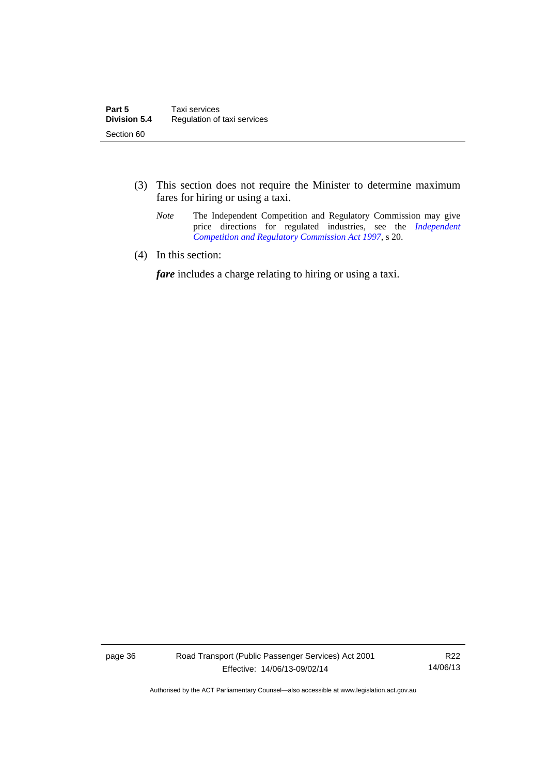- (3) This section does not require the Minister to determine maximum fares for hiring or using a taxi.
	- *Note* The Independent Competition and Regulatory Commission may give price directions for regulated industries, see the *Independent [Competition and Regulatory Commission Act 1997](http://www.legislation.act.gov.au/a/1997-77)*, s 20.
- (4) In this section:

*fare* includes a charge relating to hiring or using a taxi.

page 36 Road Transport (Public Passenger Services) Act 2001 Effective: 14/06/13-09/02/14

R22 14/06/13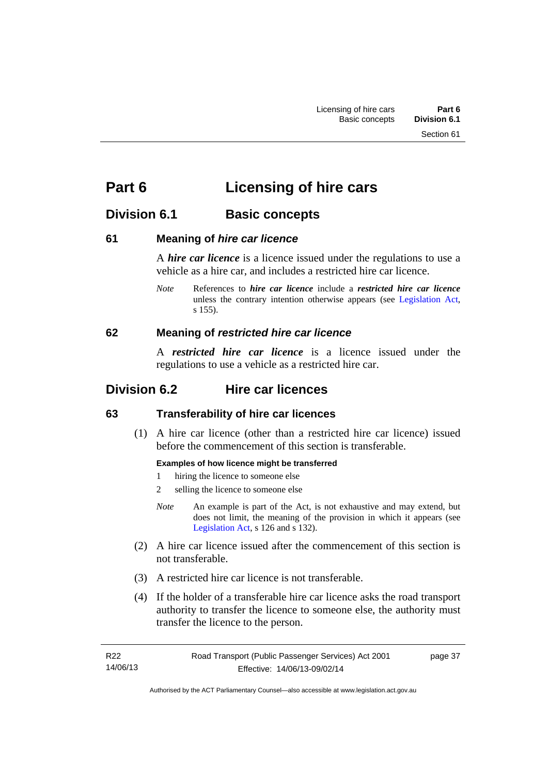# **Part 6 Licensing of hire cars**

# **Division 6.1 Basic concepts**

# **61 Meaning of** *hire car licence*

A *hire car licence* is a licence issued under the regulations to use a vehicle as a hire car, and includes a restricted hire car licence.

*Note* References to *hire car licence* include a *restricted hire car licence* unless the contrary intention otherwise appears (see [Legislation Act,](http://www.legislation.act.gov.au/a/2001-14) s 155).

# **62 Meaning of** *restricted hire car licence*

A *restricted hire car licence* is a licence issued under the regulations to use a vehicle as a restricted hire car.

# **Division 6.2 Hire car licences**

# **63 Transferability of hire car licences**

 (1) A hire car licence (other than a restricted hire car licence) issued before the commencement of this section is transferable.

## **Examples of how licence might be transferred**

- 1 hiring the licence to someone else
- 2 selling the licence to someone else
- *Note* An example is part of the Act, is not exhaustive and may extend, but does not limit, the meaning of the provision in which it appears (see [Legislation Act,](http://www.legislation.act.gov.au/a/2001-14) s 126 and s 132).
- (2) A hire car licence issued after the commencement of this section is not transferable.
- (3) A restricted hire car licence is not transferable.
- (4) If the holder of a transferable hire car licence asks the road transport authority to transfer the licence to someone else, the authority must transfer the licence to the person.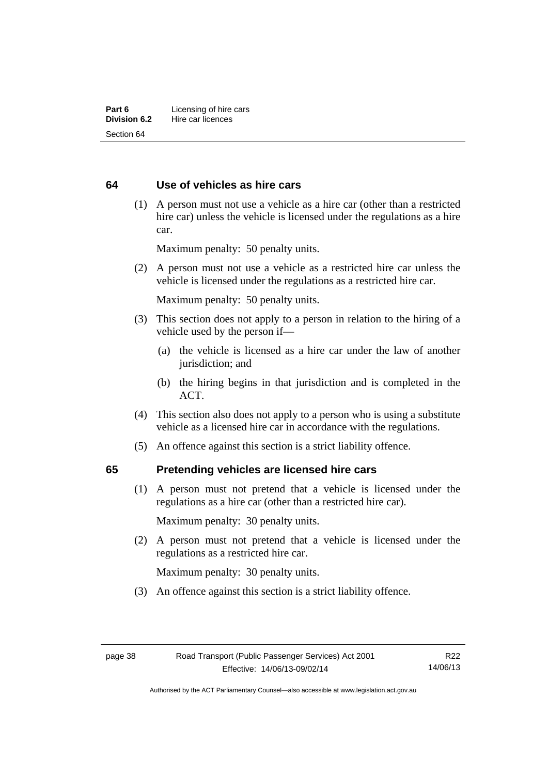## **64 Use of vehicles as hire cars**

 (1) A person must not use a vehicle as a hire car (other than a restricted hire car) unless the vehicle is licensed under the regulations as a hire car.

Maximum penalty: 50 penalty units.

 (2) A person must not use a vehicle as a restricted hire car unless the vehicle is licensed under the regulations as a restricted hire car.

Maximum penalty: 50 penalty units.

- (3) This section does not apply to a person in relation to the hiring of a vehicle used by the person if—
	- (a) the vehicle is licensed as a hire car under the law of another jurisdiction; and
	- (b) the hiring begins in that jurisdiction and is completed in the ACT.
- (4) This section also does not apply to a person who is using a substitute vehicle as a licensed hire car in accordance with the regulations.
- (5) An offence against this section is a strict liability offence.

#### **65 Pretending vehicles are licensed hire cars**

(1) A person must not pretend that a vehicle is licensed under the regulations as a hire car (other than a restricted hire car).

Maximum penalty: 30 penalty units.

 (2) A person must not pretend that a vehicle is licensed under the regulations as a restricted hire car.

Maximum penalty: 30 penalty units.

(3) An offence against this section is a strict liability offence.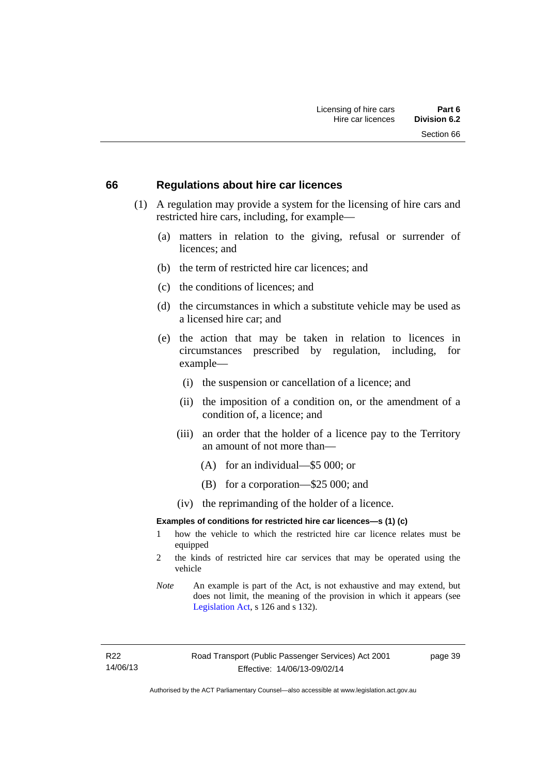#### **66 Regulations about hire car licences**

- (1) A regulation may provide a system for the licensing of hire cars and restricted hire cars, including, for example—
	- (a) matters in relation to the giving, refusal or surrender of licences; and
	- (b) the term of restricted hire car licences; and
	- (c) the conditions of licences; and
	- (d) the circumstances in which a substitute vehicle may be used as a licensed hire car; and
	- (e) the action that may be taken in relation to licences in circumstances prescribed by regulation, including, for example—
		- (i) the suspension or cancellation of a licence; and
		- (ii) the imposition of a condition on, or the amendment of a condition of, a licence; and
		- (iii) an order that the holder of a licence pay to the Territory an amount of not more than—
			- (A) for an individual—\$5 000; or
			- (B) for a corporation—\$25 000; and
		- (iv) the reprimanding of the holder of a licence.

#### **Examples of conditions for restricted hire car licences—s (1) (c)**

- 1 how the vehicle to which the restricted hire car licence relates must be equipped
- 2 the kinds of restricted hire car services that may be operated using the vehicle
- *Note* An example is part of the Act, is not exhaustive and may extend, but does not limit, the meaning of the provision in which it appears (see [Legislation Act,](http://www.legislation.act.gov.au/a/2001-14) s 126 and s 132).

R22 14/06/13 page 39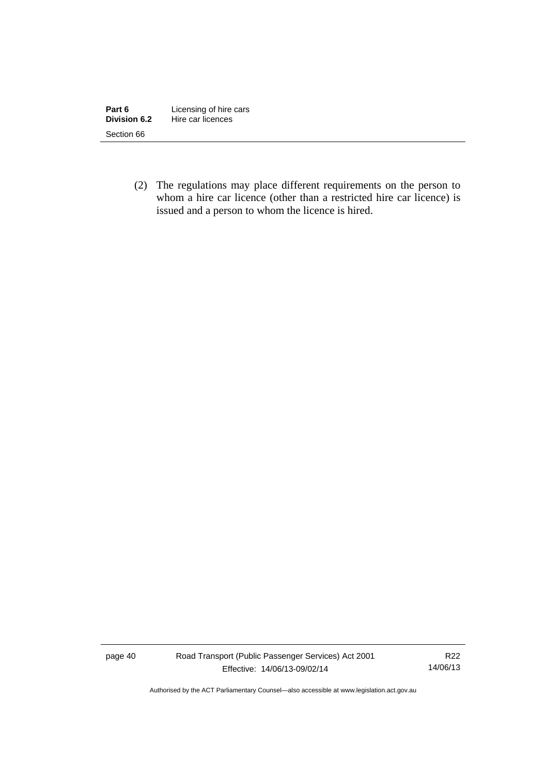| Part 6       | Licensing of hire cars |
|--------------|------------------------|
| Division 6.2 | Hire car licences      |
| Section 66   |                        |

 (2) The regulations may place different requirements on the person to whom a hire car licence (other than a restricted hire car licence) is issued and a person to whom the licence is hired.

page 40 Road Transport (Public Passenger Services) Act 2001 Effective: 14/06/13-09/02/14

R22 14/06/13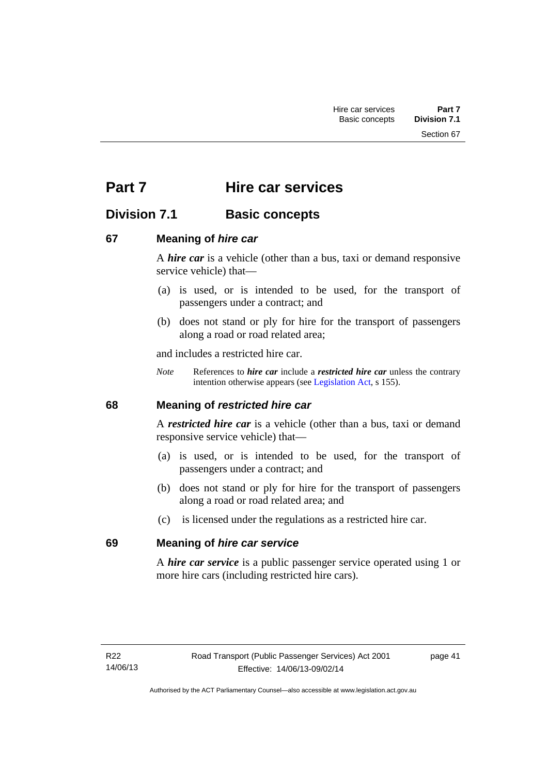Section 67

# **Part 7 Hire car services**

# **Division 7.1 Basic concepts**

# **67 Meaning of** *hire car*

A *hire car* is a vehicle (other than a bus, taxi or demand responsive service vehicle) that—

- (a) is used, or is intended to be used, for the transport of passengers under a contract; and
- (b) does not stand or ply for hire for the transport of passengers along a road or road related area;

and includes a restricted hire car.

*Note* References to *hire car* include a *restricted hire car* unless the contrary intention otherwise appears (see [Legislation Act](http://www.legislation.act.gov.au/a/2001-14), s 155).

## **68 Meaning of** *restricted hire car*

A *restricted hire car* is a vehicle (other than a bus, taxi or demand responsive service vehicle) that—

- (a) is used, or is intended to be used, for the transport of passengers under a contract; and
- (b) does not stand or ply for hire for the transport of passengers along a road or road related area; and
- (c) is licensed under the regulations as a restricted hire car.

## **69 Meaning of** *hire car service*

A *hire car service* is a public passenger service operated using 1 or more hire cars (including restricted hire cars).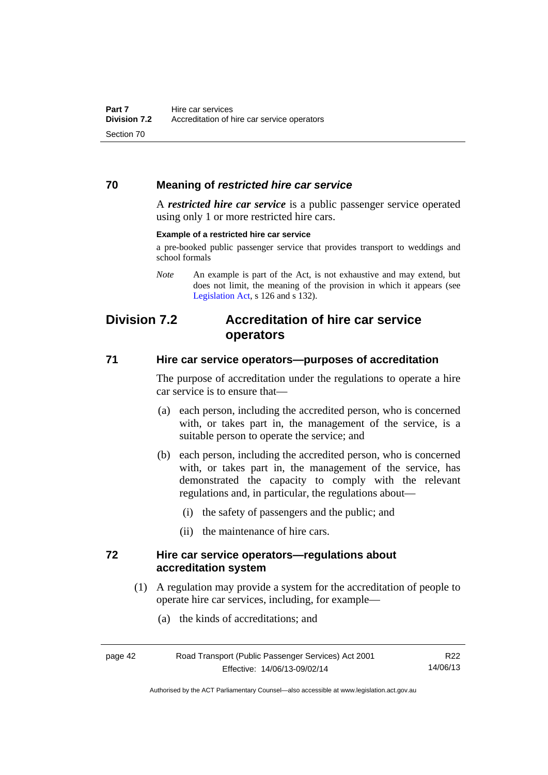## **70 Meaning of** *restricted hire car service*

A *restricted hire car service* is a public passenger service operated using only 1 or more restricted hire cars.

#### **Example of a restricted hire car service**

a pre-booked public passenger service that provides transport to weddings and school formals

# **Division 7.2 Accreditation of hire car service operators**

### **71 Hire car service operators—purposes of accreditation**

The purpose of accreditation under the regulations to operate a hire car service is to ensure that—

- (a) each person, including the accredited person, who is concerned with, or takes part in, the management of the service, is a suitable person to operate the service; and
- (b) each person, including the accredited person, who is concerned with, or takes part in, the management of the service, has demonstrated the capacity to comply with the relevant regulations and, in particular, the regulations about—
	- (i) the safety of passengers and the public; and
	- (ii) the maintenance of hire cars.

### **72 Hire car service operators—regulations about accreditation system**

- (1) A regulation may provide a system for the accreditation of people to operate hire car services, including, for example—
	- (a) the kinds of accreditations; and

| page 42 | Road Transport (Public Passenger Services) Act 2001 | R <sub>22</sub> |
|---------|-----------------------------------------------------|-----------------|
|         | Effective: 14/06/13-09/02/14                        | 14/06/13        |

*Note* An example is part of the Act, is not exhaustive and may extend, but does not limit, the meaning of the provision in which it appears (see [Legislation Act,](http://www.legislation.act.gov.au/a/2001-14) s 126 and s 132).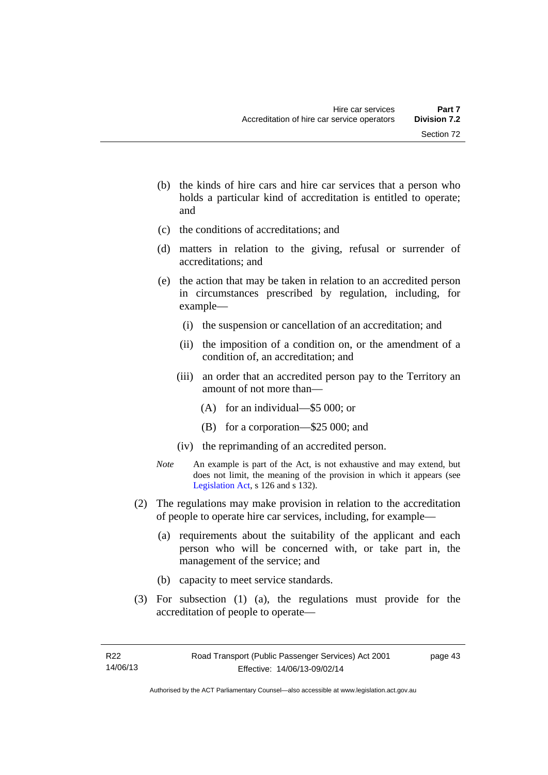- (b) the kinds of hire cars and hire car services that a person who holds a particular kind of accreditation is entitled to operate; and
- (c) the conditions of accreditations; and
- (d) matters in relation to the giving, refusal or surrender of accreditations; and
- (e) the action that may be taken in relation to an accredited person in circumstances prescribed by regulation, including, for example—
	- (i) the suspension or cancellation of an accreditation; and
	- (ii) the imposition of a condition on, or the amendment of a condition of, an accreditation; and
	- (iii) an order that an accredited person pay to the Territory an amount of not more than—
		- (A) for an individual—\$5 000; or
		- (B) for a corporation—\$25 000; and
	- (iv) the reprimanding of an accredited person.
- *Note* An example is part of the Act, is not exhaustive and may extend, but does not limit, the meaning of the provision in which it appears (see [Legislation Act,](http://www.legislation.act.gov.au/a/2001-14) s 126 and s 132).
- (2) The regulations may make provision in relation to the accreditation of people to operate hire car services, including, for example—
	- (a) requirements about the suitability of the applicant and each person who will be concerned with, or take part in, the management of the service; and
	- (b) capacity to meet service standards.
- (3) For subsection (1) (a), the regulations must provide for the accreditation of people to operate—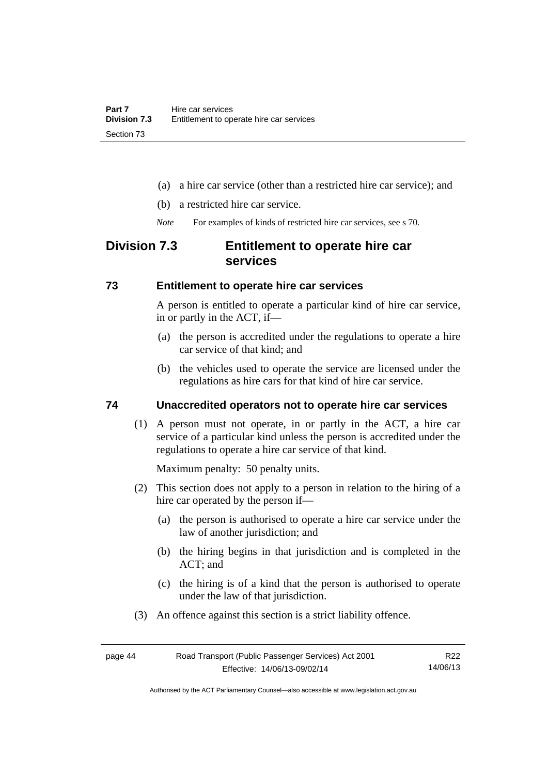- (a) a hire car service (other than a restricted hire car service); and
- (b) a restricted hire car service.
- *Note* For examples of kinds of restricted hire car services, see s 70.

# **Division 7.3 Entitlement to operate hire car services**

## **73 Entitlement to operate hire car services**

A person is entitled to operate a particular kind of hire car service, in or partly in the ACT, if—

- (a) the person is accredited under the regulations to operate a hire car service of that kind; and
- (b) the vehicles used to operate the service are licensed under the regulations as hire cars for that kind of hire car service.

## **74 Unaccredited operators not to operate hire car services**

(1) A person must not operate, in or partly in the ACT, a hire car service of a particular kind unless the person is accredited under the regulations to operate a hire car service of that kind.

Maximum penalty: 50 penalty units.

- (2) This section does not apply to a person in relation to the hiring of a hire car operated by the person if—
	- (a) the person is authorised to operate a hire car service under the law of another jurisdiction; and
	- (b) the hiring begins in that jurisdiction and is completed in the ACT; and
	- (c) the hiring is of a kind that the person is authorised to operate under the law of that jurisdiction.
- (3) An offence against this section is a strict liability offence.

page 44 Road Transport (Public Passenger Services) Act 2001 Effective: 14/06/13-09/02/14 R22 14/06/13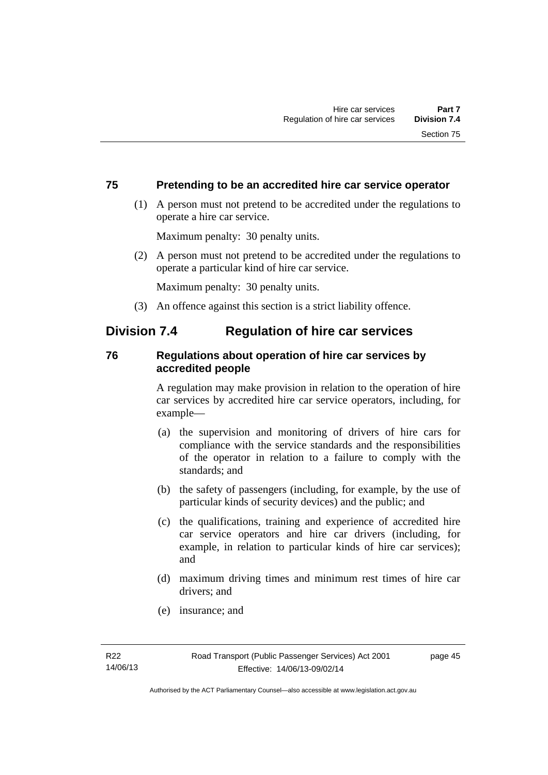## **75 Pretending to be an accredited hire car service operator**

 (1) A person must not pretend to be accredited under the regulations to operate a hire car service.

Maximum penalty: 30 penalty units.

 (2) A person must not pretend to be accredited under the regulations to operate a particular kind of hire car service.

Maximum penalty: 30 penalty units.

(3) An offence against this section is a strict liability offence.

# **Division 7.4 Regulation of hire car services**

## **76 Regulations about operation of hire car services by accredited people**

A regulation may make provision in relation to the operation of hire car services by accredited hire car service operators, including, for example—

- (a) the supervision and monitoring of drivers of hire cars for compliance with the service standards and the responsibilities of the operator in relation to a failure to comply with the standards; and
- (b) the safety of passengers (including, for example, by the use of particular kinds of security devices) and the public; and
- (c) the qualifications, training and experience of accredited hire car service operators and hire car drivers (including, for example, in relation to particular kinds of hire car services); and
- (d) maximum driving times and minimum rest times of hire car drivers; and
- (e) insurance; and

page 45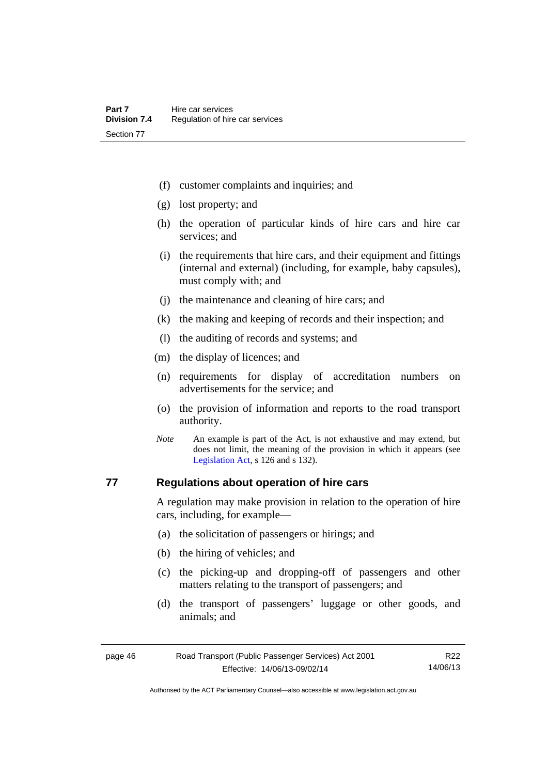- (f) customer complaints and inquiries; and
- (g) lost property; and
- (h) the operation of particular kinds of hire cars and hire car services; and
- (i) the requirements that hire cars, and their equipment and fittings (internal and external) (including, for example, baby capsules), must comply with; and
- (j) the maintenance and cleaning of hire cars; and
- (k) the making and keeping of records and their inspection; and
- (l) the auditing of records and systems; and
- (m) the display of licences; and
- (n) requirements for display of accreditation numbers on advertisements for the service; and
- (o) the provision of information and reports to the road transport authority.
- *Note* An example is part of the Act, is not exhaustive and may extend, but does not limit, the meaning of the provision in which it appears (see [Legislation Act,](http://www.legislation.act.gov.au/a/2001-14) s 126 and s 132).

## **77 Regulations about operation of hire cars**

A regulation may make provision in relation to the operation of hire cars, including, for example—

- (a) the solicitation of passengers or hirings; and
- (b) the hiring of vehicles; and
- (c) the picking-up and dropping-off of passengers and other matters relating to the transport of passengers; and
- (d) the transport of passengers' luggage or other goods, and animals; and

| page 46 | Road Transport (Public Passenger Services) Act 2001 | R22      |
|---------|-----------------------------------------------------|----------|
|         | Effective: 14/06/13-09/02/14                        | 14/06/13 |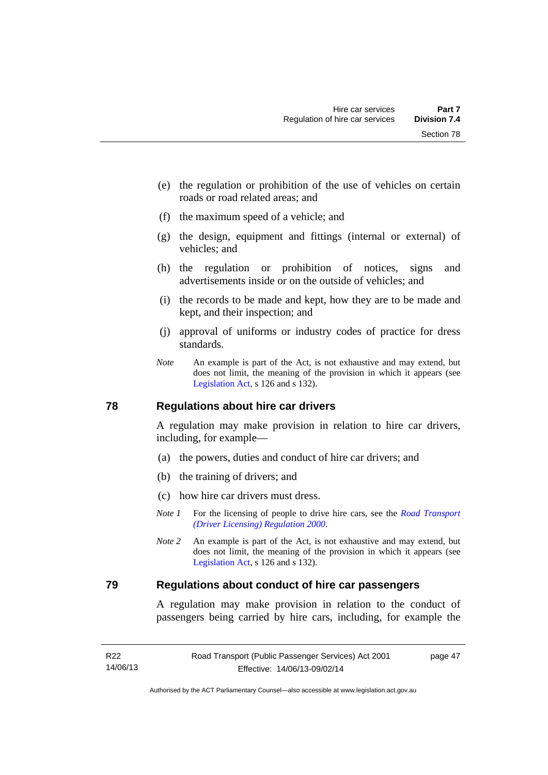- (e) the regulation or prohibition of the use of vehicles on certain roads or road related areas; and
- (f) the maximum speed of a vehicle; and
- (g) the design, equipment and fittings (internal or external) of vehicles; and
- (h) the regulation or prohibition of notices, signs and advertisements inside or on the outside of vehicles; and
- (i) the records to be made and kept, how they are to be made and kept, and their inspection; and
- (j) approval of uniforms or industry codes of practice for dress standards.
- *Note* An example is part of the Act, is not exhaustive and may extend, but does not limit, the meaning of the provision in which it appears (see [Legislation Act,](http://www.legislation.act.gov.au/a/2001-14) s 126 and s 132).

#### **78 Regulations about hire car drivers**

A regulation may make provision in relation to hire car drivers, including, for example—

- (a) the powers, duties and conduct of hire car drivers; and
- (b) the training of drivers; and
- (c) how hire car drivers must dress.
- *Note 1* For the licensing of people to drive hire cars, see the *Road Transport [\(Driver Licensing\) Regulation 2000](http://www.legislation.act.gov.au/sl/2000-14)*.
- *Note 2* An example is part of the Act, is not exhaustive and may extend, but does not limit, the meaning of the provision in which it appears (see [Legislation Act,](http://www.legislation.act.gov.au/a/2001-14) s 126 and s 132).

### **79 Regulations about conduct of hire car passengers**

A regulation may make provision in relation to the conduct of passengers being carried by hire cars, including, for example the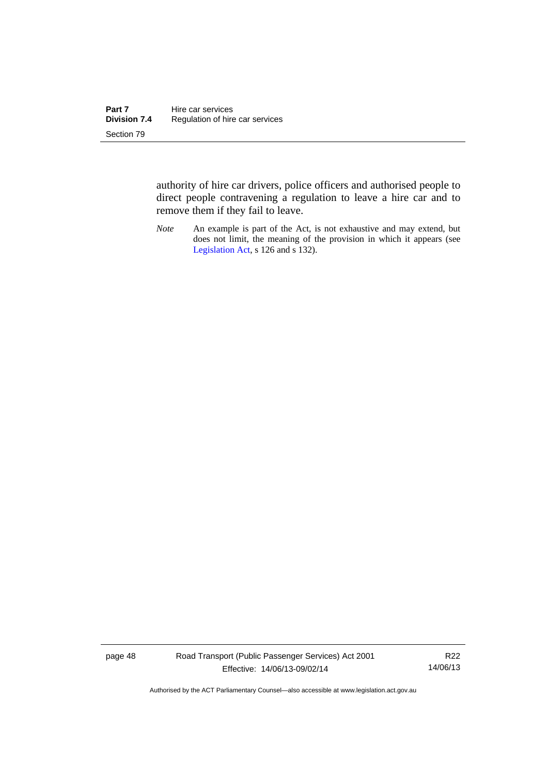authority of hire car drivers, police officers and authorised people to direct people contravening a regulation to leave a hire car and to remove them if they fail to leave.

*Note* An example is part of the Act, is not exhaustive and may extend, but does not limit, the meaning of the provision in which it appears (see [Legislation Act,](http://www.legislation.act.gov.au/a/2001-14) s 126 and s 132).

page 48 Road Transport (Public Passenger Services) Act 2001 Effective: 14/06/13-09/02/14

R22 14/06/13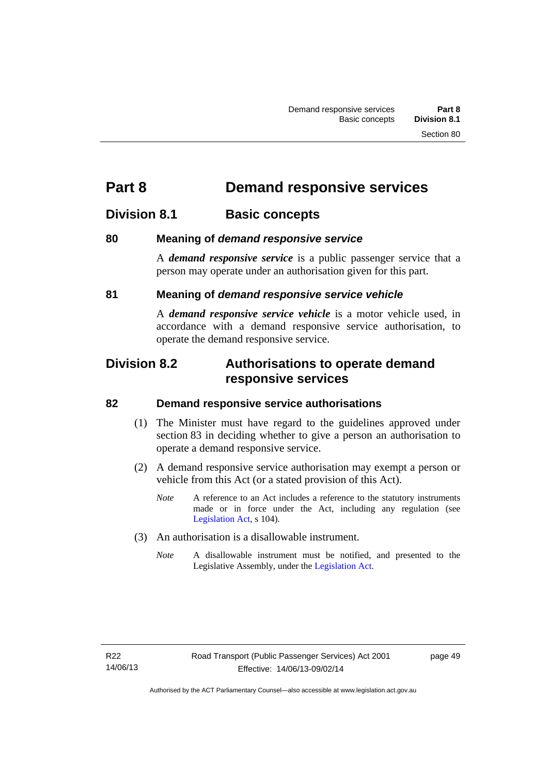# **Part 8 Demand responsive services**

# **Division 8.1 Basic concepts**

# **80 Meaning of** *demand responsive service*

A *demand responsive service* is a public passenger service that a person may operate under an authorisation given for this part.

# **81 Meaning of** *demand responsive service vehicle*

A *demand responsive service vehicle* is a motor vehicle used, in accordance with a demand responsive service authorisation, to operate the demand responsive service.

# **Division 8.2 Authorisations to operate demand responsive services**

## **82 Demand responsive service authorisations**

- (1) The Minister must have regard to the guidelines approved under section 83 in deciding whether to give a person an authorisation to operate a demand responsive service.
- (2) A demand responsive service authorisation may exempt a person or vehicle from this Act (or a stated provision of this Act).
	- *Note* A reference to an Act includes a reference to the statutory instruments made or in force under the Act, including any regulation (see [Legislation Act,](http://www.legislation.act.gov.au/a/2001-14) s 104).
- (3) An authorisation is a disallowable instrument.
	- *Note* A disallowable instrument must be notified, and presented to the Legislative Assembly, under the [Legislation Act.](http://www.legislation.act.gov.au/a/2001-14)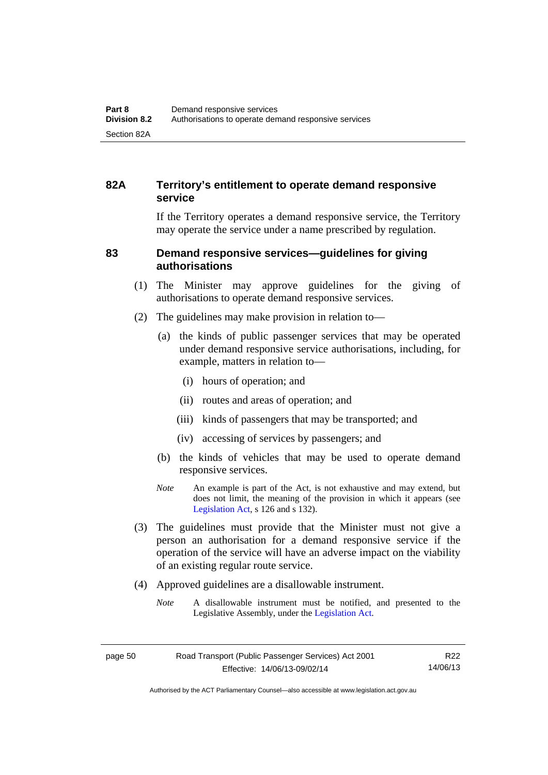# **82A Territory's entitlement to operate demand responsive service**

If the Territory operates a demand responsive service, the Territory may operate the service under a name prescribed by regulation.

## **83 Demand responsive services—guidelines for giving authorisations**

- (1) The Minister may approve guidelines for the giving of authorisations to operate demand responsive services.
- (2) The guidelines may make provision in relation to—
	- (a) the kinds of public passenger services that may be operated under demand responsive service authorisations, including, for example, matters in relation to—
		- (i) hours of operation; and
		- (ii) routes and areas of operation; and
		- (iii) kinds of passengers that may be transported; and
		- (iv) accessing of services by passengers; and
	- (b) the kinds of vehicles that may be used to operate demand responsive services.
	- *Note* An example is part of the Act, is not exhaustive and may extend, but does not limit, the meaning of the provision in which it appears (see [Legislation Act,](http://www.legislation.act.gov.au/a/2001-14) s 126 and s 132).
- (3) The guidelines must provide that the Minister must not give a person an authorisation for a demand responsive service if the operation of the service will have an adverse impact on the viability of an existing regular route service.
- (4) Approved guidelines are a disallowable instrument.
	- *Note* A disallowable instrument must be notified, and presented to the Legislative Assembly, under the [Legislation Act.](http://www.legislation.act.gov.au/a/2001-14)

R22 14/06/13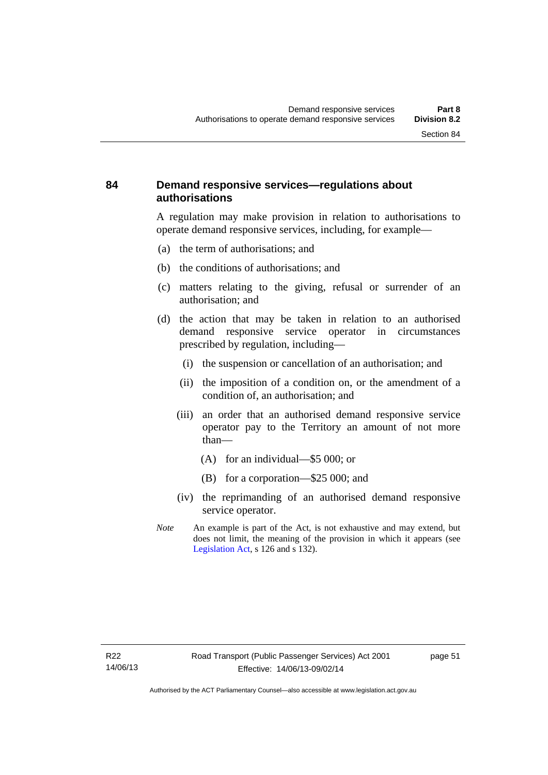# **84 Demand responsive services—regulations about authorisations**

A regulation may make provision in relation to authorisations to operate demand responsive services, including, for example—

- (a) the term of authorisations; and
- (b) the conditions of authorisations; and
- (c) matters relating to the giving, refusal or surrender of an authorisation; and
- (d) the action that may be taken in relation to an authorised demand responsive service operator in circumstances prescribed by regulation, including—
	- (i) the suspension or cancellation of an authorisation; and
	- (ii) the imposition of a condition on, or the amendment of a condition of, an authorisation; and
	- (iii) an order that an authorised demand responsive service operator pay to the Territory an amount of not more than—
		- (A) for an individual—\$5 000; or
		- (B) for a corporation—\$25 000; and
	- (iv) the reprimanding of an authorised demand responsive service operator.
- *Note* An example is part of the Act, is not exhaustive and may extend, but does not limit, the meaning of the provision in which it appears (see [Legislation Act,](http://www.legislation.act.gov.au/a/2001-14) s 126 and s 132).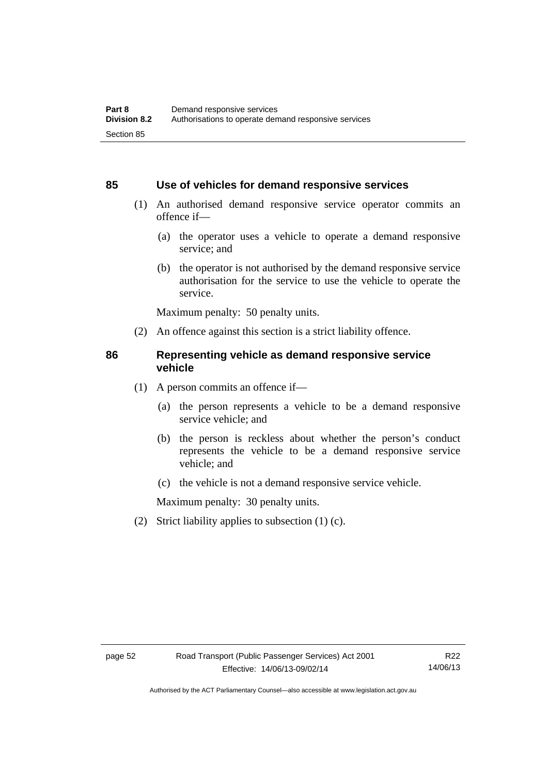### **85 Use of vehicles for demand responsive services**

- (1) An authorised demand responsive service operator commits an offence if—
	- (a) the operator uses a vehicle to operate a demand responsive service; and
	- (b) the operator is not authorised by the demand responsive service authorisation for the service to use the vehicle to operate the service.

Maximum penalty: 50 penalty units.

(2) An offence against this section is a strict liability offence.

### **86 Representing vehicle as demand responsive service vehicle**

- (1) A person commits an offence if—
	- (a) the person represents a vehicle to be a demand responsive service vehicle; and
	- (b) the person is reckless about whether the person's conduct represents the vehicle to be a demand responsive service vehicle; and
	- (c) the vehicle is not a demand responsive service vehicle.

Maximum penalty: 30 penalty units.

(2) Strict liability applies to subsection (1) (c).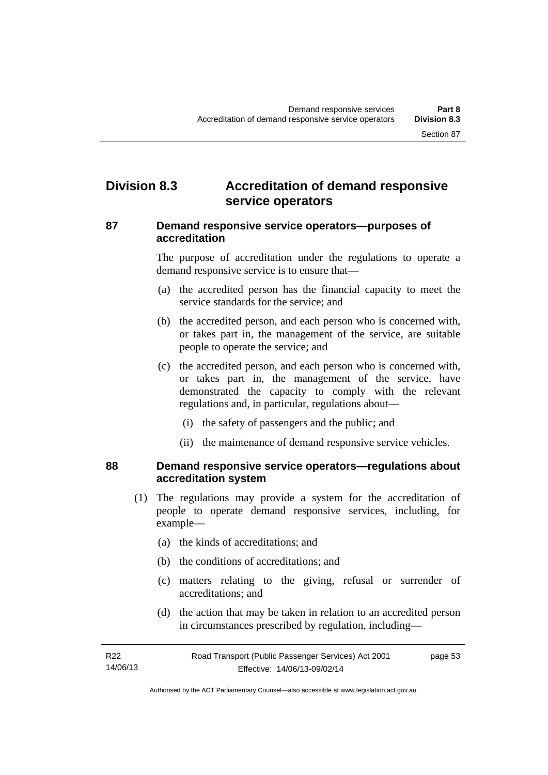# **Division 8.3 Accreditation of demand responsive service operators**

## **87 Demand responsive service operators—purposes of accreditation**

The purpose of accreditation under the regulations to operate a demand responsive service is to ensure that—

- (a) the accredited person has the financial capacity to meet the service standards for the service; and
- (b) the accredited person, and each person who is concerned with, or takes part in, the management of the service, are suitable people to operate the service; and
- (c) the accredited person, and each person who is concerned with, or takes part in, the management of the service, have demonstrated the capacity to comply with the relevant regulations and, in particular, regulations about—
	- (i) the safety of passengers and the public; and
	- (ii) the maintenance of demand responsive service vehicles.

### **88 Demand responsive service operators—regulations about accreditation system**

- (1) The regulations may provide a system for the accreditation of people to operate demand responsive services, including, for example—
	- (a) the kinds of accreditations; and
	- (b) the conditions of accreditations; and
	- (c) matters relating to the giving, refusal or surrender of accreditations; and
	- (d) the action that may be taken in relation to an accredited person in circumstances prescribed by regulation, including—

| R22      | Road Transport (Public Passenger Services) Act 2001 | page 53 |
|----------|-----------------------------------------------------|---------|
| 14/06/13 | Effective: 14/06/13-09/02/14                        |         |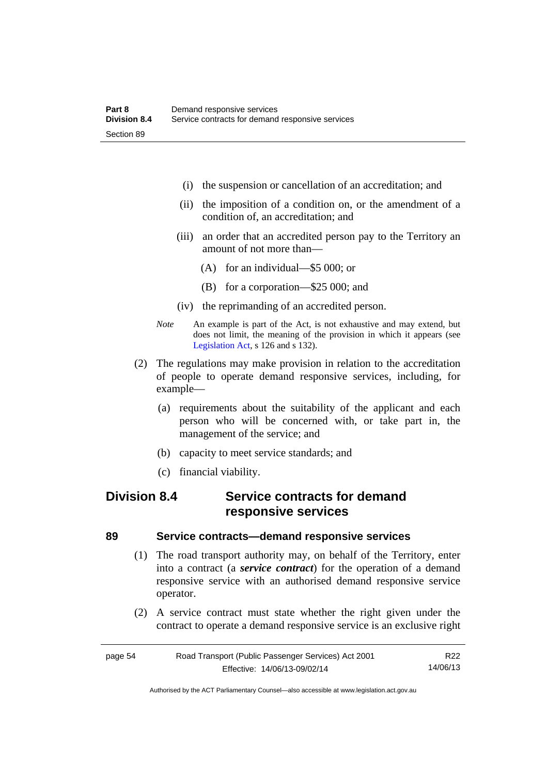- (i) the suspension or cancellation of an accreditation; and
- (ii) the imposition of a condition on, or the amendment of a condition of, an accreditation; and
- (iii) an order that an accredited person pay to the Territory an amount of not more than—
	- (A) for an individual—\$5 000; or
	- (B) for a corporation—\$25 000; and
- (iv) the reprimanding of an accredited person.
- *Note* An example is part of the Act, is not exhaustive and may extend, but does not limit, the meaning of the provision in which it appears (see [Legislation Act,](http://www.legislation.act.gov.au/a/2001-14) s 126 and s 132).
- (2) The regulations may make provision in relation to the accreditation of people to operate demand responsive services, including, for example—
	- (a) requirements about the suitability of the applicant and each person who will be concerned with, or take part in, the management of the service; and
	- (b) capacity to meet service standards; and
	- (c) financial viability.

# **Division 8.4 Service contracts for demand responsive services**

### **89 Service contracts—demand responsive services**

- (1) The road transport authority may, on behalf of the Territory, enter into a contract (a *service contract*) for the operation of a demand responsive service with an authorised demand responsive service operator.
- (2) A service contract must state whether the right given under the contract to operate a demand responsive service is an exclusive right

| page 54 | Road Transport (Public Passenger Services) Act 2001 | R22      |
|---------|-----------------------------------------------------|----------|
|         | Effective: 14/06/13-09/02/14                        | 14/06/13 |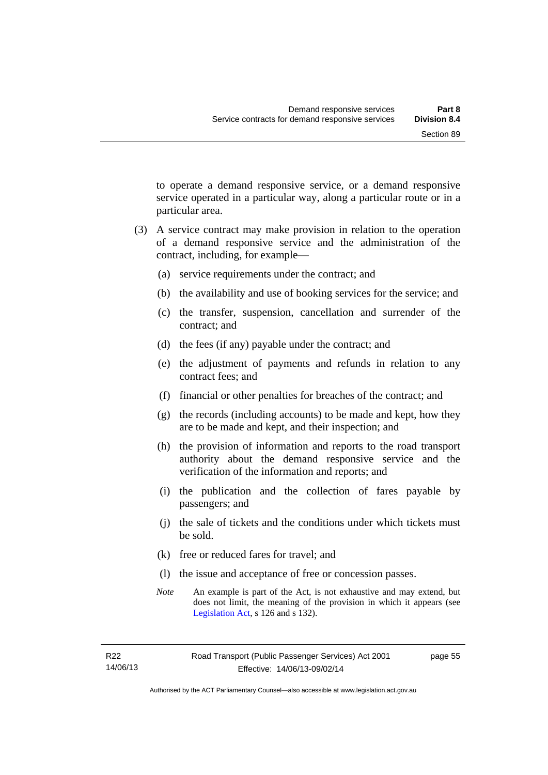to operate a demand responsive service, or a demand responsive service operated in a particular way, along a particular route or in a particular area.

- (3) A service contract may make provision in relation to the operation of a demand responsive service and the administration of the contract, including, for example—
	- (a) service requirements under the contract; and
	- (b) the availability and use of booking services for the service; and
	- (c) the transfer, suspension, cancellation and surrender of the contract; and
	- (d) the fees (if any) payable under the contract; and
	- (e) the adjustment of payments and refunds in relation to any contract fees; and
	- (f) financial or other penalties for breaches of the contract; and
	- (g) the records (including accounts) to be made and kept, how they are to be made and kept, and their inspection; and
	- (h) the provision of information and reports to the road transport authority about the demand responsive service and the verification of the information and reports; and
	- (i) the publication and the collection of fares payable by passengers; and
	- (j) the sale of tickets and the conditions under which tickets must be sold.
	- (k) free or reduced fares for travel; and
	- (l) the issue and acceptance of free or concession passes.
	- *Note* An example is part of the Act, is not exhaustive and may extend, but does not limit, the meaning of the provision in which it appears (see [Legislation Act,](http://www.legislation.act.gov.au/a/2001-14) s 126 and s 132).

page 55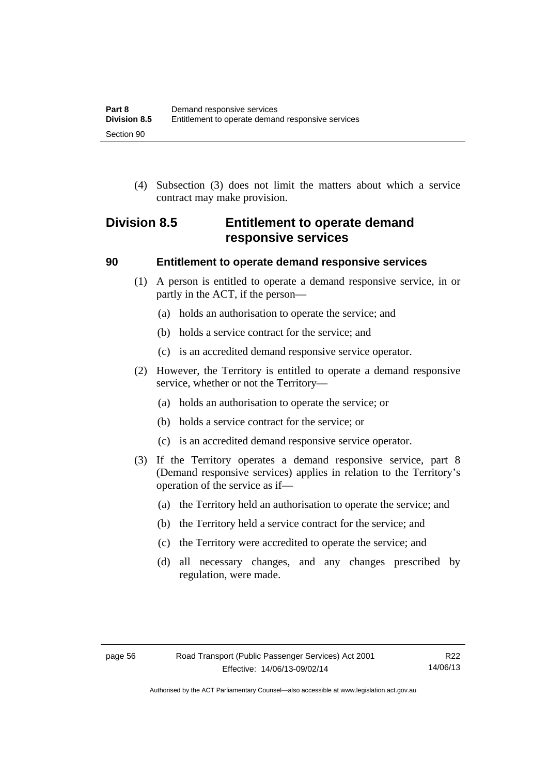(4) Subsection (3) does not limit the matters about which a service contract may make provision.

# **Division 8.5 Entitlement to operate demand responsive services**

### **90 Entitlement to operate demand responsive services**

- (1) A person is entitled to operate a demand responsive service, in or partly in the ACT, if the person—
	- (a) holds an authorisation to operate the service; and
	- (b) holds a service contract for the service; and
	- (c) is an accredited demand responsive service operator.
- (2) However, the Territory is entitled to operate a demand responsive service, whether or not the Territory—
	- (a) holds an authorisation to operate the service; or
	- (b) holds a service contract for the service; or
	- (c) is an accredited demand responsive service operator.
- (3) If the Territory operates a demand responsive service, part 8 (Demand responsive services) applies in relation to the Territory's operation of the service as if—
	- (a) the Territory held an authorisation to operate the service; and
	- (b) the Territory held a service contract for the service; and
	- (c) the Territory were accredited to operate the service; and
	- (d) all necessary changes, and any changes prescribed by regulation, were made.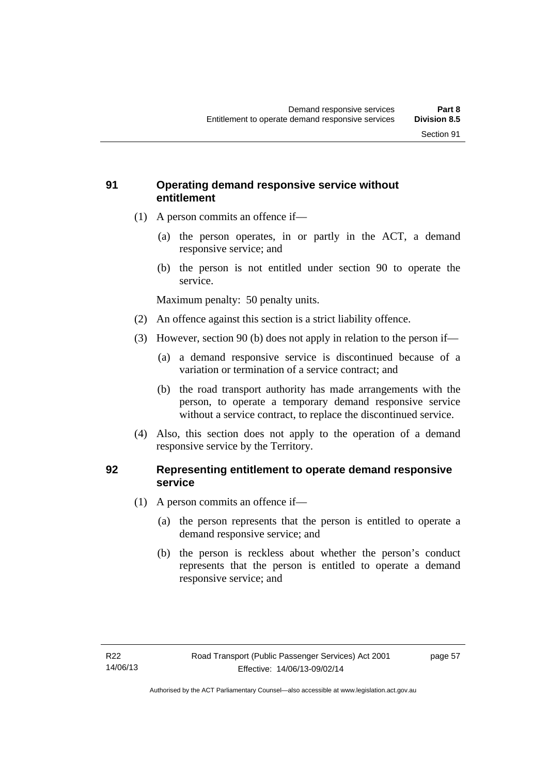# **91 Operating demand responsive service without entitlement**

- (1) A person commits an offence if—
	- (a) the person operates, in or partly in the ACT, a demand responsive service; and
	- (b) the person is not entitled under section 90 to operate the service.

Maximum penalty: 50 penalty units.

- (2) An offence against this section is a strict liability offence.
- (3) However, section 90 (b) does not apply in relation to the person if—
	- (a) a demand responsive service is discontinued because of a variation or termination of a service contract; and
	- (b) the road transport authority has made arrangements with the person, to operate a temporary demand responsive service without a service contract, to replace the discontinued service.
- (4) Also, this section does not apply to the operation of a demand responsive service by the Territory.

# **92 Representing entitlement to operate demand responsive service**

- (1) A person commits an offence if—
	- (a) the person represents that the person is entitled to operate a demand responsive service; and
	- (b) the person is reckless about whether the person's conduct represents that the person is entitled to operate a demand responsive service; and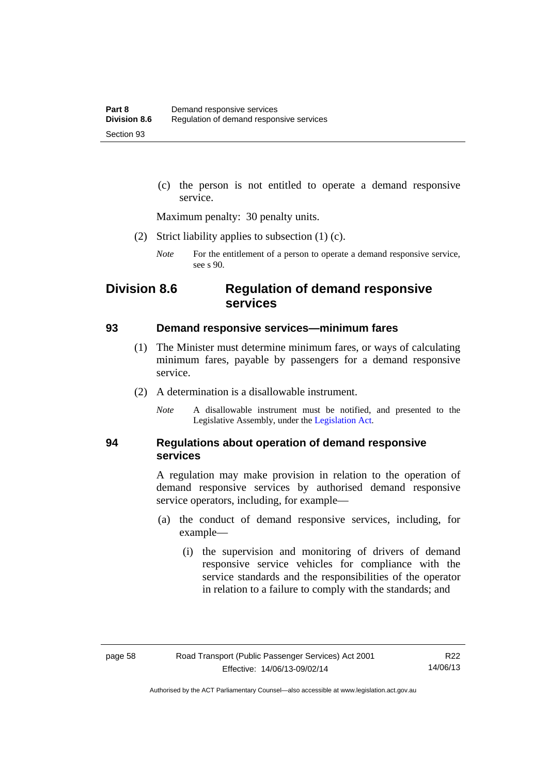(c) the person is not entitled to operate a demand responsive service.

Maximum penalty: 30 penalty units.

- (2) Strict liability applies to subsection (1) (c).
	- *Note* For the entitlement of a person to operate a demand responsive service, see s 90.

# **Division 8.6 Regulation of demand responsive services**

#### **93 Demand responsive services—minimum fares**

- (1) The Minister must determine minimum fares, or ways of calculating minimum fares, payable by passengers for a demand responsive service.
- (2) A determination is a disallowable instrument.
	- *Note* A disallowable instrument must be notified, and presented to the Legislative Assembly, under the [Legislation Act.](http://www.legislation.act.gov.au/a/2001-14)

## **94 Regulations about operation of demand responsive services**

A regulation may make provision in relation to the operation of demand responsive services by authorised demand responsive service operators, including, for example—

- (a) the conduct of demand responsive services, including, for example—
	- (i) the supervision and monitoring of drivers of demand responsive service vehicles for compliance with the service standards and the responsibilities of the operator in relation to a failure to comply with the standards; and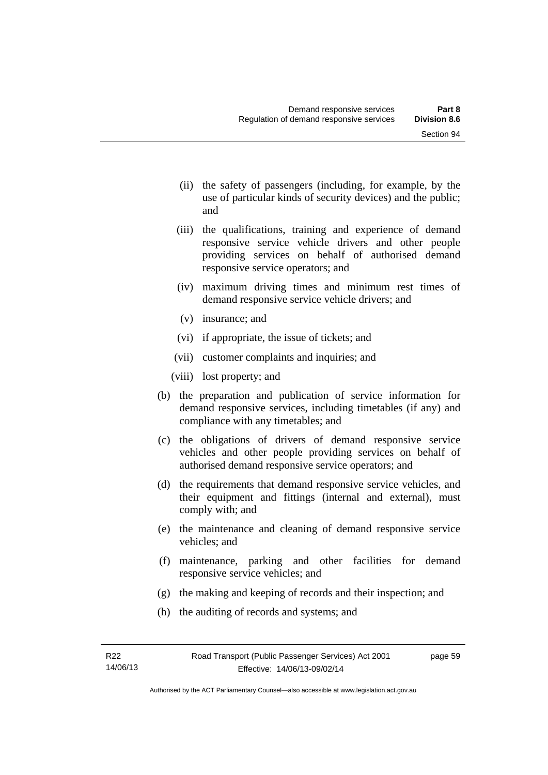- (ii) the safety of passengers (including, for example, by the use of particular kinds of security devices) and the public; and
- (iii) the qualifications, training and experience of demand responsive service vehicle drivers and other people providing services on behalf of authorised demand responsive service operators; and
- (iv) maximum driving times and minimum rest times of demand responsive service vehicle drivers; and
- (v) insurance; and
- (vi) if appropriate, the issue of tickets; and
- (vii) customer complaints and inquiries; and
- (viii) lost property; and
- (b) the preparation and publication of service information for demand responsive services, including timetables (if any) and compliance with any timetables; and
- (c) the obligations of drivers of demand responsive service vehicles and other people providing services on behalf of authorised demand responsive service operators; and
- (d) the requirements that demand responsive service vehicles, and their equipment and fittings (internal and external), must comply with; and
- (e) the maintenance and cleaning of demand responsive service vehicles; and
- (f) maintenance, parking and other facilities for demand responsive service vehicles; and
- (g) the making and keeping of records and their inspection; and
- (h) the auditing of records and systems; and

page 59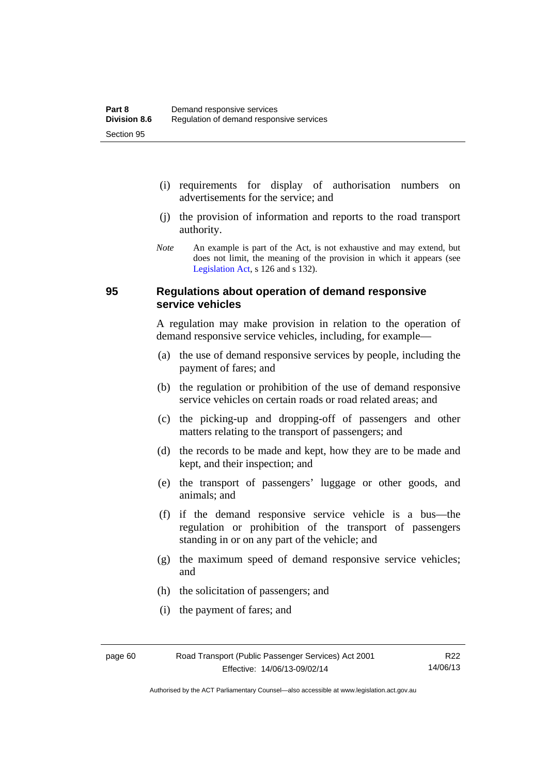- (i) requirements for display of authorisation numbers on advertisements for the service; and
- (j) the provision of information and reports to the road transport authority.
- *Note* An example is part of the Act, is not exhaustive and may extend, but does not limit, the meaning of the provision in which it appears (see [Legislation Act,](http://www.legislation.act.gov.au/a/2001-14) s 126 and s 132).

## **95 Regulations about operation of demand responsive service vehicles**

A regulation may make provision in relation to the operation of demand responsive service vehicles, including, for example—

- (a) the use of demand responsive services by people, including the payment of fares; and
- (b) the regulation or prohibition of the use of demand responsive service vehicles on certain roads or road related areas; and
- (c) the picking-up and dropping-off of passengers and other matters relating to the transport of passengers; and
- (d) the records to be made and kept, how they are to be made and kept, and their inspection; and
- (e) the transport of passengers' luggage or other goods, and animals; and
- (f) if the demand responsive service vehicle is a bus—the regulation or prohibition of the transport of passengers standing in or on any part of the vehicle; and
- (g) the maximum speed of demand responsive service vehicles; and
- (h) the solicitation of passengers; and
- (i) the payment of fares; and

Authorised by the ACT Parliamentary Counsel—also accessible at www.legislation.act.gov.au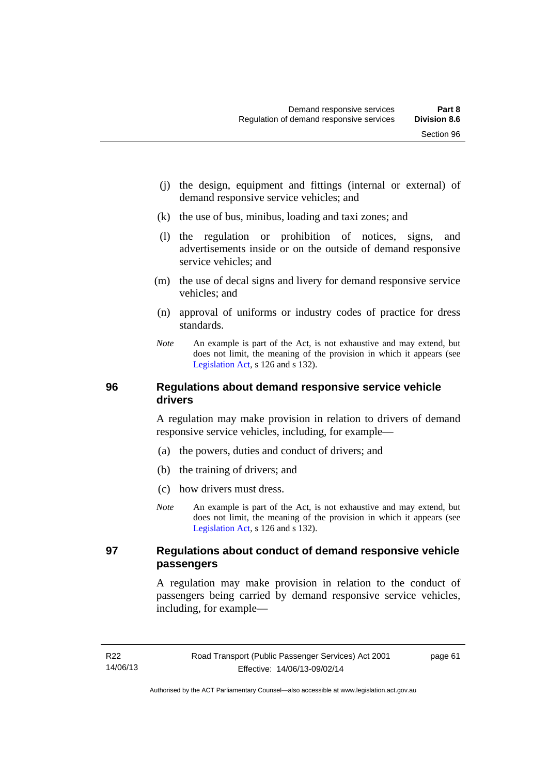- (j) the design, equipment and fittings (internal or external) of demand responsive service vehicles; and
- (k) the use of bus, minibus, loading and taxi zones; and
- (l) the regulation or prohibition of notices, signs, and advertisements inside or on the outside of demand responsive service vehicles; and
- (m) the use of decal signs and livery for demand responsive service vehicles; and
- (n) approval of uniforms or industry codes of practice for dress standards.
- *Note* An example is part of the Act, is not exhaustive and may extend, but does not limit, the meaning of the provision in which it appears (see [Legislation Act,](http://www.legislation.act.gov.au/a/2001-14) s 126 and s 132).

## **96 Regulations about demand responsive service vehicle drivers**

A regulation may make provision in relation to drivers of demand responsive service vehicles, including, for example—

- (a) the powers, duties and conduct of drivers; and
- (b) the training of drivers; and
- (c) how drivers must dress.
- *Note* An example is part of the Act, is not exhaustive and may extend, but does not limit, the meaning of the provision in which it appears (see [Legislation Act,](http://www.legislation.act.gov.au/a/2001-14) s 126 and s 132).

# **97 Regulations about conduct of demand responsive vehicle passengers**

A regulation may make provision in relation to the conduct of passengers being carried by demand responsive service vehicles, including, for example—

page 61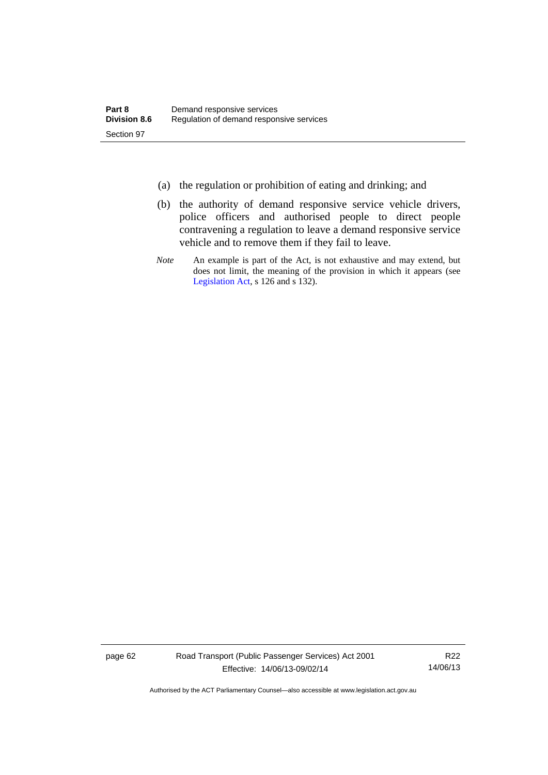- (a) the regulation or prohibition of eating and drinking; and
- (b) the authority of demand responsive service vehicle drivers, police officers and authorised people to direct people contravening a regulation to leave a demand responsive service vehicle and to remove them if they fail to leave.
- *Note* An example is part of the Act, is not exhaustive and may extend, but does not limit, the meaning of the provision in which it appears (see [Legislation Act,](http://www.legislation.act.gov.au/a/2001-14) s 126 and s 132).

page 62 Road Transport (Public Passenger Services) Act 2001 Effective: 14/06/13-09/02/14

R22 14/06/13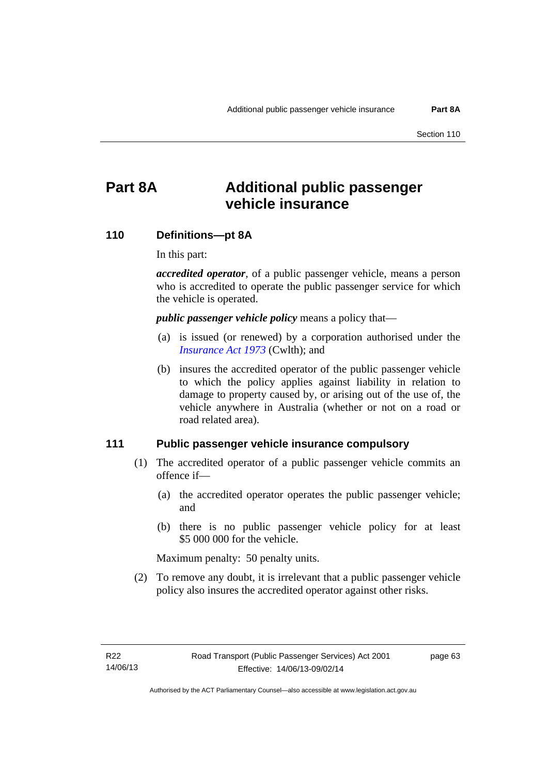# **Part 8A Additional public passenger vehicle insurance**

### **110 Definitions—pt 8A**

In this part:

*accredited operator*, of a public passenger vehicle, means a person who is accredited to operate the public passenger service for which the vehicle is operated.

*public passenger vehicle policy* means a policy that—

- (a) is issued (or renewed) by a corporation authorised under the *[Insurance Act 1973](http://www.comlaw.gov.au/Details/C2013C00019)* (Cwlth); and
- (b) insures the accredited operator of the public passenger vehicle to which the policy applies against liability in relation to damage to property caused by, or arising out of the use of, the vehicle anywhere in Australia (whether or not on a road or road related area).

### **111 Public passenger vehicle insurance compulsory**

- (1) The accredited operator of a public passenger vehicle commits an offence if—
	- (a) the accredited operator operates the public passenger vehicle; and
	- (b) there is no public passenger vehicle policy for at least \$5 000 000 for the vehicle.

Maximum penalty: 50 penalty units.

 (2) To remove any doubt, it is irrelevant that a public passenger vehicle policy also insures the accredited operator against other risks.

page 63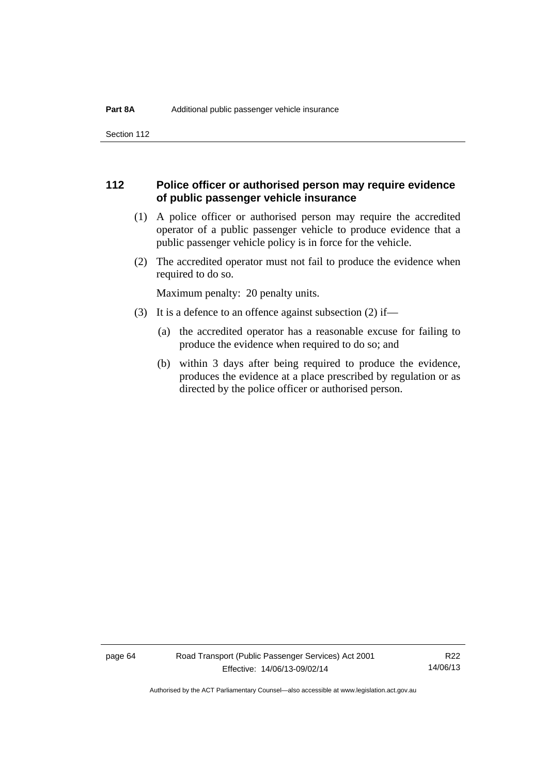Section 112

# **112 Police officer or authorised person may require evidence of public passenger vehicle insurance**

- (1) A police officer or authorised person may require the accredited operator of a public passenger vehicle to produce evidence that a public passenger vehicle policy is in force for the vehicle.
- (2) The accredited operator must not fail to produce the evidence when required to do so.

Maximum penalty: 20 penalty units.

- (3) It is a defence to an offence against subsection (2) if—
	- (a) the accredited operator has a reasonable excuse for failing to produce the evidence when required to do so; and
	- (b) within 3 days after being required to produce the evidence, produces the evidence at a place prescribed by regulation or as directed by the police officer or authorised person.

page 64 Road Transport (Public Passenger Services) Act 2001 Effective: 14/06/13-09/02/14

R22 14/06/13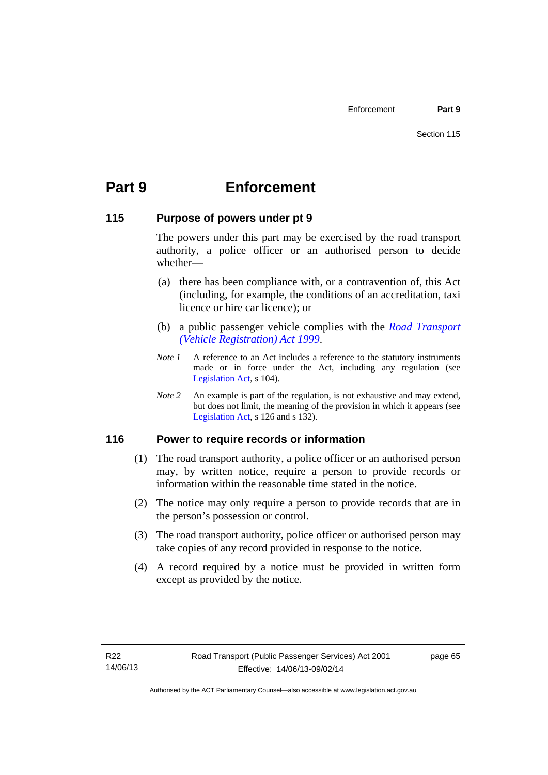# **Part 9 Enforcement**

# **115 Purpose of powers under pt 9**

The powers under this part may be exercised by the road transport authority, a police officer or an authorised person to decide whether—

- (a) there has been compliance with, or a contravention of, this Act (including, for example, the conditions of an accreditation, taxi licence or hire car licence); or
- (b) a public passenger vehicle complies with the *[Road Transport](http://www.legislation.act.gov.au/a/1999-81)  [\(Vehicle Registration\) Act 1999](http://www.legislation.act.gov.au/a/1999-81)*.
- *Note 1* A reference to an Act includes a reference to the statutory instruments made or in force under the Act, including any regulation (see [Legislation Act,](http://www.legislation.act.gov.au/a/2001-14) s 104).
- *Note 2* An example is part of the regulation, is not exhaustive and may extend, but does not limit, the meaning of the provision in which it appears (see [Legislation Act,](http://www.legislation.act.gov.au/a/2001-14) s 126 and s 132).

# **116 Power to require records or information**

- (1) The road transport authority, a police officer or an authorised person may, by written notice, require a person to provide records or information within the reasonable time stated in the notice.
- (2) The notice may only require a person to provide records that are in the person's possession or control.
- (3) The road transport authority, police officer or authorised person may take copies of any record provided in response to the notice.
- (4) A record required by a notice must be provided in written form except as provided by the notice.

page 65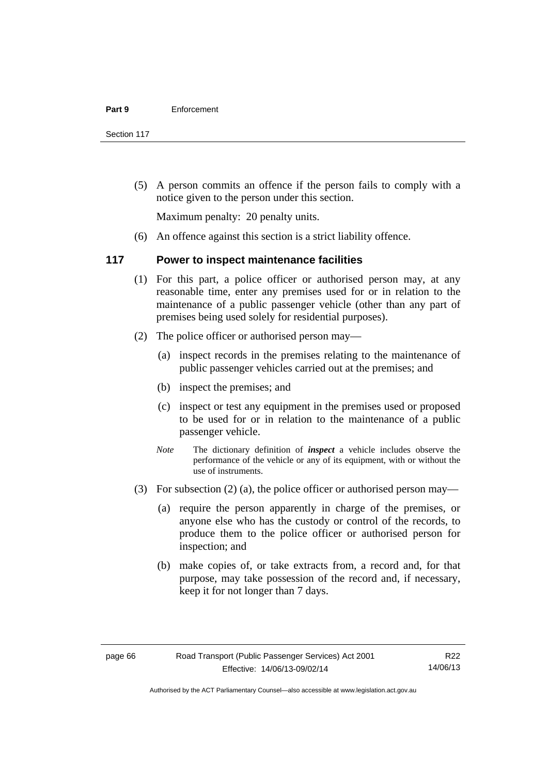Section 117

 (5) A person commits an offence if the person fails to comply with a notice given to the person under this section.

Maximum penalty: 20 penalty units.

(6) An offence against this section is a strict liability offence.

# **117 Power to inspect maintenance facilities**

- (1) For this part, a police officer or authorised person may, at any reasonable time, enter any premises used for or in relation to the maintenance of a public passenger vehicle (other than any part of premises being used solely for residential purposes).
- (2) The police officer or authorised person may—
	- (a) inspect records in the premises relating to the maintenance of public passenger vehicles carried out at the premises; and
	- (b) inspect the premises; and
	- (c) inspect or test any equipment in the premises used or proposed to be used for or in relation to the maintenance of a public passenger vehicle.
	- *Note* The dictionary definition of *inspect* a vehicle includes observe the performance of the vehicle or any of its equipment, with or without the use of instruments.
- (3) For subsection (2) (a), the police officer or authorised person may—
	- (a) require the person apparently in charge of the premises, or anyone else who has the custody or control of the records, to produce them to the police officer or authorised person for inspection; and
	- (b) make copies of, or take extracts from, a record and, for that purpose, may take possession of the record and, if necessary, keep it for not longer than 7 days.

R22 14/06/13

Authorised by the ACT Parliamentary Counsel—also accessible at www.legislation.act.gov.au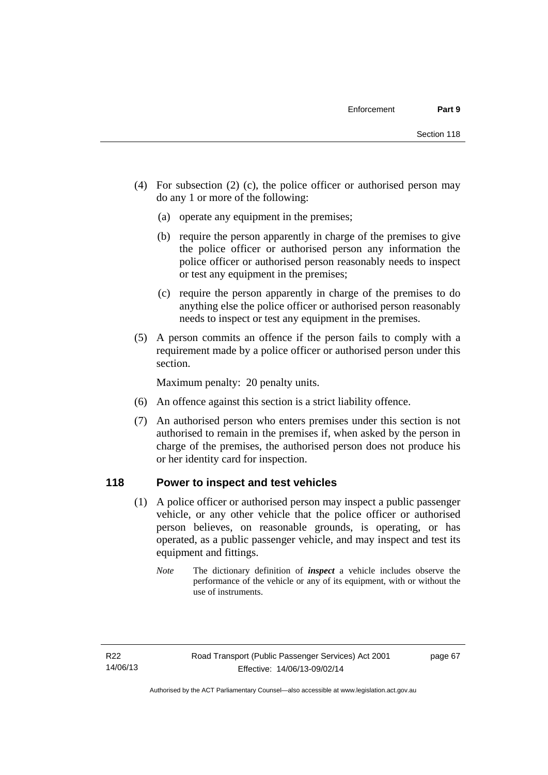- (4) For subsection (2) (c), the police officer or authorised person may do any 1 or more of the following:
	- (a) operate any equipment in the premises;
	- (b) require the person apparently in charge of the premises to give the police officer or authorised person any information the police officer or authorised person reasonably needs to inspect or test any equipment in the premises;
	- (c) require the person apparently in charge of the premises to do anything else the police officer or authorised person reasonably needs to inspect or test any equipment in the premises.
- (5) A person commits an offence if the person fails to comply with a requirement made by a police officer or authorised person under this section.

Maximum penalty: 20 penalty units.

- (6) An offence against this section is a strict liability offence.
- (7) An authorised person who enters premises under this section is not authorised to remain in the premises if, when asked by the person in charge of the premises, the authorised person does not produce his or her identity card for inspection.

# **118 Power to inspect and test vehicles**

- (1) A police officer or authorised person may inspect a public passenger vehicle, or any other vehicle that the police officer or authorised person believes, on reasonable grounds, is operating, or has operated, as a public passenger vehicle, and may inspect and test its equipment and fittings.
	- *Note* The dictionary definition of *inspect* a vehicle includes observe the performance of the vehicle or any of its equipment, with or without the use of instruments.

page 67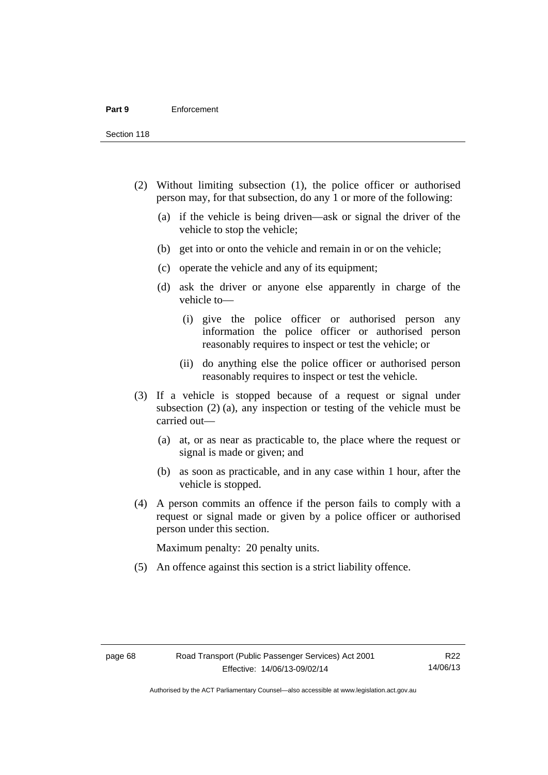Section 118

- (2) Without limiting subsection (1), the police officer or authorised person may, for that subsection, do any 1 or more of the following:
	- (a) if the vehicle is being driven—ask or signal the driver of the vehicle to stop the vehicle;
	- (b) get into or onto the vehicle and remain in or on the vehicle;
	- (c) operate the vehicle and any of its equipment;
	- (d) ask the driver or anyone else apparently in charge of the vehicle to—
		- (i) give the police officer or authorised person any information the police officer or authorised person reasonably requires to inspect or test the vehicle; or
		- (ii) do anything else the police officer or authorised person reasonably requires to inspect or test the vehicle.
- (3) If a vehicle is stopped because of a request or signal under subsection (2) (a), any inspection or testing of the vehicle must be carried out—
	- (a) at, or as near as practicable to, the place where the request or signal is made or given; and
	- (b) as soon as practicable, and in any case within 1 hour, after the vehicle is stopped.
- (4) A person commits an offence if the person fails to comply with a request or signal made or given by a police officer or authorised person under this section.

Maximum penalty: 20 penalty units.

(5) An offence against this section is a strict liability offence.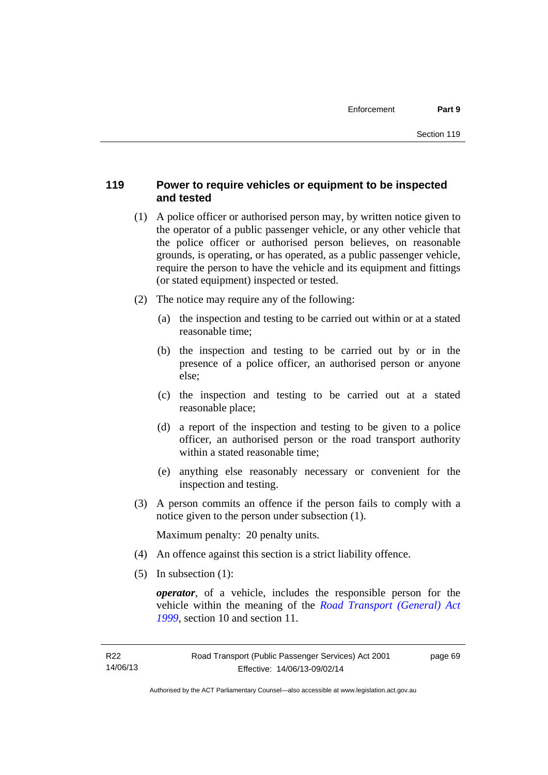# **119 Power to require vehicles or equipment to be inspected and tested**

- (1) A police officer or authorised person may, by written notice given to the operator of a public passenger vehicle, or any other vehicle that the police officer or authorised person believes, on reasonable grounds, is operating, or has operated, as a public passenger vehicle, require the person to have the vehicle and its equipment and fittings (or stated equipment) inspected or tested.
- (2) The notice may require any of the following:
	- (a) the inspection and testing to be carried out within or at a stated reasonable time;
	- (b) the inspection and testing to be carried out by or in the presence of a police officer, an authorised person or anyone else;
	- (c) the inspection and testing to be carried out at a stated reasonable place;
	- (d) a report of the inspection and testing to be given to a police officer, an authorised person or the road transport authority within a stated reasonable time;
	- (e) anything else reasonably necessary or convenient for the inspection and testing.
- (3) A person commits an offence if the person fails to comply with a notice given to the person under subsection (1).

Maximum penalty: 20 penalty units.

- (4) An offence against this section is a strict liability offence.
- (5) In subsection (1):

*operator*, of a vehicle, includes the responsible person for the vehicle within the meaning of the *[Road Transport \(General\) Act](http://www.legislation.act.gov.au/a/1999-77)  [1999](http://www.legislation.act.gov.au/a/1999-77)*, section 10 and section 11.

page 69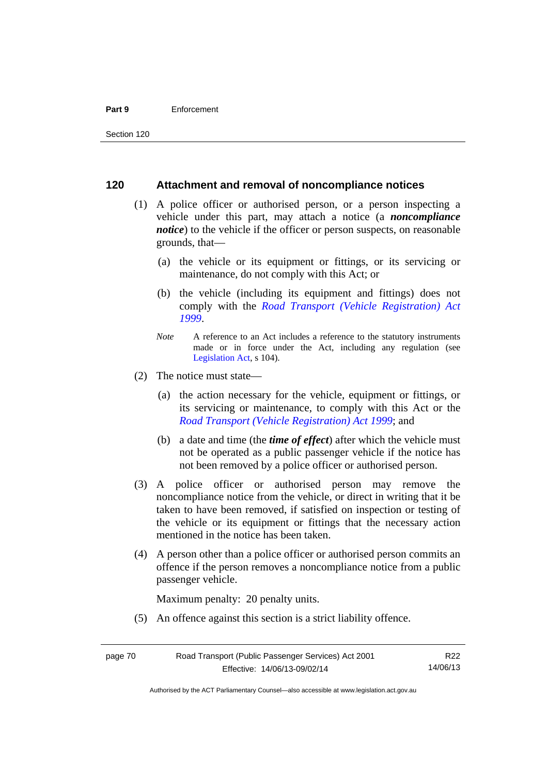#### **Part 9** Enforcement

# **120 Attachment and removal of noncompliance notices**

- (1) A police officer or authorised person, or a person inspecting a vehicle under this part, may attach a notice (a *noncompliance notice*) to the vehicle if the officer or person suspects, on reasonable grounds, that—
	- (a) the vehicle or its equipment or fittings, or its servicing or maintenance, do not comply with this Act; or
	- (b) the vehicle (including its equipment and fittings) does not comply with the *[Road Transport \(Vehicle Registration\) Act](http://www.legislation.act.gov.au/a/1999-81)  [1999](http://www.legislation.act.gov.au/a/1999-81)*.
	- *Note* A reference to an Act includes a reference to the statutory instruments made or in force under the Act, including any regulation (see [Legislation Act,](http://www.legislation.act.gov.au/a/2001-14) s 104).
- (2) The notice must state—
	- (a) the action necessary for the vehicle, equipment or fittings, or its servicing or maintenance, to comply with this Act or the *[Road Transport \(Vehicle Registration\) Act 1999](http://www.legislation.act.gov.au/a/1999-81)*; and
	- (b) a date and time (the *time of effect*) after which the vehicle must not be operated as a public passenger vehicle if the notice has not been removed by a police officer or authorised person.
- (3) A police officer or authorised person may remove the noncompliance notice from the vehicle, or direct in writing that it be taken to have been removed, if satisfied on inspection or testing of the vehicle or its equipment or fittings that the necessary action mentioned in the notice has been taken.
- (4) A person other than a police officer or authorised person commits an offence if the person removes a noncompliance notice from a public passenger vehicle.

Maximum penalty: 20 penalty units.

(5) An offence against this section is a strict liability offence.

Authorised by the ACT Parliamentary Counsel—also accessible at www.legislation.act.gov.au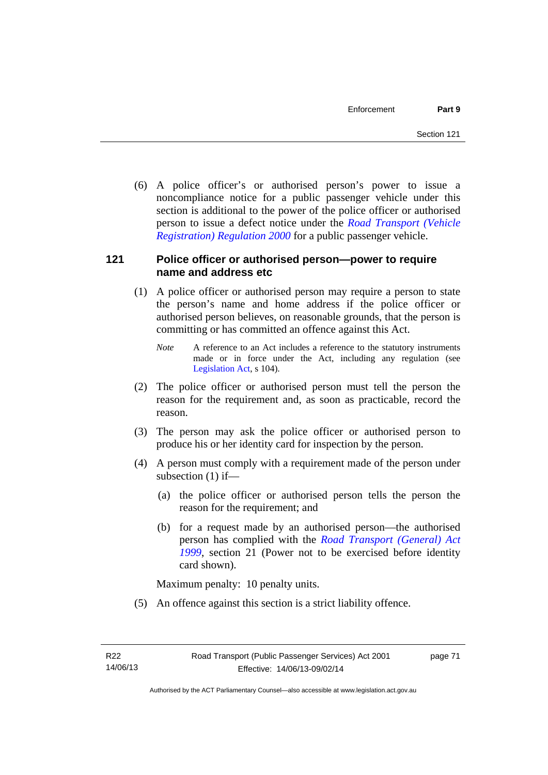(6) A police officer's or authorised person's power to issue a noncompliance notice for a public passenger vehicle under this section is additional to the power of the police officer or authorised person to issue a defect notice under the *[Road Transport \(Vehicle](http://www.legislation.act.gov.au/sl/2000-12)  [Registration\) Regulation 2000](http://www.legislation.act.gov.au/sl/2000-12)* for a public passenger vehicle.

# **121 Police officer or authorised person—power to require name and address etc**

- (1) A police officer or authorised person may require a person to state the person's name and home address if the police officer or authorised person believes, on reasonable grounds, that the person is committing or has committed an offence against this Act.
	- *Note* A reference to an Act includes a reference to the statutory instruments made or in force under the Act, including any regulation (see [Legislation Act,](http://www.legislation.act.gov.au/a/2001-14) s 104).
- (2) The police officer or authorised person must tell the person the reason for the requirement and, as soon as practicable, record the reason.
- (3) The person may ask the police officer or authorised person to produce his or her identity card for inspection by the person.
- (4) A person must comply with a requirement made of the person under subsection (1) if—
	- (a) the police officer or authorised person tells the person the reason for the requirement; and
	- (b) for a request made by an authorised person—the authorised person has complied with the *[Road Transport \(General\) Act](http://www.legislation.act.gov.au/a/1999-77)  [1999](http://www.legislation.act.gov.au/a/1999-77)*, section 21 (Power not to be exercised before identity card shown).

Maximum penalty: 10 penalty units.

(5) An offence against this section is a strict liability offence.

page 71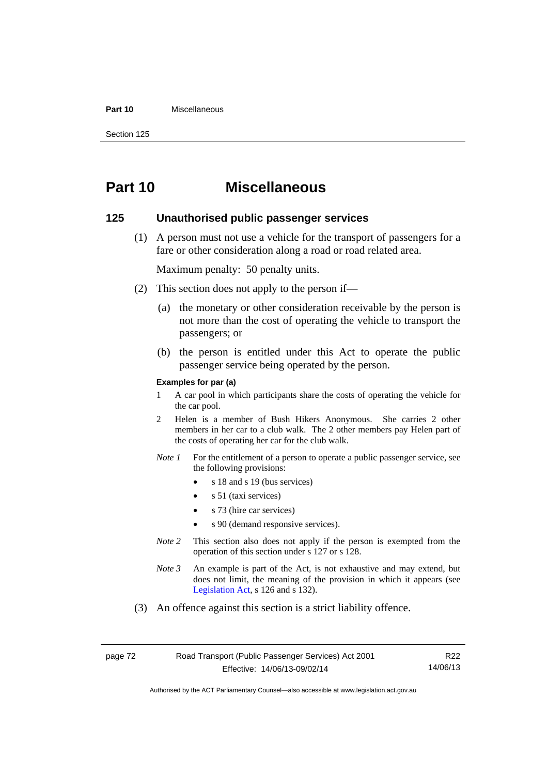#### **Part 10** Miscellaneous

Section 125

# **Part 10 Miscellaneous**

# **125 Unauthorised public passenger services**

 (1) A person must not use a vehicle for the transport of passengers for a fare or other consideration along a road or road related area.

Maximum penalty: 50 penalty units.

- (2) This section does not apply to the person if—
	- (a) the monetary or other consideration receivable by the person is not more than the cost of operating the vehicle to transport the passengers; or
	- (b) the person is entitled under this Act to operate the public passenger service being operated by the person.

#### **Examples for par (a)**

- 1 A car pool in which participants share the costs of operating the vehicle for the car pool.
- 2 Helen is a member of Bush Hikers Anonymous. She carries 2 other members in her car to a club walk. The 2 other members pay Helen part of the costs of operating her car for the club walk.
- *Note 1* For the entitlement of a person to operate a public passenger service, see the following provisions:
	- $\bullet$  s 18 and s 19 (bus services)
	- s 51 (taxi services)
	- s 73 (hire car services)
	- s 90 (demand responsive services).
- *Note* 2 This section also does not apply if the person is exempted from the operation of this section under s 127 or s 128.
- *Note 3* An example is part of the Act, is not exhaustive and may extend, but does not limit, the meaning of the provision in which it appears (see [Legislation Act,](http://www.legislation.act.gov.au/a/2001-14) s 126 and s 132).
- (3) An offence against this section is a strict liability offence.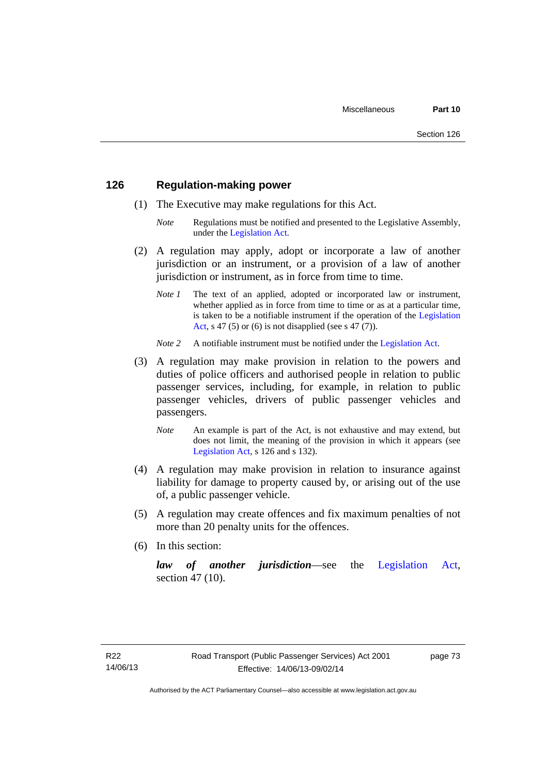# **126 Regulation-making power**

- (1) The Executive may make regulations for this Act.
	- *Note* Regulations must be notified and presented to the Legislative Assembly, under the [Legislation Act.](http://www.legislation.act.gov.au/a/2001-14)
- (2) A regulation may apply, adopt or incorporate a law of another jurisdiction or an instrument, or a provision of a law of another jurisdiction or instrument, as in force from time to time.
	- *Note 1* The text of an applied, adopted or incorporated law or instrument, whether applied as in force from time to time or as at a particular time. is taken to be a notifiable instrument if the operation of the [Legislation](http://www.legislation.act.gov.au/a/2001-14)  [Act](http://www.legislation.act.gov.au/a/2001-14), s 47 (5) or (6) is not disapplied (see s 47 (7)).
	- *Note 2* A notifiable instrument must be notified under the [Legislation Act](http://www.legislation.act.gov.au/a/2001-14).
- (3) A regulation may make provision in relation to the powers and duties of police officers and authorised people in relation to public passenger services, including, for example, in relation to public passenger vehicles, drivers of public passenger vehicles and passengers.
	- *Note* An example is part of the Act, is not exhaustive and may extend, but does not limit, the meaning of the provision in which it appears (see [Legislation Act,](http://www.legislation.act.gov.au/a/2001-14) s 126 and s 132).
- (4) A regulation may make provision in relation to insurance against liability for damage to property caused by, or arising out of the use of, a public passenger vehicle.
- (5) A regulation may create offences and fix maximum penalties of not more than 20 penalty units for the offences.
- (6) In this section:

*law of another jurisdiction*—see the [Legislation Act](http://www.legislation.act.gov.au/a/2001-14), section 47 (10).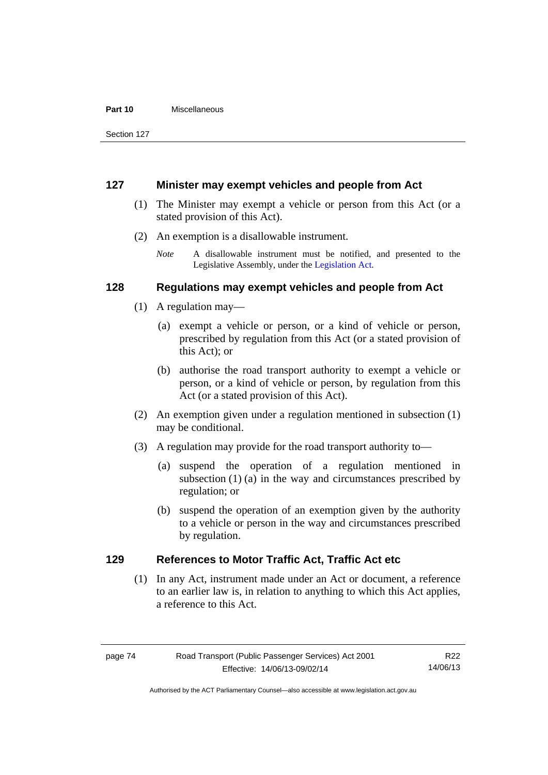#### **Part 10** Miscellaneous

Section 127

# **127 Minister may exempt vehicles and people from Act**

- (1) The Minister may exempt a vehicle or person from this Act (or a stated provision of this Act).
- (2) An exemption is a disallowable instrument.
	- *Note* A disallowable instrument must be notified, and presented to the Legislative Assembly, under the [Legislation Act.](http://www.legislation.act.gov.au/a/2001-14)

# **128 Regulations may exempt vehicles and people from Act**

- (1) A regulation may—
	- (a) exempt a vehicle or person, or a kind of vehicle or person, prescribed by regulation from this Act (or a stated provision of this Act); or
	- (b) authorise the road transport authority to exempt a vehicle or person, or a kind of vehicle or person, by regulation from this Act (or a stated provision of this Act).
- (2) An exemption given under a regulation mentioned in subsection (1) may be conditional.
- (3) A regulation may provide for the road transport authority to—
	- (a) suspend the operation of a regulation mentioned in subsection (1) (a) in the way and circumstances prescribed by regulation; or
	- (b) suspend the operation of an exemption given by the authority to a vehicle or person in the way and circumstances prescribed by regulation.

# **129 References to Motor Traffic Act, Traffic Act etc**

(1) In any Act, instrument made under an Act or document, a reference to an earlier law is, in relation to anything to which this Act applies, a reference to this Act.

Authorised by the ACT Parliamentary Counsel—also accessible at www.legislation.act.gov.au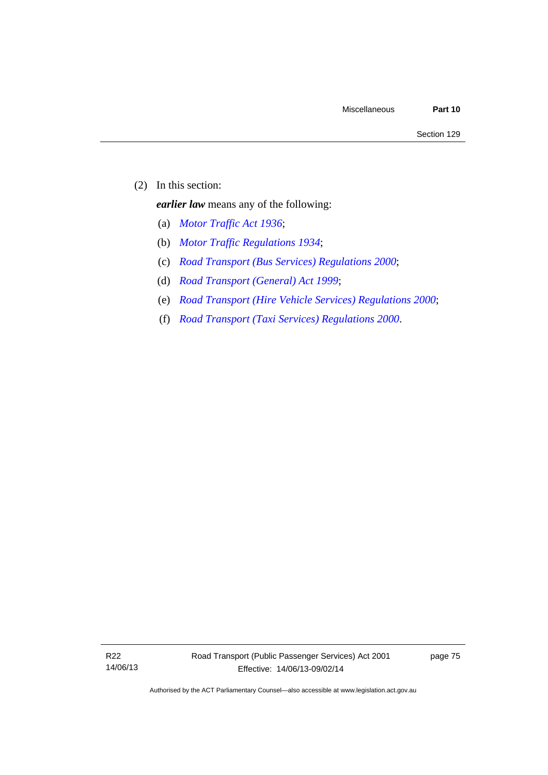(2) In this section:

*earlier law* means any of the following:

- (a) *[Motor Traffic Act 1936](http://www.legislation.act.gov.au/a/1936-45)*;
- (b) *[Motor Traffic Regulations 1934](http://www.legislation.act.gov.au/sl/1934-6)*;
- (c) *[Road Transport \(Bus Services\) Regulations 2000](http://www.legislation.act.gov.au/sl/2000-9)*;
- (d) *[Road Transport \(General\) Act 1999](http://www.legislation.act.gov.au/a/1999-77)*;
- (e) *[Road Transport \(Hire Vehicle Services\) Regulations 2000](http://www.legislation.act.gov.au/sl/2000-4)*;
- (f) *[Road Transport \(Taxi Services\) Regulations 2000](http://www.legislation.act.gov.au/sl/2000-5)*.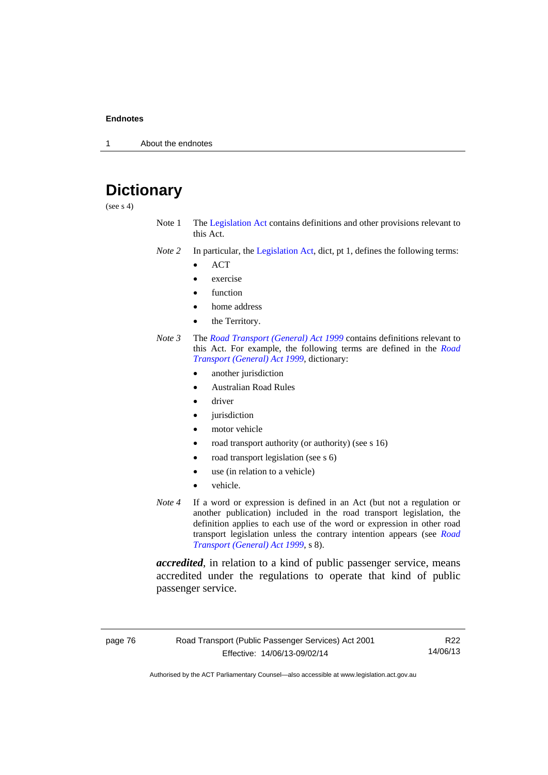1 About the endnotes

# **Dictionary**

(see  $s$  4)

- Note 1 The [Legislation Act](http://www.legislation.act.gov.au/a/2001-14) contains definitions and other provisions relevant to this Act.
- *Note 2* In particular, the [Legislation Act,](http://www.legislation.act.gov.au/a/2001-14) dict, pt 1, defines the following terms:
	- ACT
	- exercise
	- function
	- home address
	- the Territory.
- *Note 3* The *[Road Transport \(General\) Act 1999](http://www.legislation.act.gov.au/a/1999-77)* contains definitions relevant to this Act. For example, the following terms are defined in the *[Road](http://www.legislation.act.gov.au/a/1999-77)  [Transport \(General\) Act 1999](http://www.legislation.act.gov.au/a/1999-77)*, dictionary:
	- another jurisdiction
	- Australian Road Rules
	- driver
	- jurisdiction
	- motor vehicle
	- road transport authority (or authority) (see s 16)
	- road transport legislation (see s 6)
	- use (in relation to a vehicle)
	- vehicle.
- *Note 4* If a word or expression is defined in an Act (but not a regulation or another publication) included in the road transport legislation, the definition applies to each use of the word or expression in other road transport legislation unless the contrary intention appears (see *[Road](http://www.legislation.act.gov.au/a/1999-77)  [Transport \(General\) Act 1999](http://www.legislation.act.gov.au/a/1999-77)*, s 8).

*accredited*, in relation to a kind of public passenger service, means accredited under the regulations to operate that kind of public passenger service.

page 76 Road Transport (Public Passenger Services) Act 2001 Effective: 14/06/13-09/02/14

R22 14/06/13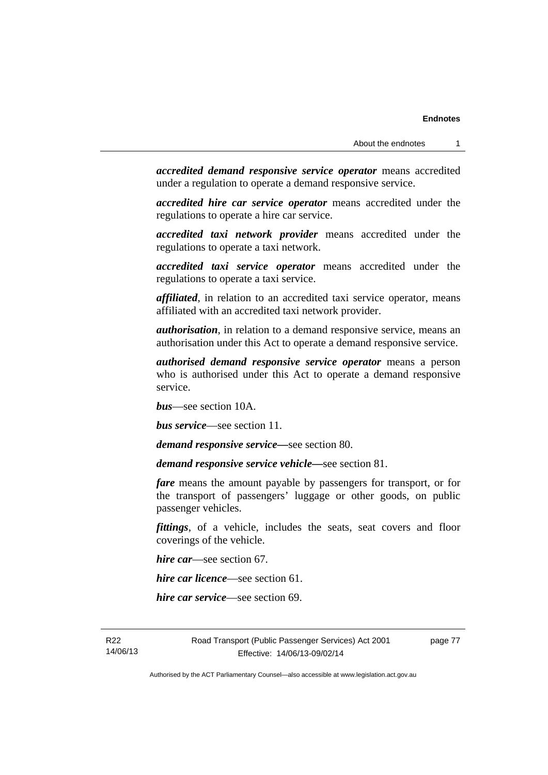*accredited demand responsive service operator* means accredited under a regulation to operate a demand responsive service.

*accredited hire car service operator* means accredited under the regulations to operate a hire car service.

*accredited taxi network provider* means accredited under the regulations to operate a taxi network.

*accredited taxi service operator* means accredited under the regulations to operate a taxi service.

*affiliated*, in relation to an accredited taxi service operator, means affiliated with an accredited taxi network provider.

*authorisation*, in relation to a demand responsive service, means an authorisation under this Act to operate a demand responsive service.

*authorised demand responsive service operator* means a person who is authorised under this Act to operate a demand responsive service.

*bus*—see section 10A.

*bus service*—see section 11.

*demand responsive service—*see section 80.

*demand responsive service vehicle—*see section 81.

*fare* means the amount payable by passengers for transport, or for the transport of passengers' luggage or other goods, on public passenger vehicles.

*fittings*, of a vehicle, includes the seats, seat covers and floor coverings of the vehicle.

*hire car*—see section 67.

*hire car licence*—see section 61.

*hire car service*—see section 69.

R22 14/06/13 Road Transport (Public Passenger Services) Act 2001 Effective: 14/06/13-09/02/14

page 77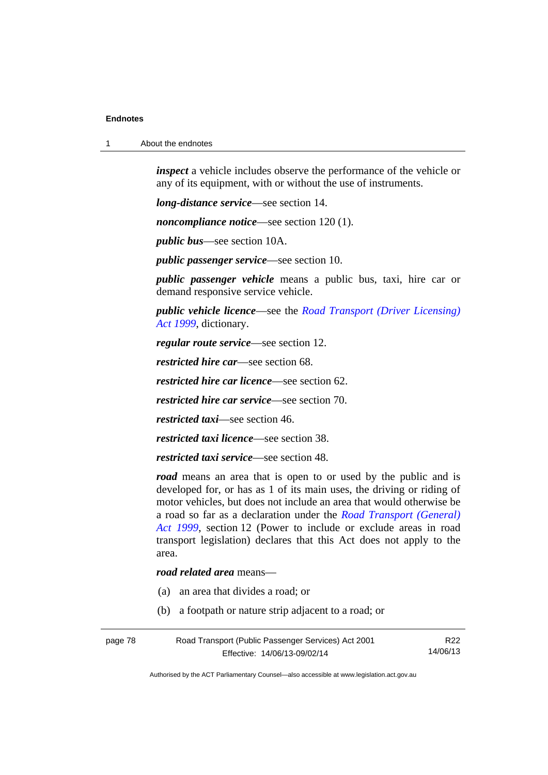1 About the endnotes

*inspect* a vehicle includes observe the performance of the vehicle or any of its equipment, with or without the use of instruments.

*long-distance service*—see section 14.

*noncompliance notice*—see section 120 (1).

*public bus*—see section 10A.

*public passenger service*—see section 10.

*public passenger vehicle* means a public bus, taxi, hire car or demand responsive service vehicle.

*public vehicle licence*—see the *[Road Transport \(Driver Licensing\)](http://www.legislation.act.gov.au/a/1999-78)  [Act 1999](http://www.legislation.act.gov.au/a/1999-78)*, dictionary.

*regular route service*—see section 12.

*restricted hire car*—see section 68.

*restricted hire car licence*—see section 62.

*restricted hire car service*—see section 70.

*restricted taxi*—see section 46.

*restricted taxi licence*—see section 38.

*restricted taxi service*—see section 48.

*road* means an area that is open to or used by the public and is developed for, or has as 1 of its main uses, the driving or riding of motor vehicles, but does not include an area that would otherwise be a road so far as a declaration under the *[Road Transport \(General\)](http://www.legislation.act.gov.au/a/1999-77)  [Act 1999](http://www.legislation.act.gov.au/a/1999-77)*, section 12 (Power to include or exclude areas in road transport legislation) declares that this Act does not apply to the area.

*road related area* means—

- (a) an area that divides a road; or
- (b) a footpath or nature strip adjacent to a road; or

| Road Transport (Public Passenger Services) Act 2001<br>page 78 |                              | R22      |
|----------------------------------------------------------------|------------------------------|----------|
|                                                                | Effective: 14/06/13-09/02/14 | 14/06/13 |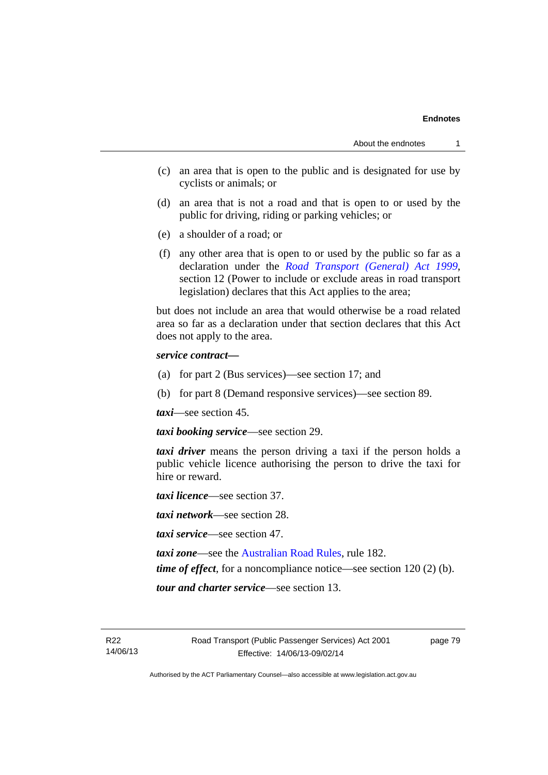- (c) an area that is open to the public and is designated for use by cyclists or animals; or
- (d) an area that is not a road and that is open to or used by the public for driving, riding or parking vehicles; or
- (e) a shoulder of a road; or
- (f) any other area that is open to or used by the public so far as a declaration under the *[Road Transport \(General\) Act 1999](http://www.legislation.act.gov.au/a/1999-77)*, section 12 (Power to include or exclude areas in road transport legislation) declares that this Act applies to the area;

but does not include an area that would otherwise be a road related area so far as a declaration under that section declares that this Act does not apply to the area.

#### *service contract—*

- (a) for part 2 (Bus services)—see section 17; and
- (b) for part 8 (Demand responsive services)—see section 89.

*taxi*—see section 45.

*taxi booking service*—see section 29.

*taxi driver* means the person driving a taxi if the person holds a public vehicle licence authorising the person to drive the taxi for hire or reward.

*taxi licence*—see section 37.

*taxi network*—see section 28.

*taxi service*—see section 47.

*taxi zone*—see the [Australian Road Rules](http://www.legislation.act.gov.au//ni/db_37271/default.asp), rule 182.

*time of effect*, for a noncompliance notice—see section 120 (2) (b).

*tour and charter service*—see section 13.

R22 14/06/13 page 79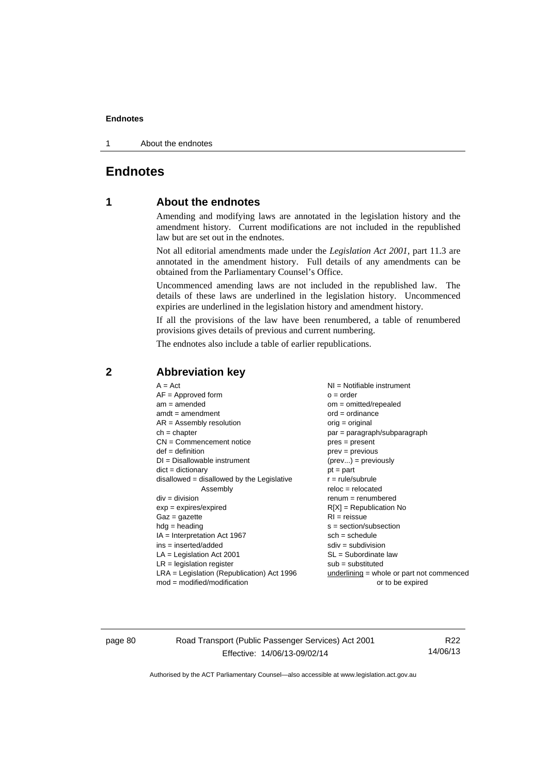1 About the endnotes

# **Endnotes**

# **1 About the endnotes**

Amending and modifying laws are annotated in the legislation history and the amendment history. Current modifications are not included in the republished law but are set out in the endnotes.

Not all editorial amendments made under the *Legislation Act 2001*, part 11.3 are annotated in the amendment history. Full details of any amendments can be obtained from the Parliamentary Counsel's Office.

Uncommenced amending laws are not included in the republished law. The details of these laws are underlined in the legislation history. Uncommenced expiries are underlined in the legislation history and amendment history.

If all the provisions of the law have been renumbered, a table of renumbered provisions gives details of previous and current numbering.

The endnotes also include a table of earlier republications.

| $A = Act$                                    | NI = Notifiable instrument                  |
|----------------------------------------------|---------------------------------------------|
| $AF =$ Approved form                         | $o = order$                                 |
| $am = amended$                               | $om = omitted/repealed$                     |
| $amdt = amendment$                           | $ord = ordinance$                           |
| $AR = Assembly resolution$                   | $orig = original$                           |
| $ch = chapter$                               | $par = paragraph/subparagraph$              |
| $CN =$ Commencement notice                   | $pres = present$                            |
| $def = definition$                           | $prev = previous$                           |
| $DI = Disallowable instrument$               | $(\text{prev}) = \text{previously}$         |
| $dict = dictionary$                          | $pt = part$                                 |
| disallowed = disallowed by the Legislative   | $r = rule/subrule$                          |
| Assembly                                     | $reloc = relocated$                         |
| $div = division$                             | $remum = renumbered$                        |
| $exp = expires/expired$                      | $R[X]$ = Republication No                   |
| $Gaz = gazette$                              | $RI = reissue$                              |
| $hdg =$ heading                              | $s = section/subsection$                    |
| $IA = Interpretation Act 1967$               | $sch = schedule$                            |
| $ins = inserted/added$                       | $sdiv = subdivision$                        |
| $LA =$ Legislation Act 2001                  | $SL = Subordinate$ law                      |
| $LR =$ legislation register                  | $sub =$ substituted                         |
| $LRA =$ Legislation (Republication) Act 1996 | $underlining = whole or part not commenced$ |
| $mod = modified/modification$                | or to be expired                            |

# **2 Abbreviation key**

page 80 Road Transport (Public Passenger Services) Act 2001 Effective: 14/06/13-09/02/14

R22 14/06/13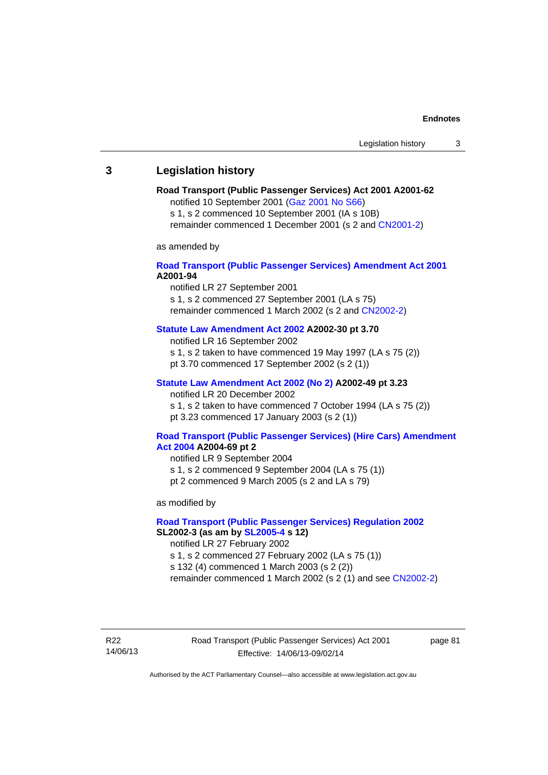# **3 Legislation history**

# **Road Transport (Public Passenger Services) Act 2001 A2001-62**

notified 10 September 2001 [\(Gaz 2001 No S66\)](http://www.legislation.act.gov.au/gaz/2001-S66/default.asp)

s 1, s 2 commenced 10 September 2001 (IA s 10B) remainder commenced 1 December 2001 (s 2 and [CN2001-2\)](http://www.legislation.act.gov.au/cn/2001-2/default.asp)

as amended by

## **[Road Transport \(Public Passenger Services\) Amendment Act 2001](http://www.legislation.act.gov.au/a/2001-94) A2001-94**

notified LR 27 September 2001

s 1, s 2 commenced 27 September 2001 (LA s 75) remainder commenced 1 March 2002 (s 2 and [CN2002-2\)](http://www.legislation.act.gov.au/cn/2002-2/default.asp)

## **[Statute Law Amendment Act 2002](http://www.legislation.act.gov.au/a/2002-30) A2002-30 pt 3.70**

notified LR 16 September 2002

s 1, s 2 taken to have commenced 19 May 1997 (LA s 75 (2))

pt 3.70 commenced 17 September 2002 (s 2 (1))

### **[Statute Law Amendment Act 2002 \(No 2\)](http://www.legislation.act.gov.au/a/2002-49) A2002-49 pt 3.23**

notified LR 20 December 2002 s 1, s 2 taken to have commenced 7 October 1994 (LA s 75 (2)) pt 3.23 commenced 17 January 2003 (s 2 (1))

#### **[Road Transport \(Public Passenger Services\) \(Hire Cars\) Amendment](http://www.legislation.act.gov.au/a/2004-69)  [Act 2004](http://www.legislation.act.gov.au/a/2004-69) A2004-69 pt 2**

notified LR 9 September 2004 s 1, s 2 commenced 9 September 2004 (LA s 75 (1)) pt 2 commenced 9 March 2005 (s 2 and LA s 79)

as modified by

## **[Road Transport \(Public Passenger Services\) Regulation 2002](http://www.legislation.act.gov.au/sl/2002-3) SL2002-3 (as am by [SL2005-4](http://www.legislation.act.gov.au/sl/2005-4) s 12)**

notified LR 27 February 2002

s 1, s 2 commenced 27 February 2002 (LA s 75 (1))

s 132 (4) commenced 1 March 2003 (s 2 (2))

remainder commenced 1 March 2002 (s 2 (1) and see [CN2002-2](http://www.legislation.act.gov.au/cn/2002-2/default.asp))

R22 14/06/13 Road Transport (Public Passenger Services) Act 2001 Effective: 14/06/13-09/02/14

page 81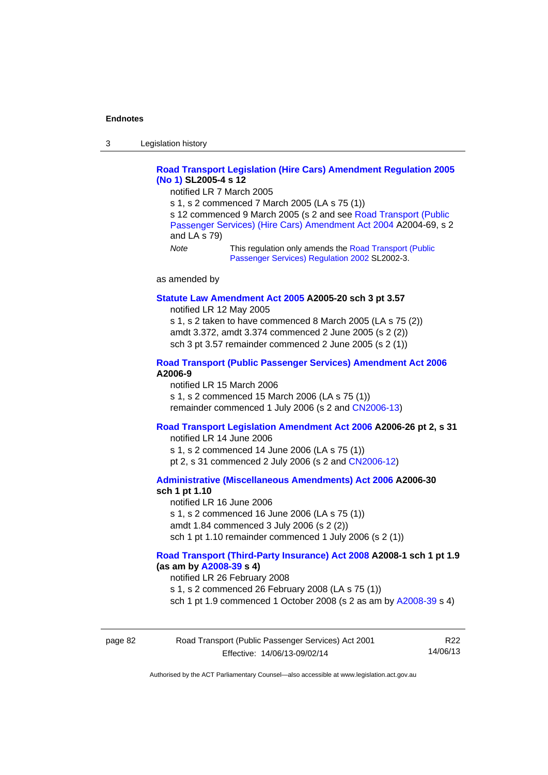3 Legislation history

## **[Road Transport Legislation \(Hire Cars\) Amendment Regulation 2005](http://www.legislation.act.gov.au/sl/2005-4)  [\(No 1\)](http://www.legislation.act.gov.au/sl/2005-4) SL2005-4 s 12**

notified LR 7 March 2005

s 1, s 2 commenced 7 March 2005 (LA s 75 (1))

s 12 commenced 9 March 2005 (s 2 and see [Road Transport \(Public](http://www.legislation.act.gov.au/a/2004-69)  [Passenger Services\) \(Hire Cars\) Amendment Act 2004](http://www.legislation.act.gov.au/a/2004-69) A2004-69, s 2 and LA s 79)

*Note* This regulation only amends the [Road Transport \(Public](http://www.legislation.act.gov.au/sl/2002-3)  [Passenger Services\) Regulation 2002](http://www.legislation.act.gov.au/sl/2002-3) SL2002-3.

as amended by

#### **[Statute Law Amendment Act 2005](http://www.legislation.act.gov.au/a/2005-20) A2005-20 sch 3 pt 3.57**

notified LR 12 May 2005

s 1, s 2 taken to have commenced 8 March 2005 (LA s 75 (2)) amdt 3.372, amdt 3.374 commenced 2 June 2005 (s 2 (2)) sch 3 pt 3.57 remainder commenced 2 June 2005 (s 2 (1))

#### **[Road Transport \(Public Passenger Services\) Amendment Act 2006](http://www.legislation.act.gov.au/a/2006-9) A2006-9**

notified LR 15 March 2006 s 1, s 2 commenced 15 March 2006 (LA s 75 (1)) remainder commenced 1 July 2006 (s 2 and [CN2006-13](http://www.legislation.act.gov.au/cn/2006-13/default.asp))

### **[Road Transport Legislation Amendment Act 2006](http://www.legislation.act.gov.au/a/2006-26) A2006-26 pt 2, s 31**

notified LR 14 June 2006 s 1, s 2 commenced 14 June 2006 (LA s 75 (1)) pt 2, s 31 commenced 2 July 2006 (s 2 and [CN2006-12](http://www.legislation.act.gov.au/cn/2006-12/default.asp))

**[Administrative \(Miscellaneous Amendments\) Act 2006](http://www.legislation.act.gov.au/a/2006-30) A2006-30 sch 1 pt 1.10** 

notified LR 16 June 2006 s 1, s 2 commenced 16 June 2006 (LA s 75 (1)) amdt 1.84 commenced 3 July 2006 (s 2 (2)) sch 1 pt 1.10 remainder commenced 1 July 2006 (s 2 (1))

#### **[Road Transport \(Third-Party Insurance\) Act 2008](http://www.legislation.act.gov.au/a/2008-1) A2008-1 sch 1 pt 1.9 (as am by [A2008-39](http://www.legislation.act.gov.au/a/2008-39) s 4)**

notified LR 26 February 2008

s 1, s 2 commenced 26 February 2008 (LA s 75 (1))

sch 1 pt 1.9 commenced 1 October 2008 (s 2 as am by [A2008-39](http://www.legislation.act.gov.au/a/2008-39) s 4)

| Road Transport (Public Passenger Services) Act 2001<br>page 82 |                              | R <sub>22</sub> |
|----------------------------------------------------------------|------------------------------|-----------------|
|                                                                | Effective: 14/06/13-09/02/14 | 14/06/13        |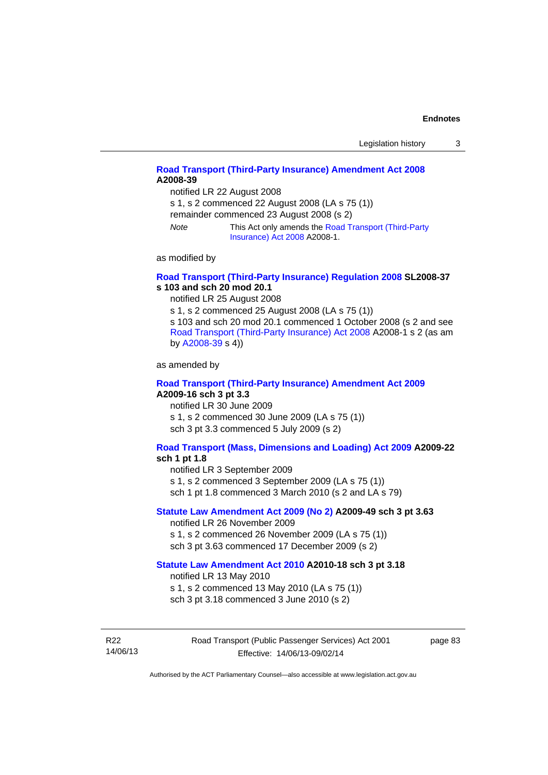# **[Road Transport \(Third-Party Insurance\) Amendment Act 2008](http://www.legislation.act.gov.au/a/2008-39) A2008-39**

notified LR 22 August 2008

s 1, s 2 commenced 22 August 2008 (LA s 75 (1))

remainder commenced 23 August 2008 (s 2)

*Note* This Act only amends the [Road Transport \(Third-Party](http://www.legislation.act.gov.au/a/2008-1)  [Insurance\) Act 2008](http://www.legislation.act.gov.au/a/2008-1) A2008-1.

as modified by

#### **[Road Transport \(Third-Party Insurance\) Regulation 2008](http://www.legislation.act.gov.au/sl/2008-37) SL2008-37 s 103 and sch 20 mod 20.1**

notified LR 25 August 2008

s 1, s 2 commenced 25 August 2008 (LA s 75 (1)) s 103 and sch 20 mod 20.1 commenced 1 October 2008 (s 2 and see [Road Transport \(Third-Party Insurance\) Act 2008](http://www.legislation.act.gov.au/a/2008-1) A2008-1 s 2 (as am by [A2008-39](http://www.legislation.act.gov.au/a/2008-39) s 4))

as amended by

#### **[Road Transport \(Third-Party Insurance\) Amendment Act 2009](http://www.legislation.act.gov.au/a/2009-16) A2009-16 sch 3 pt 3.3**

notified LR 30 June 2009 s 1, s 2 commenced 30 June 2009 (LA s 75 (1)) sch 3 pt 3.3 commenced 5 July 2009 (s 2)

## **[Road Transport \(Mass, Dimensions and Loading\) Act 2009](http://www.legislation.act.gov.au/a/2009-22/default.asp) A2009-22**

#### **sch 1 pt 1.8**

notified LR 3 September 2009

s 1, s 2 commenced 3 September 2009 (LA s 75 (1))

sch 1 pt 1.8 commenced 3 March 2010 (s 2 and LA s 79)

## **[Statute Law Amendment Act 2009 \(No 2\)](http://www.legislation.act.gov.au/a/2009-49) A2009-49 sch 3 pt 3.63**

notified LR 26 November 2009 s 1, s 2 commenced 26 November 2009 (LA s 75 (1)) sch 3 pt 3.63 commenced 17 December 2009 (s 2)

#### **[Statute Law Amendment Act 2010](http://www.legislation.act.gov.au/a/2010-18) A2010-18 sch 3 pt 3.18**

notified LR 13 May 2010

s 1, s 2 commenced 13 May 2010 (LA s 75 (1))

sch 3 pt 3.18 commenced 3 June 2010 (s 2)

R22 14/06/13 Road Transport (Public Passenger Services) Act 2001 Effective: 14/06/13-09/02/14

page 83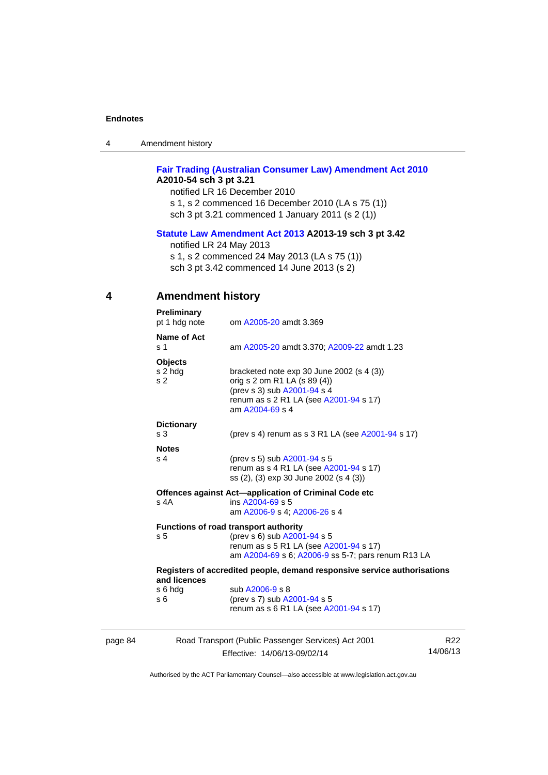| 4 | Amendment history |
|---|-------------------|
|---|-------------------|

# **[Fair Trading \(Australian Consumer Law\) Amendment Act 2010](http://www.legislation.act.gov.au/a/2010-54) A2010-54 sch 3 pt 3.21**

notified LR 16 December 2010 s 1, s 2 commenced 16 December 2010 (LA s 75 (1)) sch 3 pt 3.21 commenced 1 January 2011 (s 2 (1))

## **[Statute Law Amendment Act 2013](http://www.legislation.act.gov.au/a/2013-19) A2013-19 sch 3 pt 3.42**

notified LR 24 May 2013

s 1, s 2 commenced 24 May 2013 (LA s 75 (1))

sch 3 pt 3.42 commenced 14 June 2013 (s 2)

# **4 Amendment history**

| Preliminary<br>pt 1 hdg note                | om A2005-20 amdt 3.369                                                                                                                                                  |
|---------------------------------------------|-------------------------------------------------------------------------------------------------------------------------------------------------------------------------|
| Name of Act<br>s 1                          | am A2005-20 amdt 3.370; A2009-22 amdt 1.23                                                                                                                              |
| <b>Objects</b><br>s 2 hdg<br>s <sub>2</sub> | bracketed note $exp 30$ June 2002 (s 4 (3))<br>orig s 2 om R1 LA (s 89 (4))<br>(prev s 3) sub A2001-94 s 4<br>renum as s 2 R1 LA (see A2001-94 s 17)<br>am A2004-69 s 4 |
| <b>Dictionary</b><br>s <sub>3</sub>         | (prev s 4) renum as s 3 R1 LA (see A2001-94 s 17)                                                                                                                       |
| <b>Notes</b><br>s <sub>4</sub>              | (prev s 5) sub A2001-94 s 5<br>renum as s 4 R1 LA (see A2001-94 s 17)<br>ss (2), (3) exp 30 June 2002 (s 4 (3))                                                         |
| s 4A                                        | Offences against Act-application of Criminal Code etc<br>ins A2004-69 s 5<br>am A2006-9 s 4; A2006-26 s 4                                                               |
| s <sub>5</sub>                              | Functions of road transport authority<br>(prev s 6) sub A2001-94 s 5<br>renum as s 5 R1 LA (see A2001-94 s 17)<br>am A2004-69 s 6; A2006-9 ss 5-7; pars renum R13 LA    |
| and licences                                | Registers of accredited people, demand responsive service authorisations                                                                                                |
| s 6 hdg<br>s 6                              | sub A2006-9 s 8<br>(prev s 7) sub A2001-94 s 5<br>renum as s 6 R1 LA (see A2001-94 s 17)                                                                                |
|                                             |                                                                                                                                                                         |

| page 84 | Road Transport (Public Passenger Services) Act 2001 | R22      |
|---------|-----------------------------------------------------|----------|
|         | Effective: 14/06/13-09/02/14                        | 14/06/13 |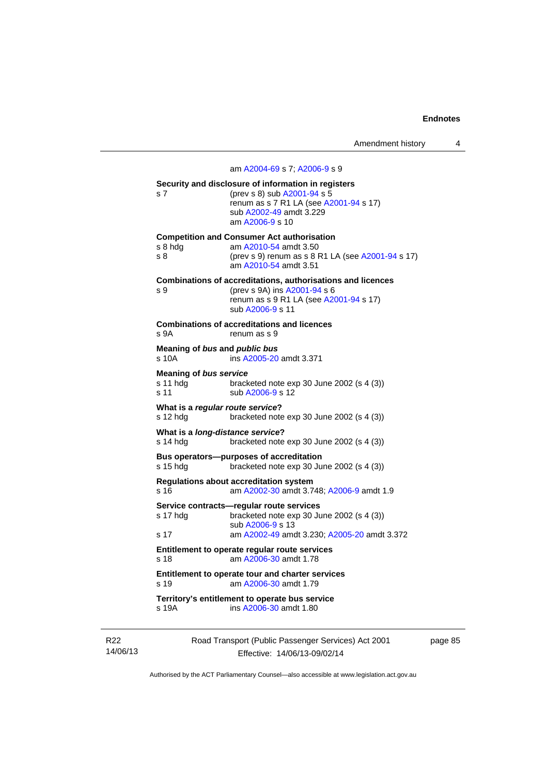## am [A2004-69](http://www.legislation.act.gov.au/a/2004-69) s 7; [A2006-9](http://www.legislation.act.gov.au/a/2006-9) s 9

| s 7                                                  | Security and disclosure of information in registers<br>(prev s 8) sub A2001-94 s 5<br>renum as s 7 R1 LA (see A2001-94 s 17)<br>sub A2002-49 amdt 3.229<br>am A2006-9 s 10 |
|------------------------------------------------------|----------------------------------------------------------------------------------------------------------------------------------------------------------------------------|
| s 8 hda<br>s 8                                       | <b>Competition and Consumer Act authorisation</b><br>am A2010-54 amdt 3.50<br>(prev s 9) renum as s 8 R1 LA (see A2001-94 s 17)<br>am A2010-54 amdt 3.51                   |
| s 9                                                  | <b>Combinations of accreditations, authorisations and licences</b><br>(prev s 9A) ins A2001-94 s 6<br>renum as s 9 R1 LA (see A2001-94 s 17)<br>sub A2006-9 s 11           |
| s 9A                                                 | <b>Combinations of accreditations and licences</b><br>renum as s 9                                                                                                         |
| Meaning of bus and public bus<br>s 10A               | ins A2005-20 amdt 3.371                                                                                                                                                    |
| <b>Meaning of bus service</b><br>s 11 hdg<br>s 11    | bracketed note exp 30 June 2002 (s 4 (3))<br>sub A2006-9 s 12                                                                                                              |
| What is a regular route service?<br>s 12 hdg         | bracketed note $exp 30$ June 2002 (s 4 (3))                                                                                                                                |
| What is a <i>long-distance service</i> ?<br>s 14 hdg | bracketed note exp 30 June 2002 (s 4 (3))                                                                                                                                  |
| s 15 hdg                                             | <b>Bus operators--purposes of accreditation</b><br>bracketed note $exp 30$ June 2002 (s 4 (3))                                                                             |
| s 16                                                 | <b>Regulations about accreditation system</b><br>am A2002-30 amdt 3.748; A2006-9 amdt 1.9                                                                                  |
| s 17 hdg                                             | Service contracts—regular route services<br>bracketed note exp 30 June 2002 (s 4 (3))<br>sub A2006-9 s 13                                                                  |
| s 17                                                 | am A2002-49 amdt 3.230; A2005-20 amdt 3.372                                                                                                                                |
| s 18                                                 | Entitlement to operate regular route services<br>am A2006-30 amdt 1.78                                                                                                     |
| s 19                                                 | Entitlement to operate tour and charter services<br>am A2006-30 amdt 1.79                                                                                                  |
| s 19A                                                | Territory's entitlement to operate bus service<br>ins A2006-30 amdt 1.80                                                                                                   |

R22 14/06/13 Road Transport (Public Passenger Services) Act 2001 Effective: 14/06/13-09/02/14

page 85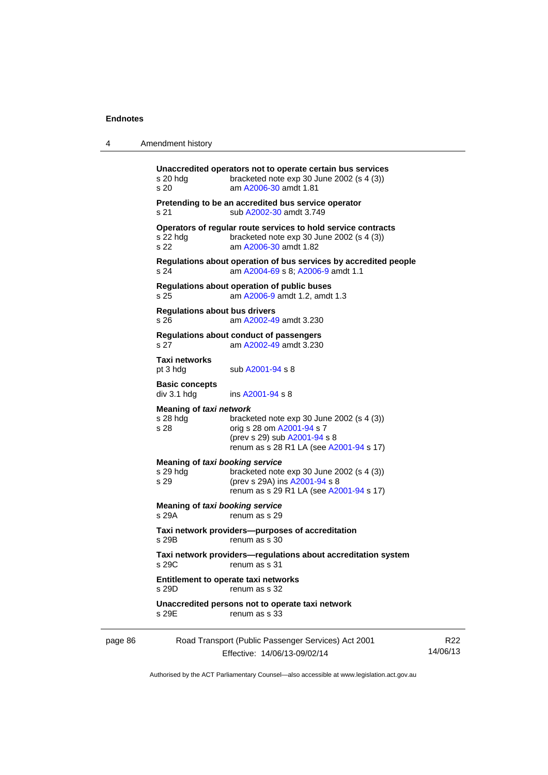4 Amendment history

| s 20 hda<br>s 20                      | Unaccredited operators not to operate certain bus services<br>bracketed note exp 30 June 2002 (s 4 (3))<br>am A2006-30 amdt 1.81      |
|---------------------------------------|---------------------------------------------------------------------------------------------------------------------------------------|
| s 21                                  | Pretending to be an accredited bus service operator<br>sub A2002-30 amdt 3.749                                                        |
| s 22 hda<br>s 22                      | Operators of regular route services to hold service contracts<br>bracketed note $exp 30$ June 2002 (s 4 (3))<br>am A2006-30 amdt 1.82 |
| s 24                                  | Regulations about operation of bus services by accredited people<br>am A2004-69 s 8; A2006-9 amdt 1.1                                 |
| s 25                                  | Regulations about operation of public buses<br>am A2006-9 amdt 1.2, amdt 1.3                                                          |
| Regulations about bus drivers<br>s 26 | am A2002-49 amdt 3.230                                                                                                                |
| s 27                                  | Regulations about conduct of passengers<br>am A2002-49 amdt 3.230                                                                     |
|                                       |                                                                                                                                       |

**Taxi networks**  sub [A2001-94](http://www.legislation.act.gov.au/a/2001-94) s 8

**Basic concepts**<br>div 3.1 hdg

**Meaning of** *taxi network*

| s 28 hdq | bracketed note $exp 30$ June 2002 (s 4 (3)) |
|----------|---------------------------------------------|
| s 28     | orig s 28 om A2001-94 s 7                   |
|          | (prev s 29) sub $A2001 - 94$ s 8            |
|          | renum as s 28 R1 LA (see A2001-94 s 17)     |
|          |                                             |

ins [A2001-94](http://www.legislation.act.gov.au/a/2001-94) s 8

| Meaning of taxi booking service |                                             |  |  |
|---------------------------------|---------------------------------------------|--|--|
| s 29 hda                        | bracketed note $exp 30$ June 2002 (s 4 (3)) |  |  |
| s 29                            | (prev s 29A) ins A2001-94 s 8               |  |  |

renum as s 29 R1 LA (see [A2001-94](http://www.legislation.act.gov.au/a/2001-94) s 17)

**Meaning of** *taxi booking service*  s 29A renum as s 29

**Taxi network providers—purposes of accreditation**  renum as s 30

**Taxi network providers—regulations about accreditation system**  renum as s 31

**Entitlement to operate taxi networks**  renum as s 32

**Unaccredited persons not to operate taxi network** 

s 29E renum as s 33

| Road Transport (Public Passenger Services) Act 2001<br>page 86 |                              | R22      |
|----------------------------------------------------------------|------------------------------|----------|
|                                                                | Effective: 14/06/13-09/02/14 | 14/06/13 |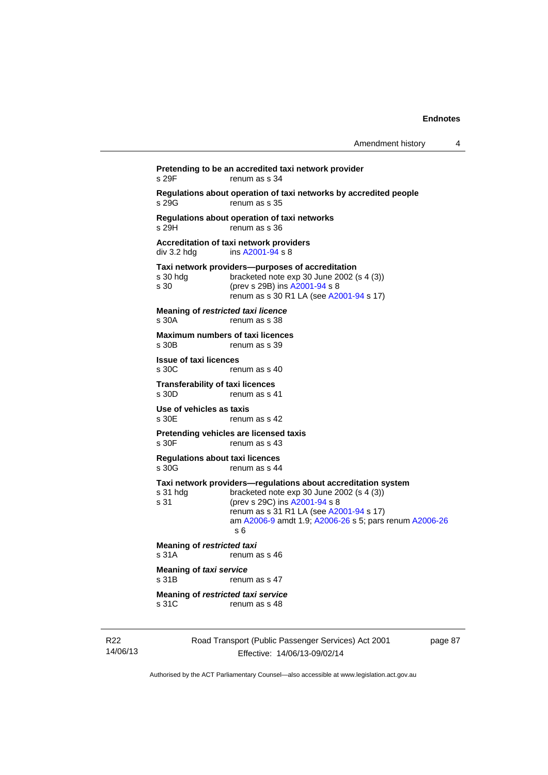| Amendment history |  |  |
|-------------------|--|--|
|-------------------|--|--|

Road Transport (Public Passenger Services) Act 2001 **Pretending to be an accredited taxi network provider**  s 29F renum as s 34 **Regulations about operation of taxi networks by accredited people**  s 29G renum as s 35 **Regulations about operation of taxi networks**  s 29H renum as s 36 **Accreditation of taxi network providers**  div 3.2 hdg ins [A2001-94](http://www.legislation.act.gov.au/a/2001-94) s 8 **Taxi network providers—purposes of accreditation**  bracketed note exp 30 June 2002 (s  $4$  (3)) s 30 (prev s 29B) ins [A2001-94](http://www.legislation.act.gov.au/a/2001-94) s 8 renum as s 30 R1 LA (see [A2001-94](http://www.legislation.act.gov.au/a/2001-94) s 17) **Meaning of** *restricted taxi licence*  s 30A renum as s 38 **Maximum numbers of taxi licences**<br>s 30B renum as s 39 renum as s 39 **Issue of taxi licences**  s 30C renum as s 40 **Transferability of taxi licences**  s 30D renum as s 41 **Use of vehicles as taxis**  renum as s 42 **Pretending vehicles are licensed taxis**  s 30F renum as s 43 **Regulations about taxi licences**  renum as s 44 **Taxi network providers—regulations about accreditation system**  s 31 hdg bracketed note exp 30 June 2002 (s 4 (3))<br>s 31 (prev s 29C) ins A2001-94 s 8 (prev s 29C) ins [A2001-94](http://www.legislation.act.gov.au/a/2001-94) s 8 renum as s 31 R1 LA (see [A2001-94](http://www.legislation.act.gov.au/a/2001-94) s 17) am [A2006-9](http://www.legislation.act.gov.au/a/2006-9) amdt 1.9; [A2006-26](http://www.legislation.act.gov.au/a/2006-26) s 5; pars renum [A2006-26](http://www.legislation.act.gov.au/a/2006-26) s 6 **Meaning of** *restricted taxi*  s 31A renum as s 46 **Meaning of** *taxi service*  s 31B renum as s 47 **Meaning of** *restricted taxi service*  s 31C renum as s 48

page 87

Authorised by the ACT Parliamentary Counsel—also accessible at www.legislation.act.gov.au

Effective: 14/06/13-09/02/14

R22 14/06/13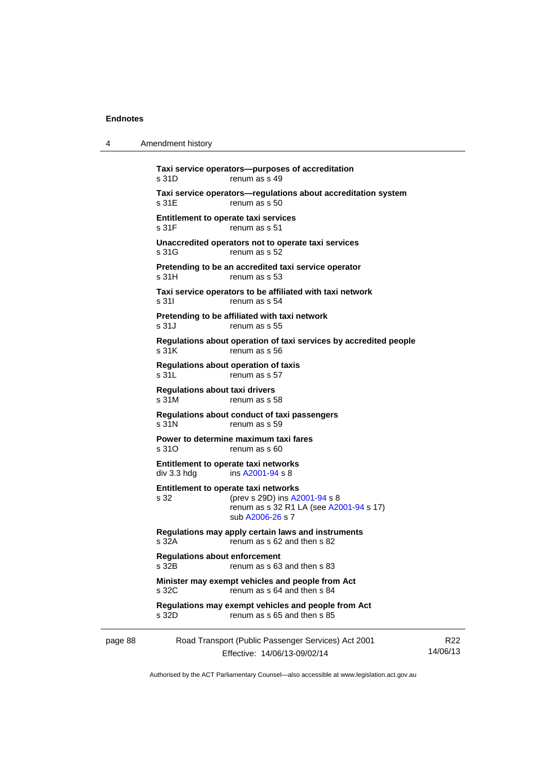4 Amendment history

|         | s 31D                                          | Taxi service operators--purposes of accreditation<br>renum as s 49                                                                   |                             |
|---------|------------------------------------------------|--------------------------------------------------------------------------------------------------------------------------------------|-----------------------------|
|         | s 31E                                          | Taxi service operators-regulations about accreditation system<br>renum as s 50                                                       |                             |
|         | Entitlement to operate taxi services<br>s 31F  | renum as s 51                                                                                                                        |                             |
|         | s 31G                                          | Unaccredited operators not to operate taxi services<br>renum as s 52                                                                 |                             |
|         | s 31H                                          | Pretending to be an accredited taxi service operator<br>renum as s 53                                                                |                             |
|         | s 31 l                                         | Taxi service operators to be affiliated with taxi network<br>renum as s 54                                                           |                             |
|         | s 31J                                          | Pretending to be affiliated with taxi network<br>renum as s 55                                                                       |                             |
|         | s 31K                                          | Regulations about operation of taxi services by accredited people<br>renum as s 56                                                   |                             |
|         | s 31L                                          | Regulations about operation of taxis<br>renum as s 57                                                                                |                             |
|         | <b>Regulations about taxi drivers</b><br>s 31M | renum as s 58                                                                                                                        |                             |
|         | s 31N                                          | Regulations about conduct of taxi passengers<br>renum as s 59                                                                        |                             |
|         | s 31O                                          | Power to determine maximum taxi fares<br>renum as s 60                                                                               |                             |
|         | div 3.3 hdg                                    | Entitlement to operate taxi networks<br>ins A2001-94 s 8                                                                             |                             |
|         | s 32                                           | Entitlement to operate taxi networks<br>(prev s 29D) ins A2001-94 s 8<br>renum as s 32 R1 LA (see A2001-94 s 17)<br>sub A2006-26 s 7 |                             |
|         | s 32A                                          | Regulations may apply certain laws and instruments<br>renum as s 62 and then s 82                                                    |                             |
|         | <b>Regulations about enforcement</b><br>S 32B  | renum as s 63 and then s 83                                                                                                          |                             |
|         | s 32C                                          | Minister may exempt vehicles and people from Act<br>renum as s 64 and then s 84                                                      |                             |
|         | s 32D                                          | Regulations may exempt vehicles and people from Act<br>renum as s 65 and then s 85                                                   |                             |
| page 88 |                                                | Road Transport (Public Passenger Services) Act 2001<br>Effective: 14/06/13-09/02/14                                                  | R <sub>22</sub><br>14/06/13 |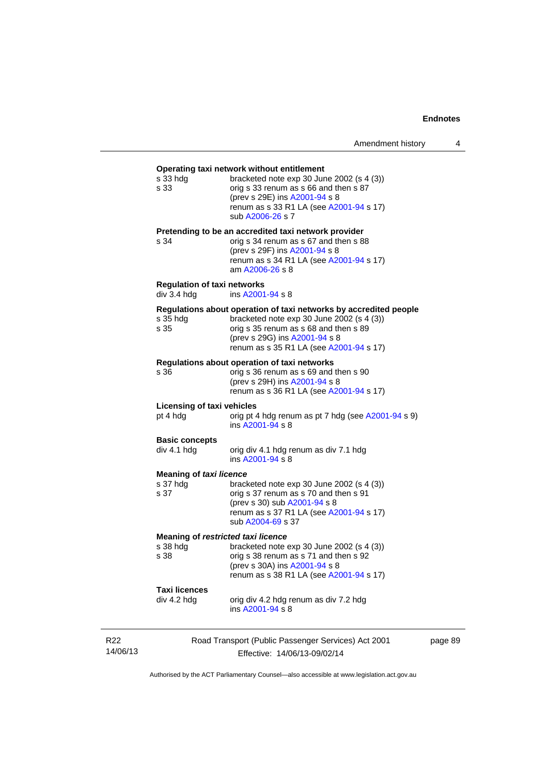# Road Transport (Public Passenger Services) Act 2001 **Operating taxi network without entitlement**  s 33 hdg bracketed note exp 30 June 2002 (s 4 (3)) s 33 orig s 33 renum as s 66 and then s 87 (prev s 29E) ins [A2001-94](http://www.legislation.act.gov.au/a/2001-94) s 8 renum as s 33 R1 LA (see [A2001-94](http://www.legislation.act.gov.au/a/2001-94) s 17) sub [A2006-26](http://www.legislation.act.gov.au/a/2006-26) s 7 **Pretending to be an accredited taxi network provider**  s 34 orig s 34 renum as s 67 and then s 88 (prev s 29F) ins [A2001-94](http://www.legislation.act.gov.au/a/2001-94) s 8 renum as s 34 R1 LA (see [A2001-94](http://www.legislation.act.gov.au/a/2001-94) s 17) am [A2006-26](http://www.legislation.act.gov.au/a/2006-26) s 8 **Regulation of taxi networks**  div 3.4 hdg ins [A2001-94](http://www.legislation.act.gov.au/a/2001-94) s 8 **Regulations about operation of taxi networks by accredited people**  s  $35$  hdg bracketed note exp  $30$  June 2002 (s  $4$  (3)) s  $35$  corig s  $35$  renum as s  $68$  and then s  $89$ orig s 35 renum as s 68 and then s 89 (prev s 29G) ins [A2001-94](http://www.legislation.act.gov.au/a/2001-94) s 8 renum as s 35 R1 LA (see [A2001-94](http://www.legislation.act.gov.au/a/2001-94) s 17) **Regulations about operation of taxi networks**  s 36 orig s 36 renum as s 69 and then s 90 (prev s 29H) ins [A2001-94](http://www.legislation.act.gov.au/a/2001-94) s 8 renum as s 36 R1 LA (see [A2001-94](http://www.legislation.act.gov.au/a/2001-94) s 17) **Licensing of taxi vehicles**  pt 4 hdg orig pt 4 hdg renum as pt 7 hdg (see [A2001-94](http://www.legislation.act.gov.au/a/2001-94) s 9) ins [A2001-94](http://www.legislation.act.gov.au/a/2001-94) s 8 **Basic concepts**<br>div 4.1 hdg orig div 4.1 hdg renum as div 7.1 hdg ins [A2001-94](http://www.legislation.act.gov.au/a/2001-94) s 8 **Meaning of** *taxi licence*  s 37 hdg bracketed note exp 30 June 2002 (s 4 (3)) s 37 orig s 37 renum as s 70 and then s 91 (prev s 30) sub [A2001-94](http://www.legislation.act.gov.au/a/2001-94) s 8 renum as s 37 R1 LA (see [A2001-94](http://www.legislation.act.gov.au/a/2001-94) s 17) sub [A2004-69](http://www.legislation.act.gov.au/a/2004-69) s 37 **Meaning of** *restricted taxi licence*<br>s 38 hdg bracketed note s 38 hdg bracketed note exp 30 June 2002 (s 4 (3))<br>s 38 borig s 38 renum as s 71 and then s 92 orig s 38 renum as s 71 and then s 92 (prev s 30A) ins [A2001-94](http://www.legislation.act.gov.au/a/2001-94) s 8 renum as s 38 R1 LA (see [A2001-94](http://www.legislation.act.gov.au/a/2001-94) s 17) **Taxi licences**  orig div 4.2 hdg renum as div 7.2 hdg ins [A2001-94](http://www.legislation.act.gov.au/a/2001-94) s 8

page 89

Authorised by the ACT Parliamentary Counsel—also accessible at www.legislation.act.gov.au

Effective: 14/06/13-09/02/14

R22 14/06/13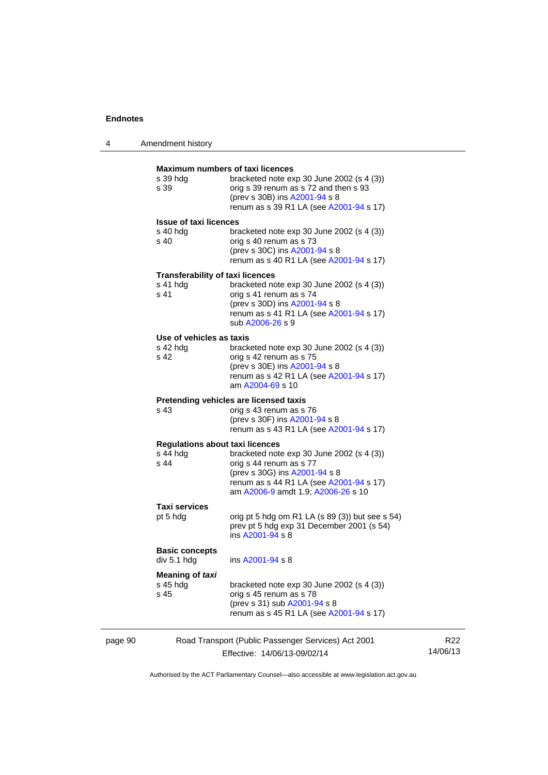| Amendment history |  |
|-------------------|--|
|                   |  |

| s 39 hda<br>s 39                                             | <b>Maximum numbers of taxi licences</b><br>bracketed note exp 30 June 2002 (s 4 (3))<br>orig s 39 renum as s 72 and then s 93<br>(prev s 30B) ins A2001-94 s 8<br>renum as s 39 R1 LA (see A2001-94 s 17) |
|--------------------------------------------------------------|-----------------------------------------------------------------------------------------------------------------------------------------------------------------------------------------------------------|
| <b>Issue of taxi licences</b><br>s 40 hdg<br>s <sub>40</sub> | bracketed note $exp 30$ June 2002 (s 4 (3))<br>orig s 40 renum as s 73<br>(prev s 30C) ins A2001-94 s 8<br>renum as s 40 R1 LA (see A2001-94 s 17)                                                        |
| <b>Transferability of taxi licences</b><br>s 41 hdg<br>s 41  | bracketed note $exp 30$ June 2002 (s 4 (3))<br>orig s 41 renum as s 74<br>(prev s 30D) ins A2001-94 s 8<br>renum as s 41 R1 LA (see A2001-94 s 17)<br>sub A2006-26 s 9                                    |
| Use of vehicles as taxis<br>s 42 hda<br>s 42                 | bracketed note $exp 30$ June 2002 (s 4 (3))<br>orig s 42 renum as s 75<br>(prev s 30E) ins A2001-94 s 8<br>renum as s 42 R1 LA (see A2001-94 s 17)<br>am A2004-69 s 10                                    |
| s 43                                                         | Pretending vehicles are licensed taxis<br>orig s 43 renum as s 76<br>(prev s 30F) ins A2001-94 s 8<br>renum as s 43 R1 LA (see A2001-94 s 17)                                                             |
| <b>Regulations about taxi licences</b><br>s 44 hdg<br>s 44   | bracketed note exp 30 June 2002 (s 4 (3))<br>orig s 44 renum as s 77<br>(prev s 30G) ins A2001-94 s 8<br>renum as s 44 R1 LA (see A2001-94 s 17)<br>am A2006-9 amdt 1.9; A2006-26 s 10                    |
| <b>Taxi services</b><br>pt 5 hdg                             | orig pt 5 hdg om R1 LA (s 89 (3)) but see s 54)<br>prev pt 5 hdg exp 31 December 2001 (s 54)<br>ins A2001-94 s 8                                                                                          |
| <b>Basic concepts</b><br>div 5.1 hdg                         | ins A2001-94 s 8                                                                                                                                                                                          |
| Meaning of taxi<br>s 45 hdg<br>s 45                          | bracketed note exp 30 June 2002 (s 4 (3))<br>orig s 45 renum as s 78<br>(prev s 31) sub A2001-94 s 8<br>renum as s 45 R1 LA (see A2001-94 s 17)                                                           |

page 90 Road Transport (Public Passenger Services) Act 2001 Effective: 14/06/13-09/02/14

R22 14/06/13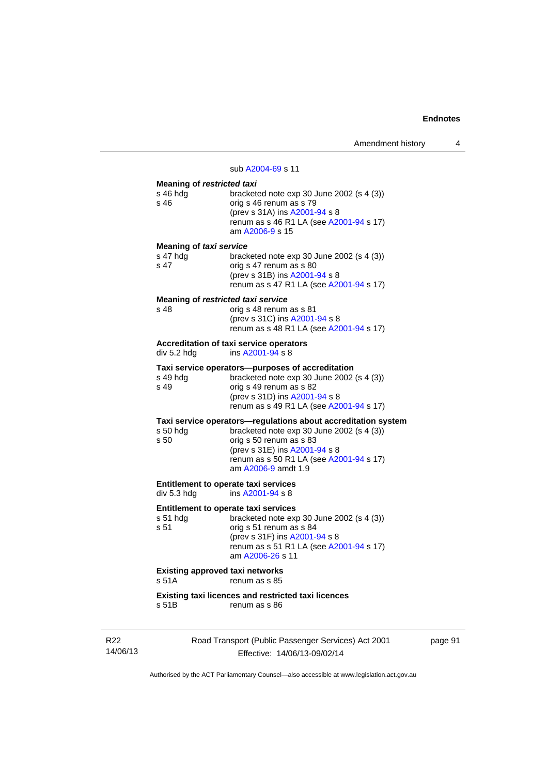#### sub [A2004-69](http://www.legislation.act.gov.au/a/2004-69) s 11

# **Meaning of** *restricted taxi*

| <b>INGRIBILITY OF TESUTCIC GAT</b>                       |                                                                                                                                                                                                                                          |  |
|----------------------------------------------------------|------------------------------------------------------------------------------------------------------------------------------------------------------------------------------------------------------------------------------------------|--|
| s 46 hdg<br>s 46                                         | bracketed note $exp 30$ June 2002 (s 4 (3))<br>orig s 46 renum as s 79<br>(prev s 31A) ins A2001-94 s 8<br>renum as s 46 R1 LA (see A2001-94 s 17)<br>am A2006-9 s 15                                                                    |  |
| <b>Meaning of taxi service</b>                           |                                                                                                                                                                                                                                          |  |
| s 47 hdg<br>s 47                                         | bracketed note exp 30 June 2002 (s 4 (3))<br>orig s 47 renum as s 80<br>(prev s 31B) ins A2001-94 s 8<br>renum as s 47 R1 LA (see A2001-94 s 17)                                                                                         |  |
| Meaning of restricted taxi service<br>s 48               | orig s 48 renum as s 81                                                                                                                                                                                                                  |  |
|                                                          | (prev s 31C) ins A2001-94 s 8<br>renum as s 48 R1 LA (see A2001-94 s 17)                                                                                                                                                                 |  |
| div 5.2 hdg                                              | <b>Accreditation of taxi service operators</b><br>ins A2001-94 s 8                                                                                                                                                                       |  |
| s 49 hdg<br>s 49                                         | Taxi service operators—purposes of accreditation<br>bracketed note $exp 30$ June 2002 (s 4 (3))<br>orig s 49 renum as s 82<br>(prev s 31D) ins A2001-94 s 8                                                                              |  |
|                                                          | renum as s 49 R1 LA (see A2001-94 s 17)                                                                                                                                                                                                  |  |
| s 50 hdg<br>s 50                                         | Taxi service operators-regulations about accreditation system<br>bracketed note exp 30 June 2002 (s 4 (3))<br>orig s 50 renum as s 83<br>(prev s 31E) ins A2001-94 s 8<br>renum as s 50 R1 LA (see A2001-94 s 17)<br>am A2006-9 amdt 1.9 |  |
| Entitlement to operate taxi services<br>div 5.3 hdg      | ins A2001-94 s 8                                                                                                                                                                                                                         |  |
| Entitlement to operate taxi services<br>s 51 hdg<br>s 51 | bracketed note exp 30 June 2002 (s 4 (3))<br>orig s 51 renum as s 84<br>(prev s 31F) ins A2001-94 s 8<br>renum as s 51 R1 LA (see A2001-94 s 17)<br>am A2006-26 s 11                                                                     |  |
| <b>Existing approved taxi networks</b><br>s 51A          | renum as s 85                                                                                                                                                                                                                            |  |
| Existing taxi licences and restricted taxi licences      |                                                                                                                                                                                                                                          |  |

s 51B renum as s 86

R22 14/06/13 Road Transport (Public Passenger Services) Act 2001 Effective: 14/06/13-09/02/14

page 91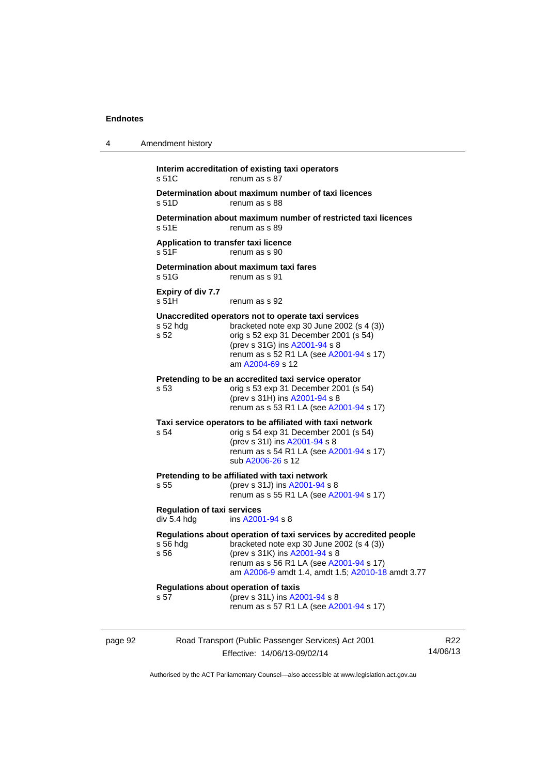| 4       | Amendment history                                                             |                                                                                                                                                                                                                                                          |                 |  |  |
|---------|-------------------------------------------------------------------------------|----------------------------------------------------------------------------------------------------------------------------------------------------------------------------------------------------------------------------------------------------------|-----------------|--|--|
|         | s 51C                                                                         | Interim accreditation of existing taxi operators<br>renum as s 87                                                                                                                                                                                        |                 |  |  |
|         | Determination about maximum number of taxi licences<br>s 51D<br>renum as s 88 |                                                                                                                                                                                                                                                          |                 |  |  |
|         | s 51E                                                                         | Determination about maximum number of restricted taxi licences<br>renum as s 89                                                                                                                                                                          |                 |  |  |
|         | Application to transfer taxi licence<br>s 51F                                 | renum as s 90                                                                                                                                                                                                                                            |                 |  |  |
|         | s 51G                                                                         | Determination about maximum taxi fares<br>renum as s 91                                                                                                                                                                                                  |                 |  |  |
|         | Expiry of div 7.7<br>s 51H                                                    | renum as s 92                                                                                                                                                                                                                                            |                 |  |  |
|         | s 52 hdg<br>s 52                                                              | Unaccredited operators not to operate taxi services<br>bracketed note exp 30 June 2002 (s 4 (3))<br>orig s 52 exp 31 December 2001 (s 54)<br>(prev s 31G) ins A2001-94 s 8<br>renum as s 52 R1 LA (see A2001-94 s 17)<br>am A2004-69 s 12                |                 |  |  |
|         | s <sub>53</sub>                                                               | Pretending to be an accredited taxi service operator<br>orig s 53 exp 31 December 2001 (s 54)<br>(prev s 31H) ins A2001-94 s 8<br>renum as s 53 R1 LA (see A2001-94 s 17)                                                                                |                 |  |  |
|         | s 54                                                                          | Taxi service operators to be affiliated with taxi network<br>orig s 54 exp 31 December 2001 (s 54)<br>(prev s 31l) ins A2001-94 s 8<br>renum as s 54 R1 LA (see A2001-94 s 17)<br>sub A2006-26 s 12                                                      |                 |  |  |
|         | s 55                                                                          | Pretending to be affiliated with taxi network<br>(prev s 31J) ins A2001-94 s 8<br>renum as s 55 R1 LA (see A2001-94 s 17)                                                                                                                                |                 |  |  |
|         | <b>Regulation of taxi services</b><br>div 5.4 hdg                             | ins A2001-94 s 8                                                                                                                                                                                                                                         |                 |  |  |
|         | s 56                                                                          | Regulations about operation of taxi services by accredited people<br>s 56 hdg bracketed note exp 30 June 2002 (s 4 (3))<br>(prev s 31K) ins A2001-94 s 8<br>renum as s 56 R1 LA (see A2001-94 s 17)<br>am A2006-9 amdt 1.4, amdt 1.5; A2010-18 amdt 3.77 |                 |  |  |
|         | s 57                                                                          | Regulations about operation of taxis<br>(prev s 31L) ins A2001-94 s 8<br>renum as s 57 R1 LA (see A2001-94 s 17)                                                                                                                                         |                 |  |  |
| page 92 |                                                                               | Road Transport (Public Passenger Services) Act 2001<br>Effective: 14/06/13-09/02/14                                                                                                                                                                      | R22<br>14/06/13 |  |  |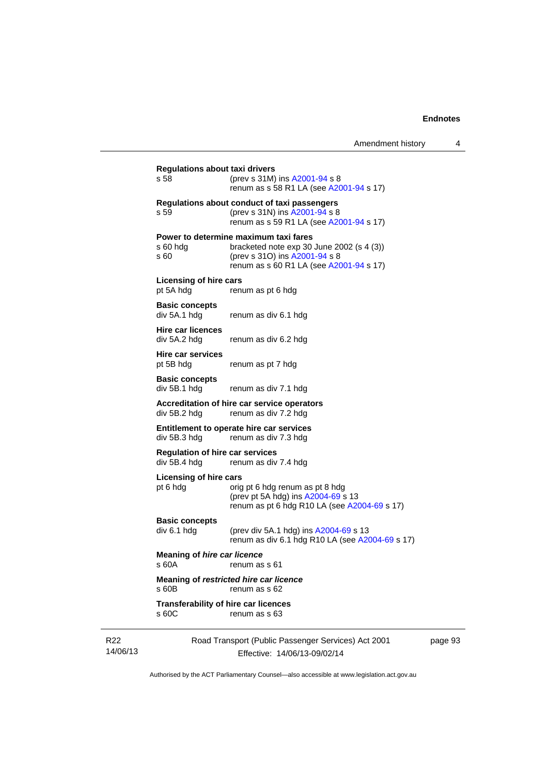| Amendment history |  |
|-------------------|--|
|-------------------|--|

|                             | <b>Regulations about taxi drivers</b><br>s 58                                       | (prev s 31M) ins A2001-94 s 8<br>renum as s 58 R1 LA (see A2001-94 s 17)                                                                                       |  |
|-----------------------------|-------------------------------------------------------------------------------------|----------------------------------------------------------------------------------------------------------------------------------------------------------------|--|
|                             | s 59                                                                                | Regulations about conduct of taxi passengers<br>(prev s 31N) ins A2001-94 s 8<br>renum as s 59 R1 LA (see A2001-94 s 17)                                       |  |
|                             | s60hdg<br>s 60                                                                      | Power to determine maximum taxi fares<br>bracketed note exp 30 June 2002 (s 4 (3))<br>(prev s 310) ins A2001-94 s 8<br>renum as s 60 R1 LA (see A2001-94 s 17) |  |
|                             | <b>Licensing of hire cars</b><br>pt 5A hdg                                          | renum as pt 6 hdg                                                                                                                                              |  |
|                             | <b>Basic concepts</b><br>div 5A.1 hdg                                               | renum as div 6.1 hdg                                                                                                                                           |  |
|                             | <b>Hire car licences</b><br>div 5A.2 hdg                                            | renum as div 6.2 hdg                                                                                                                                           |  |
|                             | <b>Hire car services</b><br>pt 5B hdg                                               | renum as pt 7 hdg                                                                                                                                              |  |
|                             | <b>Basic concepts</b><br>div 5B.1 hdg                                               | renum as div 7.1 hdg                                                                                                                                           |  |
|                             | Accreditation of hire car service operators<br>renum as div 7.2 hdg<br>div 5B.2 hdg |                                                                                                                                                                |  |
|                             | div 5B.3 hdg                                                                        | Entitlement to operate hire car services<br>renum as div 7.3 hdg                                                                                               |  |
|                             | <b>Regulation of hire car services</b><br>div 5B.4 hdg                              | renum as div 7.4 hdg                                                                                                                                           |  |
|                             | <b>Licensing of hire cars</b><br>pt 6 hdg                                           | orig pt 6 hdg renum as pt 8 hdg<br>(prev pt 5A hdg) ins A2004-69 s 13<br>renum as pt 6 hdg R10 LA (see A2004-69 s 17)                                          |  |
|                             | <b>Basic concepts</b><br>div 6.1 hdg                                                | (prev div 5A.1 hdg) ins A2004-69 s 13<br>renum as div 6.1 hdg R10 LA (see A2004-69 s 17)                                                                       |  |
|                             | <b>Meaning of hire car licence</b><br>s 60A                                         | renum as s 61                                                                                                                                                  |  |
|                             | s 60B                                                                               | Meaning of restricted hire car licence<br>renum as s 62                                                                                                        |  |
|                             | <b>Transferability of hire car licences</b><br>s 60C                                | renum as s 63                                                                                                                                                  |  |
| R <sub>22</sub><br>14/06/13 |                                                                                     | Road Transport (Public Passenger Services) Act 2001<br>Effective: 14/06/13-09/02/14                                                                            |  |

page 93

Authorised by the ACT Parliamentary Counsel—also accessible at www.legislation.act.gov.au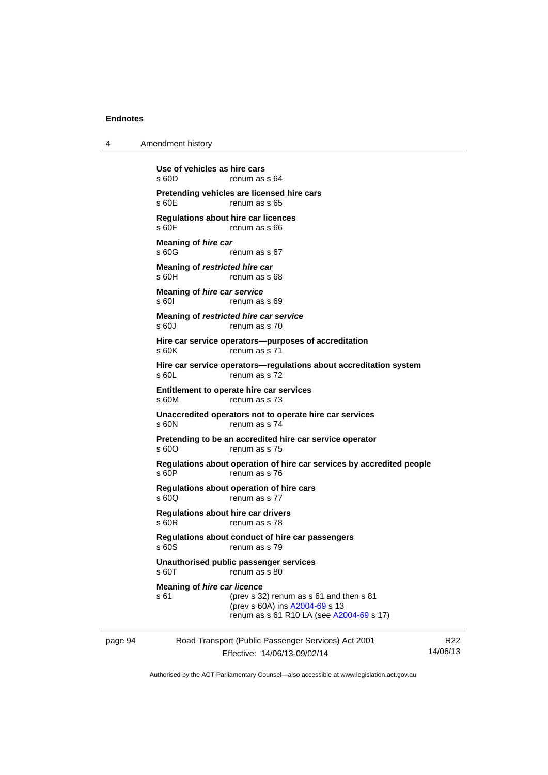4 Amendment history

|         | Use of vehicles as hire cars<br>s 60D<br>renum as s 64                                                                                                              |          |
|---------|---------------------------------------------------------------------------------------------------------------------------------------------------------------------|----------|
|         | Pretending vehicles are licensed hire cars<br>$s$ 60 $F$<br>renum as s 65                                                                                           |          |
|         | Regulations about hire car licences<br>s 60F<br>renum as s 66                                                                                                       |          |
|         | Meaning of hire car<br>s60G<br>renum as s 67                                                                                                                        |          |
|         | Meaning of restricted hire car<br>s60H<br>renum as s 68                                                                                                             |          |
|         | Meaning of hire car service<br>s 601<br>renum as s 69                                                                                                               |          |
|         | Meaning of restricted hire car service<br>s 60J<br>renum as s 70                                                                                                    |          |
|         | Hire car service operators--purposes of accreditation<br>s 60K<br>renum as s 71                                                                                     |          |
|         | Hire car service operators-regulations about accreditation system<br>$s$ 60L<br>renum as s 72                                                                       |          |
|         | Entitlement to operate hire car services<br>$s$ 60M<br>renum as s 73                                                                                                |          |
|         | Unaccredited operators not to operate hire car services<br>s 60N<br>renum as s 74                                                                                   |          |
|         | Pretending to be an accredited hire car service operator<br>s 60O<br>renum as s 75                                                                                  |          |
|         | Regulations about operation of hire car services by accredited people<br>s 60P<br>renum as s 76                                                                     |          |
|         | Regulations about operation of hire cars<br>s 60Q<br>renum as s 77                                                                                                  |          |
|         | Regulations about hire car drivers<br>$s$ 60 $R$<br>renum as s 78                                                                                                   |          |
|         | Regulations about conduct of hire car passengers<br>s60S<br>renum as s 79                                                                                           |          |
|         | Unauthorised public passenger services<br>s 60T<br>renum as s 80                                                                                                    |          |
|         | <b>Meaning of hire car licence</b><br>(prev s 32) renum as s 61 and then s 81<br>s 61<br>(prev s 60A) ins A2004-69 s 13<br>renum as s 61 R10 LA (see A2004-69 s 17) |          |
| page 94 | Road Transport (Public Passenger Services) Act 2001                                                                                                                 | R22      |
|         | Effective: 14/06/13-09/02/14                                                                                                                                        | 14/06/13 |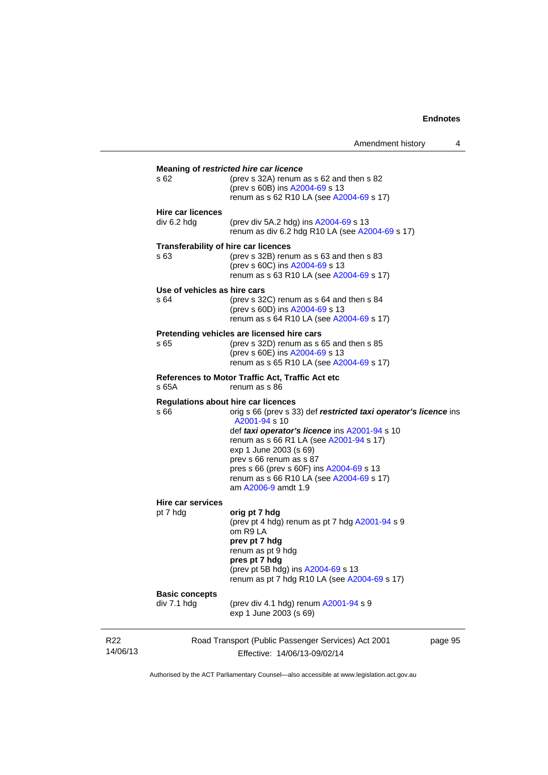|                              | Amendment history                                                                         | 4       |
|------------------------------|-------------------------------------------------------------------------------------------|---------|
|                              |                                                                                           |         |
| s 62                         | <b>Meaning of restricted hire car licence</b><br>(prev s 32A) renum as s 62 and then s 82 |         |
|                              | (prev s 60B) ins A2004-69 s 13                                                            |         |
|                              | renum as s 62 R10 LA (see A2004-69 s 17)                                                  |         |
|                              |                                                                                           |         |
| <b>Hire car licences</b>     |                                                                                           |         |
| div 6.2 hdg                  | (prev div 5A.2 hdg) ins A2004-69 s 13                                                     |         |
|                              | renum as div 6.2 hdg R10 LA (see A2004-69 s 17)                                           |         |
|                              | Transferability of hire car licences                                                      |         |
| s 63                         | (prev s 32B) renum as s 63 and then s 83                                                  |         |
|                              | (prev s 60C) ins A2004-69 s 13                                                            |         |
|                              | renum as s 63 R10 LA (see A2004-69 s 17)                                                  |         |
| Use of vehicles as hire cars |                                                                                           |         |
| s 64                         | (prev s 32C) renum as s 64 and then s 84                                                  |         |
|                              | (prev s 60D) ins A2004-69 s 13                                                            |         |
|                              | renum as s 64 R10 LA (see A2004-69 s 17)                                                  |         |
|                              | Pretending vehicles are licensed hire cars                                                |         |
| s 65                         | (prev s 32D) renum as s 65 and then s 85                                                  |         |
|                              | (prev s 60E) ins A2004-69 s 13                                                            |         |
|                              | renum as s 65 R10 LA (see A2004-69 s 17)                                                  |         |
|                              |                                                                                           |         |
|                              | References to Motor Traffic Act, Traffic Act etc                                          |         |
| s 65A                        | renum as s 86                                                                             |         |
|                              | <b>Regulations about hire car licences</b>                                                |         |
| s 66                         | orig s 66 (prev s 33) def restricted taxi operator's licence ins                          |         |
|                              | A2001-94 s 10                                                                             |         |
|                              | def taxi operator's licence ins A2001-94 s 10                                             |         |
|                              | renum as s 66 R1 LA (see A2001-94 s 17)                                                   |         |
|                              | exp 1 June 2003 (s 69)                                                                    |         |
|                              | prev s 66 renum as s 87                                                                   |         |
|                              | pres s 66 (prev s 60F) ins A2004-69 s 13                                                  |         |
|                              | renum as s 66 R10 LA (see A2004-69 s 17)                                                  |         |
|                              | am A2006-9 amdt 1.9                                                                       |         |
| Hire car services            |                                                                                           |         |
| pt 7 hdg                     | orig pt 7 hdg                                                                             |         |
|                              | (prev pt 4 hdg) renum as pt 7 hdg A2001-94 s 9                                            |         |
|                              | om R9 LA                                                                                  |         |
|                              | prev pt 7 hdg                                                                             |         |
|                              | renum as pt 9 hdg                                                                         |         |
|                              | pres pt 7 hdg                                                                             |         |
|                              | (prev pt 5B hdg) ins A2004-69 s 13                                                        |         |
|                              | renum as pt 7 hdg R10 LA (see A2004-69 s 17)                                              |         |
| <b>Basic concepts</b>        |                                                                                           |         |
| div 7.1 hdg                  | (prev div 4.1 hdg) renum A2001-94 s 9                                                     |         |
|                              | exp 1 June 2003 (s 69)                                                                    |         |
|                              |                                                                                           |         |
|                              |                                                                                           |         |
|                              | Road Transport (Public Passenger Services) Act 2001                                       | page 95 |

Authorised by the ACT Parliamentary Counsel—also accessible at www.legislation.act.gov.au

Effective: 14/06/13-09/02/14

R22 14/06/13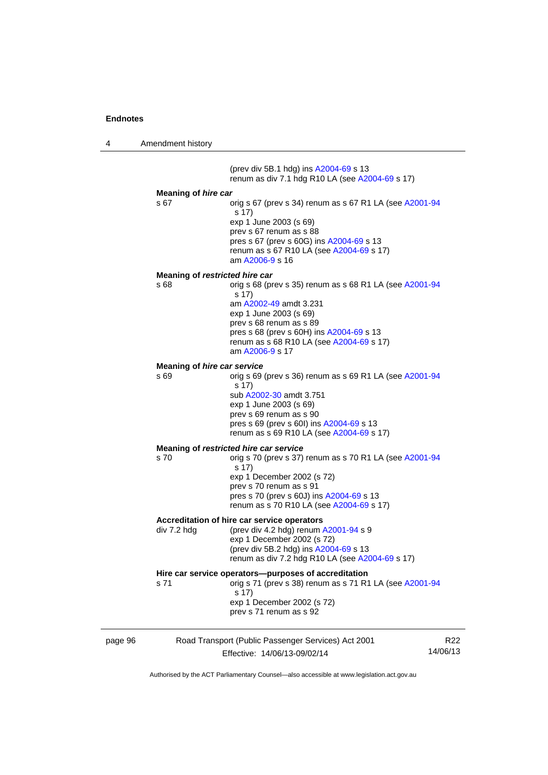4 Amendment history

page 96 Road Transport (Public Passenger Services) Act 2001 Effective: 14/06/13-09/02/14 R22 14/06/13 (prev div 5B.1 hdg) ins [A2004-69](http://www.legislation.act.gov.au/a/2004-69) s 13 renum as div 7.1 hdg R10 LA (see [A2004-69](http://www.legislation.act.gov.au/a/2004-69) s 17) **Meaning of** *hire car*  s 67 orig s 67 (prev s 34) renum as s 67 R1 LA (see [A2001-94](http://www.legislation.act.gov.au/a/2001-94) s 17) exp 1 June 2003 (s 69) prev s 67 renum as s 88 pres s 67 (prev s 60G) ins [A2004-69](http://www.legislation.act.gov.au/a/2004-69) s 13 renum as s 67 R10 LA (see [A2004-69](http://www.legislation.act.gov.au/a/2004-69) s 17) am [A2006-9](http://www.legislation.act.gov.au/a/2006-9) s 16 **Meaning of** *restricted hire car*  s 68 orig s 68 (prev s 35) renum as s 68 R1 LA (see [A2001-94](http://www.legislation.act.gov.au/a/2001-94) s 17) am [A2002-49](http://www.legislation.act.gov.au/a/2002-49) amdt 3.231 exp 1 June 2003 (s 69) prev s 68 renum as s 89 pres s 68 (prev s 60H) ins [A2004-69](http://www.legislation.act.gov.au/a/2004-69) s 13 renum as s 68 R10 LA (see [A2004-69](http://www.legislation.act.gov.au/a/2004-69) s 17) am [A2006-9](http://www.legislation.act.gov.au/a/2006-9) s 17 **Meaning of** *hire car service*  s 69 orig s 69 (prev s 36) renum as s 69 R1 LA (see [A2001-94](http://www.legislation.act.gov.au/a/2001-94) s 17) sub [A2002-30](http://www.legislation.act.gov.au/a/2002-30) amdt 3.751 exp 1 June 2003 (s 69) prev s 69 renum as s 90 pres s 69 (prev s 60I) ins [A2004-69](http://www.legislation.act.gov.au/a/2004-69) s 13 renum as s 69 R10 LA (see [A2004-69](http://www.legislation.act.gov.au/a/2004-69) s 17) **Meaning of** *restricted hire car service*  s 70 orig s 70 (prev s 37) renum as s 70 R1 LA (see [A2001-94](http://www.legislation.act.gov.au/a/2001-94) s 17) exp 1 December 2002 (s 72) prev s 70 renum as s 91 pres s 70 (prev s 60J) ins [A2004-69](http://www.legislation.act.gov.au/a/2004-69) s 13 renum as s 70 R10 LA (see [A2004-69](http://www.legislation.act.gov.au/a/2004-69) s 17) **Accreditation of hire car service operators**  div 7.2 hdg (prev div 4.2 hdg) renum [A2001-94](http://www.legislation.act.gov.au/a/2001-94) s 9 exp 1 December 2002 (s 72) (prev div 5B.2 hdg) ins [A2004-69](http://www.legislation.act.gov.au/a/2004-69) s 13 renum as div 7.2 hdg R10 LA (see [A2004-69](http://www.legislation.act.gov.au/a/2004-69) s 17) **Hire car service operators—purposes of accreditation**  s 71 orig s 71 (prev s 38) renum as s 71 R1 LA (see [A2001-94](http://www.legislation.act.gov.au/a/2001-94) s 17) exp 1 December 2002 (s 72) prev s 71 renum as s 92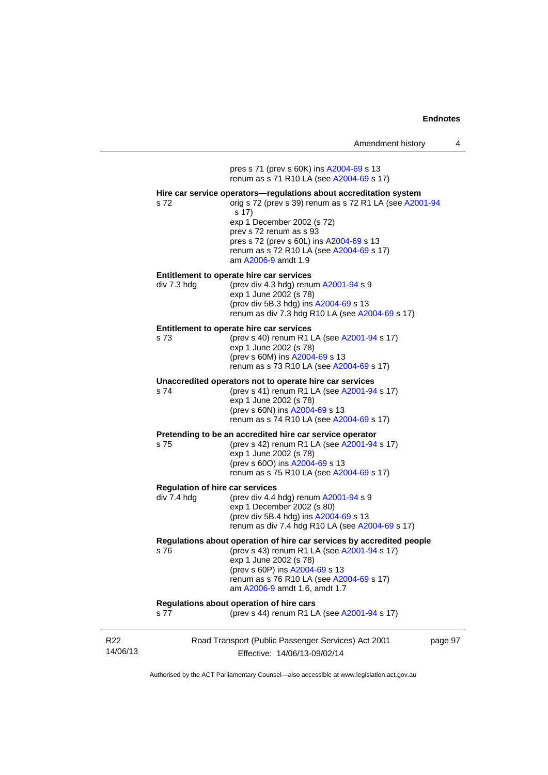| Amendment history |  |
|-------------------|--|
|-------------------|--|

14/06/13 Road Transport (Public Passenger Services) Act 2001 Effective: 14/06/13-09/02/14 page 97 pres s 71 (prev s 60K) ins [A2004-69](http://www.legislation.act.gov.au/a/2004-69) s 13 renum as s 71 R10 LA (see [A2004-69](http://www.legislation.act.gov.au/a/2004-69) s 17) **Hire car service operators—regulations about accreditation system**  s 72 orig s 72 (prev s 39) renum as s 72 R1 LA (see [A2001-94](http://www.legislation.act.gov.au/a/2001-94) s 17) exp 1 December 2002 (s 72) prev s 72 renum as s 93 pres s 72 (prev s 60L) ins [A2004-69](http://www.legislation.act.gov.au/a/2004-69) s 13 renum as s 72 R10 LA (see [A2004-69](http://www.legislation.act.gov.au/a/2004-69) s 17) am [A2006-9](http://www.legislation.act.gov.au/a/2006-9) amdt 1.9 **Entitlement to operate hire car services**  div 7.3 hdg (prev div 4.3 hdg) renum [A2001-94](http://www.legislation.act.gov.au/a/2001-94) s 9 exp 1 June 2002 (s 78) (prev div 5B.3 hdg) ins [A2004-69](http://www.legislation.act.gov.au/a/2004-69) s 13 renum as div 7.3 hdg R10 LA (see [A2004-69](http://www.legislation.act.gov.au/a/2004-69) s 17) **Entitlement to operate hire car services**  s 73 (prev s 40) renum R1 LA (see [A2001-94](http://www.legislation.act.gov.au/a/2001-94) s 17) exp 1 June 2002 (s 78) (prev s 60M) ins [A2004-69](http://www.legislation.act.gov.au/a/2004-69) s 13 renum as s 73 R10 LA (see [A2004-69](http://www.legislation.act.gov.au/a/2004-69) s 17) **Unaccredited operators not to operate hire car services**  s 74 (prev s 41) renum R1 LA (see [A2001-94](http://www.legislation.act.gov.au/a/2001-94) s 17) exp 1 June 2002 (s 78) (prev s 60N) ins [A2004-69](http://www.legislation.act.gov.au/a/2004-69) s 13 renum as s 74 R10 LA (see [A2004-69](http://www.legislation.act.gov.au/a/2004-69) s 17) **Pretending to be an accredited hire car service operator**  s 75 (prev s 42) renum R1 LA (see [A2001-94](http://www.legislation.act.gov.au/a/2001-94) s 17) exp 1 June 2002 (s 78) (prev s 60O) ins [A2004-69](http://www.legislation.act.gov.au/a/2004-69) s 13 renum as s 75 R10 LA (see [A2004-69](http://www.legislation.act.gov.au/a/2004-69) s 17) **Regulation of hire car services**  div 7.4 hdg (prev div 4.4 hdg) renum [A2001-94](http://www.legislation.act.gov.au/a/2001-94) s 9 exp 1 December 2002 (s 80) (prev div 5B.4 hdg) ins [A2004-69](http://www.legislation.act.gov.au/a/2004-69) s 13 renum as div 7.4 hdg R10 LA (see [A2004-69](http://www.legislation.act.gov.au/a/2004-69) s 17) **Regulations about operation of hire car services by accredited people**  s 76 (prev s 43) renum R1 LA (see [A2001-94](http://www.legislation.act.gov.au/a/2001-94) s 17) exp 1 June 2002 (s 78) (prev s 60P) ins [A2004-69](http://www.legislation.act.gov.au/a/2004-69) s 13 renum as s 76 R10 LA (see [A2004-69](http://www.legislation.act.gov.au/a/2004-69) s 17) am [A2006-9](http://www.legislation.act.gov.au/a/2006-9) amdt 1.6, amdt 1.7 **Regulations about operation of hire cars**  s 77 (prev s 44) renum R1 LA (see [A2001-94](http://www.legislation.act.gov.au/a/2001-94) s 17)

Authorised by the ACT Parliamentary Counsel—also accessible at www.legislation.act.gov.au

R22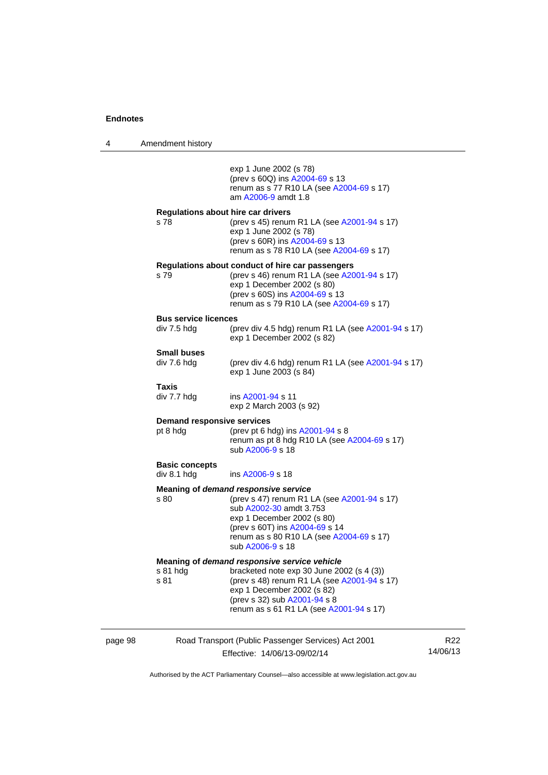4 Amendment history page 98 Road Transport (Public Passenger Services) Act 2001 exp 1 June 2002 (s 78) (prev s 60Q) ins [A2004-69](http://www.legislation.act.gov.au/a/2004-69) s 13 renum as s 77 R10 LA (see [A2004-69](http://www.legislation.act.gov.au/a/2004-69) s 17) am [A2006-9](http://www.legislation.act.gov.au/a/2006-9) amdt 1.8 **Regulations about hire car drivers**  s 78 (prev s 45) renum R1 LA (see [A2001-94](http://www.legislation.act.gov.au/a/2001-94) s 17) exp 1 June 2002 (s 78) (prev s 60R) ins [A2004-69](http://www.legislation.act.gov.au/a/2004-69) s 13 renum as s 78 R10 LA (see [A2004-69](http://www.legislation.act.gov.au/a/2004-69) s 17) **Regulations about conduct of hire car passengers**  s 79 (prev s 46) renum R1 LA (see [A2001-94](http://www.legislation.act.gov.au/a/2001-94) s 17) exp 1 December 2002 (s 80) (prev s 60S) ins [A2004-69](http://www.legislation.act.gov.au/a/2004-69) s 13 renum as s 79 R10 LA (see [A2004-69](http://www.legislation.act.gov.au/a/2004-69) s 17) **Bus service licences**  div 7.5 hdg (prev div 4.5 hdg) renum R1 LA (see  $A2001-94$  s 17) exp 1 December 2002 (s 82) **Small buses**  div 7.6 hdg (prev div 4.6 hdg) renum R1 LA (see  $A2001-94$  s 17) exp 1 June 2003 (s 84) **Taxis**  div 7.7 hdg ins [A2001-94](http://www.legislation.act.gov.au/a/2001-94) s 11 exp 2 March 2003 (s 92) **Demand responsive services**  pt 8 hdg (prev pt 6 hdg) ins [A2001-94](http://www.legislation.act.gov.au/a/2001-94) s 8 renum as pt  $8$  hdg R10 LA (see [A2004-69](http://www.legislation.act.gov.au/a/2004-69) s 17) sub [A2006-9](http://www.legislation.act.gov.au/a/2006-9) s 18 **Basic concepts**  div 8.1 hdg ins [A2006-9](http://www.legislation.act.gov.au/a/2006-9) s 18 **Meaning of** *demand responsive service* s 80 (prev s 47) renum R1 LA (see [A2001-94](http://www.legislation.act.gov.au/a/2001-94) s 17) sub [A2002-30](http://www.legislation.act.gov.au/a/2002-30) amdt 3.753 exp 1 December 2002 (s 80) (prev s 60T) ins [A2004-69](http://www.legislation.act.gov.au/a/2004-69) s 14 renum as s 80 R10 LA (see [A2004-69](http://www.legislation.act.gov.au/a/2004-69) s 17) sub [A2006-9](http://www.legislation.act.gov.au/a/2006-9) s 18 **Meaning of** *demand responsive service vehicle* s 81 hdg bracketed note exp 30 June 2002 (s 4 (3)) s 81 (prev s 48) renum R1 LA (see [A2001-94](http://www.legislation.act.gov.au/a/2001-94) s 17) exp 1 December 2002 (s 82) (prev s 32) sub [A2001-94](http://www.legislation.act.gov.au/a/2001-94) s 8 renum as s 61 R1 LA (see [A2001-94](http://www.legislation.act.gov.au/a/2001-94) s 17)

Effective: 14/06/13-09/02/14 R22 14/06/13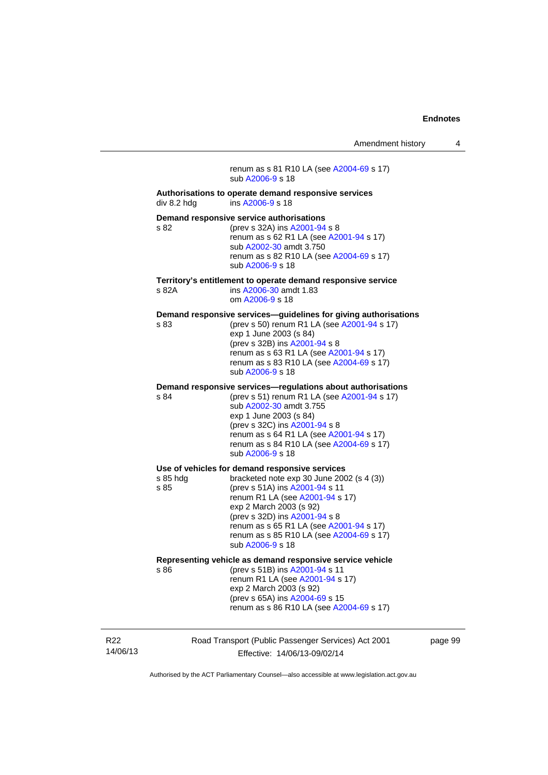renum as s 81 R10 LA (see [A2004-69](http://www.legislation.act.gov.au/a/2004-69) s 17) sub [A2006-9](http://www.legislation.act.gov.au/a/2006-9) s 18 **Authorisations to operate demand responsive services**  div 8.2 hdg ins [A2006-9](http://www.legislation.act.gov.au/a/2006-9) s 18 **Demand responsive service authorisations**  s 82 (prev s 32A) ins [A2001-94](http://www.legislation.act.gov.au/a/2001-94) s 8 renum as s 62 R1 LA (see [A2001-94](http://www.legislation.act.gov.au/a/2001-94) s 17) sub [A2002-30](http://www.legislation.act.gov.au/a/2002-30) amdt 3.750 renum as s 82 R10 LA (see [A2004-69](http://www.legislation.act.gov.au/a/2004-69) s 17) sub [A2006-9](http://www.legislation.act.gov.au/a/2006-9) s 18 **Territory's entitlement to operate demand responsive service**  ins [A2006-30](http://www.legislation.act.gov.au/a/2006-30) amdt 1.83 om [A2006-9](http://www.legislation.act.gov.au/a/2006-9) s 18 **Demand responsive services—guidelines for giving authorisations**  s 83 (prev s 50) renum R1 LA (see [A2001-94](http://www.legislation.act.gov.au/a/2001-94) s 17) exp 1 June 2003 (s 84) (prev s 32B) ins [A2001-94](http://www.legislation.act.gov.au/a/2001-94) s 8 renum as s 63 R1 LA (see [A2001-94](http://www.legislation.act.gov.au/a/2001-94) s 17) renum as s 83 R10 LA (see [A2004-69](http://www.legislation.act.gov.au/a/2004-69) s 17) sub [A2006-9](http://www.legislation.act.gov.au/a/2006-9) s 18 **Demand responsive services—regulations about authorisations**  s 84 (prev s 51) renum R1 LA (see [A2001-94](http://www.legislation.act.gov.au/a/2001-94) s 17) sub [A2002-30](http://www.legislation.act.gov.au/a/2002-30) amdt 3.755 exp 1 June 2003 (s 84) (prev s 32C) ins [A2001-94](http://www.legislation.act.gov.au/a/2001-94) s 8 renum as s 64 R1 LA (see [A2001-94](http://www.legislation.act.gov.au/a/2001-94) s 17) renum as s 84 R10 LA (see [A2004-69](http://www.legislation.act.gov.au/a/2004-69) s 17) sub [A2006-9](http://www.legislation.act.gov.au/a/2006-9) s 18 **Use of vehicles for demand responsive services**  s 85 hdg bracketed note exp 30 June 2002 (s 4 (3))<br>s 85 (prev s 51A) ins A2001-94 s 11 (prev s 51A) ins [A2001-94](http://www.legislation.act.gov.au/a/2001-94) s 11 renum R1 LA (see [A2001-94](http://www.legislation.act.gov.au/a/2001-94) s 17) exp 2 March 2003 (s 92) (prev s 32D) ins [A2001-94](http://www.legislation.act.gov.au/a/2001-94) s 8 renum as s 65 R1 LA (see [A2001-94](http://www.legislation.act.gov.au/a/2001-94) s 17) renum as s 85 R10 LA (see [A2004-69](http://www.legislation.act.gov.au/a/2004-69) s 17) sub [A2006-9](http://www.legislation.act.gov.au/a/2006-9) s 18 **Representing vehicle as demand responsive service vehicle**  s 86 (prev s 51B) ins [A2001-94](http://www.legislation.act.gov.au/a/2001-94) s 11 renum R1 LA (see [A2001-94](http://www.legislation.act.gov.au/a/2001-94) s 17) exp 2 March 2003 (s 92) (prev s 65A) ins [A2004-69](http://www.legislation.act.gov.au/a/2004-69) s 15 renum as s 86 R10 LA (see [A2004-69](http://www.legislation.act.gov.au/a/2004-69) s 17)

R22 14/06/13 Road Transport (Public Passenger Services) Act 2001 Effective: 14/06/13-09/02/14

page 99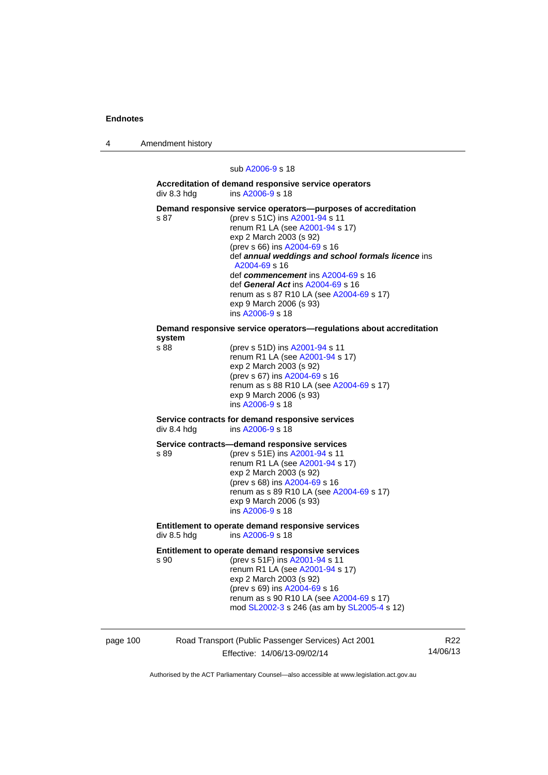4 Amendment history

sub [A2006-9](http://www.legislation.act.gov.au/a/2006-9) s 18

**Accreditation of demand responsive service operators**  div 8.3 hdg ins [A2006-9](http://www.legislation.act.gov.au/a/2006-9) s 18

**Demand responsive service operators—purposes of accreditation <br>s 87 (prev s 51C) ins A2001-94 s 11** (prev s 51C) ins [A2001-94](http://www.legislation.act.gov.au/a/2001-94) s 11 renum R1 LA (see [A2001-94](http://www.legislation.act.gov.au/a/2001-94) s 17) exp 2 March 2003 (s 92) (prev s 66) ins [A2004-69](http://www.legislation.act.gov.au/a/2004-69) s 16 def *annual weddings and school formals licence* ins [A2004-69](http://www.legislation.act.gov.au/a/2004-69) s 16 def *commencement* ins [A2004-69](http://www.legislation.act.gov.au/a/2004-69) s 16 def *General Act* ins [A2004-69](http://www.legislation.act.gov.au/a/2004-69) s 16 renum as s 87 R10 LA (see [A2004-69](http://www.legislation.act.gov.au/a/2004-69) s 17) exp 9 March 2006 (s 93) ins [A2006-9](http://www.legislation.act.gov.au/a/2006-9) s 18 **Demand responsive service operators—regulations about accreditation system**  (prev s 51D) ins [A2001-94](http://www.legislation.act.gov.au/a/2001-94) s 11 renum R1 LA (see [A2001-94](http://www.legislation.act.gov.au/a/2001-94) s 17) exp 2 March 2003 (s 92) (prev s 67) ins [A2004-69](http://www.legislation.act.gov.au/a/2004-69) s 16 renum as s 88 R10 LA (see [A2004-69](http://www.legislation.act.gov.au/a/2004-69) s 17) exp 9 March 2006 (s 93) ins [A2006-9](http://www.legislation.act.gov.au/a/2006-9) s 18

**Service contracts for demand responsive services**  ins  $A2006 - 9 s 18$ 

**Service contracts—demand responsive services** 

s 89 (prev s 51E) ins [A2001-94](http://www.legislation.act.gov.au/a/2001-94) s 11 renum R1 LA (see [A2001-94](http://www.legislation.act.gov.au/a/2001-94) s 17) exp 2 March 2003 (s 92) (prev s 68) ins [A2004-69](http://www.legislation.act.gov.au/a/2004-69) s 16 renum as s 89 R10 LA (see [A2004-69](http://www.legislation.act.gov.au/a/2004-69) s 17) exp 9 March 2006 (s 93) ins [A2006-9](http://www.legislation.act.gov.au/a/2006-9) s 18

**Entitlement to operate demand responsive services**  div 8.5 hdg ins [A2006-9](http://www.legislation.act.gov.au/a/2006-9) s 18

**Entitlement to operate demand responsive services** 

s 90 (prev s 51F) ins [A2001-94](http://www.legislation.act.gov.au/a/2001-94) s 11 renum R1 LA (see [A2001-94](http://www.legislation.act.gov.au/a/2001-94) s 17) exp 2 March 2003 (s 92) (prev s 69) ins [A2004-69](http://www.legislation.act.gov.au/a/2004-69) s 16 renum as s 90 R10 LA (see [A2004-69](http://www.legislation.act.gov.au/a/2004-69) s 17) mod [SL2002-3](http://www.legislation.act.gov.au/sl/2002-3) s 246 (as am by [SL2005-4](http://www.legislation.act.gov.au/sl/2005-4) s 12)

page 100 Road Transport (Public Passenger Services) Act 2001 Effective: 14/06/13-09/02/14 R22 14/06/13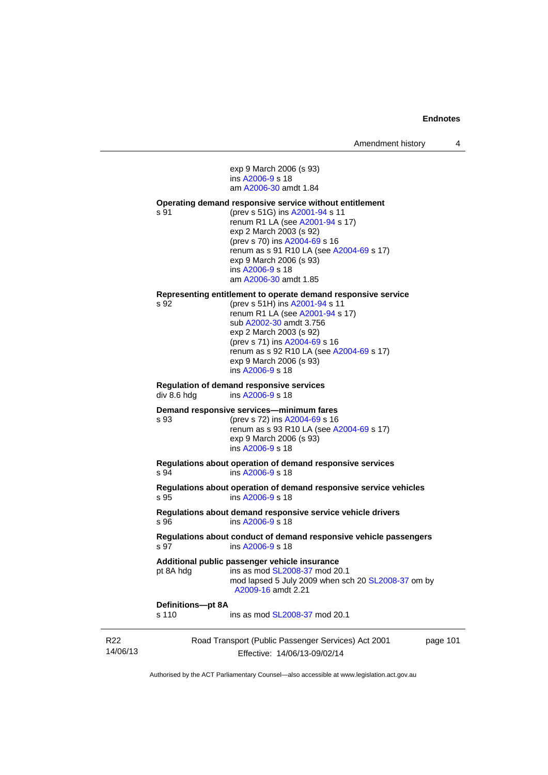exp 9 March 2006 (s 93) ins [A2006-9](http://www.legislation.act.gov.au/a/2006-9) s 18 am [A2006-30](http://www.legislation.act.gov.au/a/2006-30) amdt 1.84

#### **Operating demand responsive service without entitlement**

s 91 (prev s 51G) ins [A2001-94](http://www.legislation.act.gov.au/a/2001-94) s 11 renum R1 LA (see [A2001-94](http://www.legislation.act.gov.au/a/2001-94) s 17) exp 2 March 2003 (s 92) (prev s 70) ins [A2004-69](http://www.legislation.act.gov.au/a/2004-69) s 16 renum as s 91 R10 LA (see [A2004-69](http://www.legislation.act.gov.au/a/2004-69) s 17) exp 9 March 2006 (s 93) ins [A2006-9](http://www.legislation.act.gov.au/a/2006-9) s 18 am [A2006-30](http://www.legislation.act.gov.au/a/2006-30) amdt 1.85

#### **Representing entitlement to operate demand responsive service**

s 92 (prev s 51H) ins [A2001-94](http://www.legislation.act.gov.au/a/2001-94) s 11 renum R1 LA (see [A2001-94](http://www.legislation.act.gov.au/a/2001-94) s 17) sub [A2002-30](http://www.legislation.act.gov.au/a/2002-30) amdt 3.756 exp 2 March 2003 (s 92) (prev s 71) ins [A2004-69](http://www.legislation.act.gov.au/a/2004-69) s 16 renum as s 92 R10 LA (see [A2004-69](http://www.legislation.act.gov.au/a/2004-69) s 17) exp 9 March 2006 (s 93) ins [A2006-9](http://www.legislation.act.gov.au/a/2006-9) s 18

# **Regulation of demand responsive services**

div 8.6 hdg ins [A2006-9](http://www.legislation.act.gov.au/a/2006-9) s 18

## **Demand responsive services—minimum fares**

s 93 (prev s 72) ins [A2004-69](http://www.legislation.act.gov.au/a/2004-69) s 16 renum as s 93 R10 LA (see [A2004-69](http://www.legislation.act.gov.au/a/2004-69) s 17) exp 9 March 2006 (s 93) ins [A2006-9](http://www.legislation.act.gov.au/a/2006-9) s 18

**Regulations about operation of demand responsive services**  s 94 ins [A2006-9](http://www.legislation.act.gov.au/a/2006-9) s 18

**Regulations about operation of demand responsive service vehicles**  s 95 ins [A2006-9](http://www.legislation.act.gov.au/a/2006-9) s 18

**Regulations about demand responsive service vehicle drivers**  s 96 ins [A2006-9](http://www.legislation.act.gov.au/a/2006-9) s 18

**Regulations about conduct of demand responsive vehicle passengers**  s 97 ins [A2006-9](http://www.legislation.act.gov.au/a/2006-9) s 18

# **Additional public passenger vehicle insurance**

pt 8A hdg ins as mod [SL2008-37](http://www.legislation.act.gov.au/sl/2008-37) mod 20.1

mod lapsed 5 July 2009 when sch 20 [SL2008-37](http://www.legislation.act.gov.au/sl/2008-37) om by [A2009-16](http://www.legislation.act.gov.au/a/2009-16) amdt 2.21

# **Definitions—pt 8A**

s 110 ins as mod **SL2008-37** mod 20.1

R22 14/06/13 Road Transport (Public Passenger Services) Act 2001 Effective: 14/06/13-09/02/14

page 101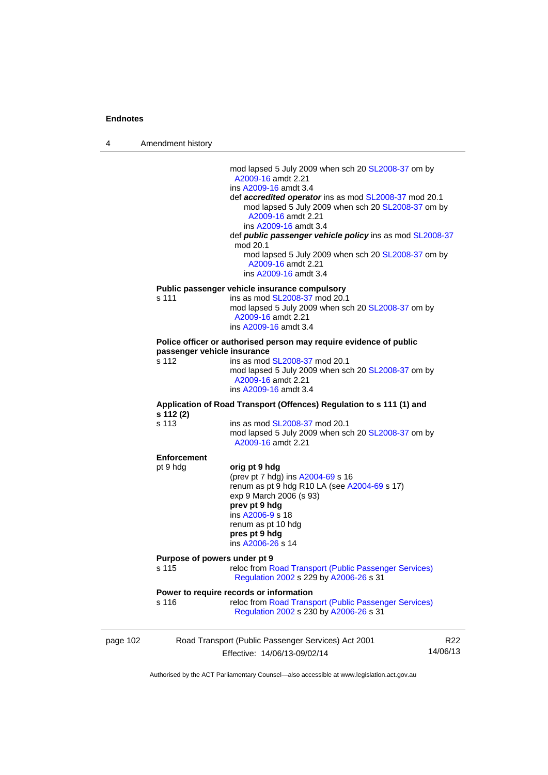4 Amendment history

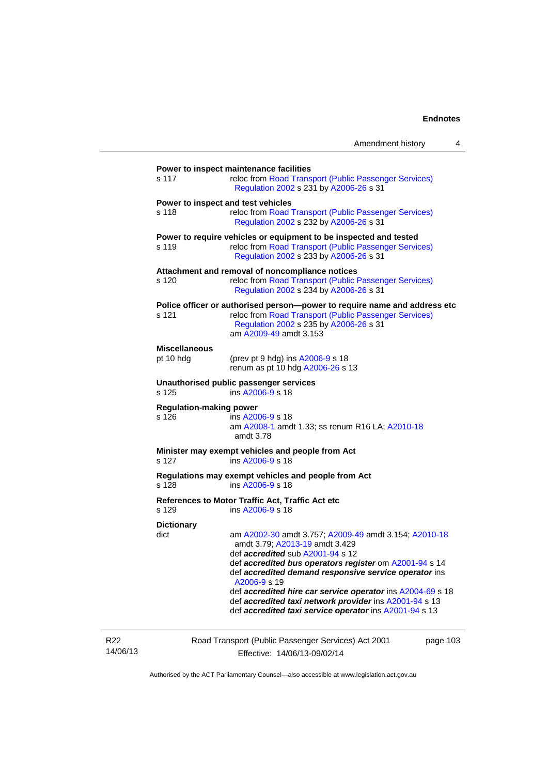|                                                                                  | Amendment history                                                                                                                                                                                                                                                                                                                                                                                                                                       | 4 |  |  |  |
|----------------------------------------------------------------------------------|---------------------------------------------------------------------------------------------------------------------------------------------------------------------------------------------------------------------------------------------------------------------------------------------------------------------------------------------------------------------------------------------------------------------------------------------------------|---|--|--|--|
| s 117                                                                            | Power to inspect maintenance facilities<br>reloc from Road Transport (Public Passenger Services)<br>Regulation 2002 s 231 by A2006-26 s 31                                                                                                                                                                                                                                                                                                              |   |  |  |  |
| Power to inspect and test vehicles<br>s 118                                      | reloc from Road Transport (Public Passenger Services)<br>Regulation 2002 s 232 by A2006-26 s 31                                                                                                                                                                                                                                                                                                                                                         |   |  |  |  |
| s 119                                                                            | Power to require vehicles or equipment to be inspected and tested<br>reloc from Road Transport (Public Passenger Services)<br>Regulation 2002 s 233 by A2006-26 s 31                                                                                                                                                                                                                                                                                    |   |  |  |  |
| s 120                                                                            | Attachment and removal of noncompliance notices<br>reloc from Road Transport (Public Passenger Services)<br>Regulation 2002 s 234 by A2006-26 s 31                                                                                                                                                                                                                                                                                                      |   |  |  |  |
| s 121                                                                            | Police officer or authorised person--power to require name and address etc<br>reloc from Road Transport (Public Passenger Services)<br>Regulation 2002 s 235 by A2006-26 s 31<br>am A2009-49 amdt 3.153                                                                                                                                                                                                                                                 |   |  |  |  |
| <b>Miscellaneous</b><br>pt 10 hdg                                                | (prev pt 9 hdg) ins A2006-9 s 18<br>renum as pt 10 hdg A2006-26 s 13                                                                                                                                                                                                                                                                                                                                                                                    |   |  |  |  |
| s 125                                                                            | Unauthorised public passenger services<br>ins A2006-9 s 18                                                                                                                                                                                                                                                                                                                                                                                              |   |  |  |  |
| <b>Regulation-making power</b><br>s 126                                          | ins A2006-9 s 18<br>am A2008-1 amdt 1.33; ss renum R16 LA; A2010-18<br>amdt 3.78                                                                                                                                                                                                                                                                                                                                                                        |   |  |  |  |
| s 127                                                                            | Minister may exempt vehicles and people from Act<br>ins A2006-9 s 18                                                                                                                                                                                                                                                                                                                                                                                    |   |  |  |  |
| Regulations may exempt vehicles and people from Act<br>ins A2006-9 s 18<br>s 128 |                                                                                                                                                                                                                                                                                                                                                                                                                                                         |   |  |  |  |
| s 129                                                                            | References to Motor Traffic Act, Traffic Act etc<br>ins A2006-9 s 18                                                                                                                                                                                                                                                                                                                                                                                    |   |  |  |  |
| <b>Dictionary</b><br>dict                                                        | am A2002-30 amdt 3.757; A2009-49 amdt 3.154; A2010-18<br>amdt 3.79; A2013-19 amdt 3.429<br>def <i>accredited</i> sub A2001-94 s 12<br>def accredited bus operators register om A2001-94 s 14<br>def accredited demand responsive service operator ins<br>A2006-9 s 19<br>def accredited hire car service operator ins A2004-69 s 18<br>def accredited taxi network provider ins A2001-94 s 13<br>def accredited taxi service operator ins A2001-94 s 13 |   |  |  |  |

R22 14/06/13 Road Transport (Public Passenger Services) Act 2001 Effective: 14/06/13-09/02/14

page 103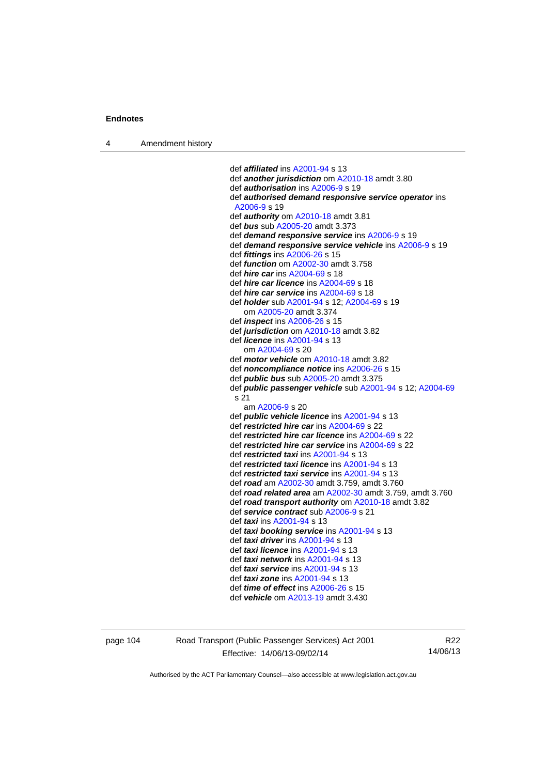4 Amendment history

 def *affiliated* ins [A2001-94](http://www.legislation.act.gov.au/a/2001-94) s 13 def *another jurisdiction* om [A2010-18](http://www.legislation.act.gov.au/a/2010-18) amdt 3.80 def *authorisation* ins [A2006-9](http://www.legislation.act.gov.au/a/2006-9) s 19 def *authorised demand responsive service operator* ins [A2006-9](http://www.legislation.act.gov.au/a/2006-9) s 19 def *authority* om [A2010-18](http://www.legislation.act.gov.au/a/2010-18) amdt 3.81 def *bus* sub [A2005-20](http://www.legislation.act.gov.au/a/2005-20) amdt 3.373 def *demand responsive service* ins [A2006-9](http://www.legislation.act.gov.au/a/2006-9) s 19 def *demand responsive service vehicle* ins [A2006-9](http://www.legislation.act.gov.au/a/2006-9) s 19 def *fittings* ins [A2006-26](http://www.legislation.act.gov.au/a/2006-26) s 15 def *function* om [A2002-30](http://www.legislation.act.gov.au/a/2002-30) amdt 3.758 def *hire car* ins [A2004-69](http://www.legislation.act.gov.au/a/2004-69) s 18 def *hire car licence* ins [A2004-69](http://www.legislation.act.gov.au/a/2004-69) s 18 def *hire car service* ins [A2004-69](http://www.legislation.act.gov.au/a/2004-69) s 18 def *holder* sub [A2001-94](http://www.legislation.act.gov.au/a/2001-94) s 12; [A2004-69](http://www.legislation.act.gov.au/a/2004-69) s 19 om [A2005-20](http://www.legislation.act.gov.au/a/2005-20) amdt 3.374 def *inspect* ins [A2006-26](http://www.legislation.act.gov.au/a/2006-26) s 15 def *jurisdiction* om [A2010-18](http://www.legislation.act.gov.au/a/2010-18) amdt 3.82 def *licence* ins [A2001-94](http://www.legislation.act.gov.au/a/2001-94) s 13 om [A2004-69](http://www.legislation.act.gov.au/a/2004-69) s 20 def *motor vehicle* om [A2010-18](http://www.legislation.act.gov.au/a/2010-18) amdt 3.82 def *noncompliance notice* ins [A2006-26](http://www.legislation.act.gov.au/a/2006-26) s 15 def *public bus* sub [A2005-20](http://www.legislation.act.gov.au/a/2005-20) amdt 3.375 def *public passenger vehicle* sub [A2001-94](http://www.legislation.act.gov.au/a/2001-94) s 12; [A2004-69](http://www.legislation.act.gov.au/a/2004-69) s 21 am [A2006-9](http://www.legislation.act.gov.au/a/2006-9) s 20 def *public vehicle licence* ins [A2001-94](http://www.legislation.act.gov.au/a/2001-94) s 13 def *restricted hire car* ins [A2004-69](http://www.legislation.act.gov.au/a/2004-69) s 22 def *restricted hire car licence* ins [A2004-69](http://www.legislation.act.gov.au/a/2004-69) s 22 def *restricted hire car service* ins [A2004-69](http://www.legislation.act.gov.au/a/2004-69) s 22 def *restricted taxi* ins [A2001-94](http://www.legislation.act.gov.au/a/2001-94) s 13 def *restricted taxi licence* ins [A2001-94](http://www.legislation.act.gov.au/a/2001-94) s 13 def *restricted taxi service* ins [A2001-94](http://www.legislation.act.gov.au/a/2001-94) s 13 def *road* am [A2002-30](http://www.legislation.act.gov.au/a/2002-30) amdt 3.759, amdt 3.760 def *road related area* am [A2002-30](http://www.legislation.act.gov.au/a/2002-30) amdt 3.759, amdt 3.760 def *road transport authority* om [A2010-18](http://www.legislation.act.gov.au/a/2010-18) amdt 3.82 def *service contract* sub [A2006-9](http://www.legislation.act.gov.au/a/2006-9) s 21 def *taxi* ins [A2001-94](http://www.legislation.act.gov.au/a/2001-94) s 13 def *taxi booking service* ins [A2001-94](http://www.legislation.act.gov.au/a/2001-94) s 13 def *taxi driver* ins [A2001-94](http://www.legislation.act.gov.au/a/2001-94) s 13 def *taxi licence* ins [A2001-94](http://www.legislation.act.gov.au/a/2001-94) s 13 def *taxi network* ins [A2001-94](http://www.legislation.act.gov.au/a/2001-94) s 13 def *taxi service* ins [A2001-94](http://www.legislation.act.gov.au/a/2001-94) s 13 def *taxi zone* ins [A2001-94](http://www.legislation.act.gov.au/a/2001-94) s 13 def *time of effect* ins [A2006-26](http://www.legislation.act.gov.au/a/2006-26) s 15 def *vehicle* om [A2013-19](http://www.legislation.act.gov.au/a/2013-19) amdt 3.430

page 104 Road Transport (Public Passenger Services) Act 2001 Effective: 14/06/13-09/02/14

R22 14/06/13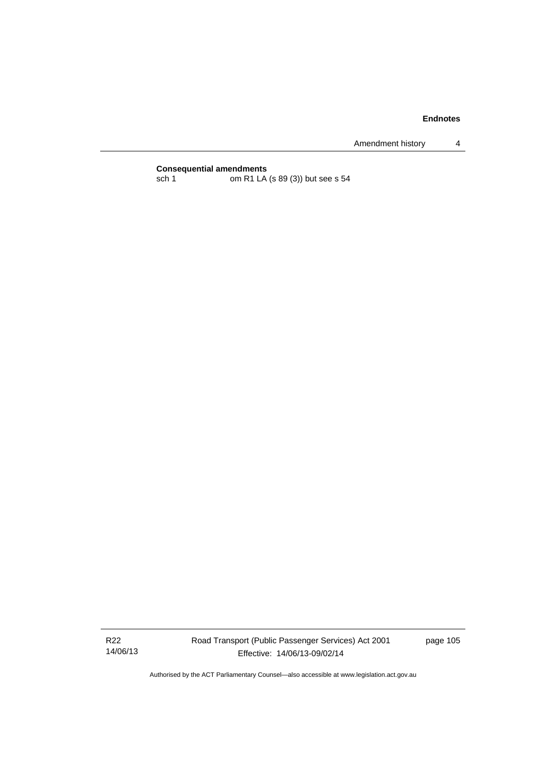Amendment history 4

# **Consequential amendments**<br>sch 1 om R1 LA

om R1 LA (s 89 (3)) but see s 54

R22 14/06/13 Road Transport (Public Passenger Services) Act 2001 Effective: 14/06/13-09/02/14

page 105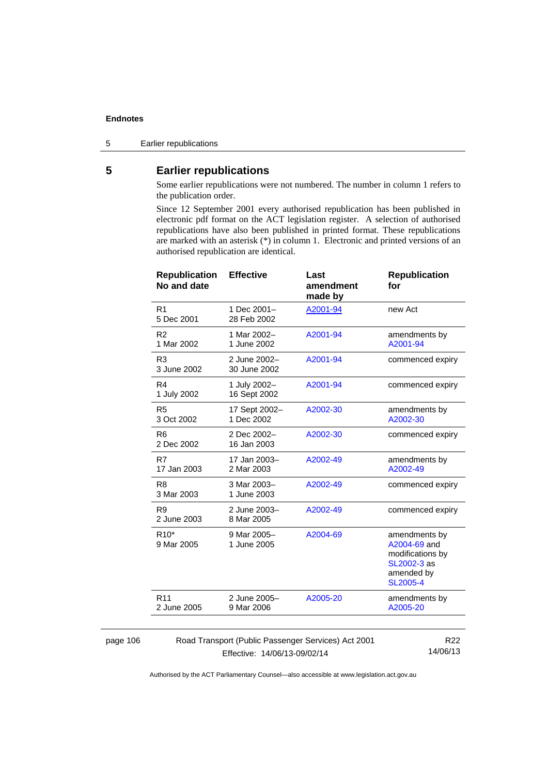5 Earlier republications

# **5 Earlier republications**

Some earlier republications were not numbered. The number in column 1 refers to the publication order.

Since 12 September 2001 every authorised republication has been published in electronic pdf format on the ACT legislation register. A selection of authorised republications have also been published in printed format. These republications are marked with an asterisk (\*) in column 1. Electronic and printed versions of an authorised republication are identical.

| <b>Republication</b><br>No and date                 | <b>Effective</b>             | Last<br>amendment<br>made by | <b>Republication</b><br>for                                                                       |
|-----------------------------------------------------|------------------------------|------------------------------|---------------------------------------------------------------------------------------------------|
| R <sub>1</sub><br>5 Dec 2001                        | 1 Dec 2001-<br>28 Feb 2002   | A2001-94                     | new Act                                                                                           |
| R <sub>2</sub><br>1 Mar 2002                        | 1 Mar 2002-<br>1 June 2002   | A2001-94                     | amendments by<br>A2001-94                                                                         |
| R <sub>3</sub><br>3 June 2002                       | 2 June 2002-<br>30 June 2002 | A2001-94                     | commenced expiry                                                                                  |
| R <sub>4</sub><br>1 July 2002                       | 1 July 2002-<br>16 Sept 2002 | A2001-94                     | commenced expiry                                                                                  |
| R <sub>5</sub><br>3 Oct 2002                        | 17 Sept 2002-<br>1 Dec 2002  | A2002-30                     | amendments by<br>A2002-30                                                                         |
| R <sub>6</sub><br>2 Dec 2002                        | 2 Dec 2002-<br>16 Jan 2003   | A2002-30                     | commenced expiry                                                                                  |
| R7<br>17 Jan 2003                                   | 17 Jan 2003-<br>2 Mar 2003   | A2002-49                     | amendments by<br>A2002-49                                                                         |
| R <sub>8</sub><br>3 Mar 2003                        | 3 Mar 2003-<br>1 June 2003   | A2002-49                     | commenced expiry                                                                                  |
| R <sub>9</sub><br>2 June 2003                       | 2 June 2003-<br>8 Mar 2005   | A2002-49                     | commenced expiry                                                                                  |
| R <sub>10</sub> *<br>9 Mar 2005                     | 9 Mar 2005-<br>1 June 2005   | A2004-69                     | amendments by<br>A2004-69 and<br>modifications by<br>SL2002-3 as<br>amended by<br><b>SL2005-4</b> |
| R <sub>11</sub><br>2 June 2005                      | 2 June 2005-<br>9 Mar 2006   | A2005-20                     | amendments by<br>A2005-20                                                                         |
|                                                     |                              |                              |                                                                                                   |
| Road Transport (Public Passenger Services) Act 2001 | R <sub>22</sub><br>1100112   |                              |                                                                                                   |

#### page 106

Effective: 14/06/13-09/02/14

14/06/13